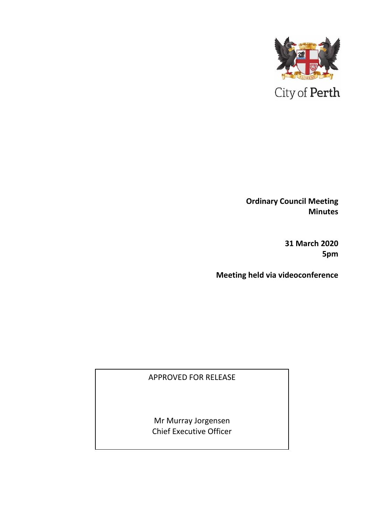

**Ordinary Council Meeting Minutes** 

> **31 March 2020 5pm**

**Meeting held via videoconference**

APPROVED FOR RELEASE

Mr Murray Jorgensen Chief Executive Officer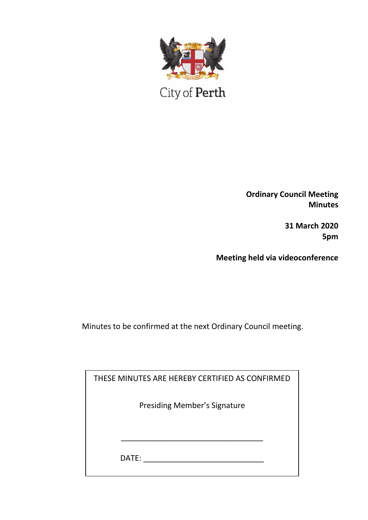

City of Perth

**Ordinary Council Meeting Minutes**

> **31 March 2020 5pm**

**Meeting held via videoconference**

Minutes to be confirmed at the next Ordinary Council meeting.

| THESE MINUTES ARE HEREBY CERTIFIED AS CONFIRMED |  |
|-------------------------------------------------|--|
| <b>Presiding Member's Signature</b>             |  |
|                                                 |  |
|                                                 |  |
| DATE:                                           |  |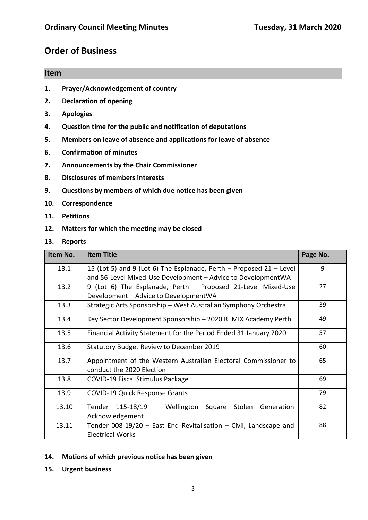# **Order of Business**

# **Item 1. Prayer/Acknowledgement of country**

- **2. Declaration of opening**
- **3. Apologies**
- **4. Question time for the public and notification of deputations**
- **5. Members on leave of absence and applications for leave of absence**
- **6. Confirmation of minutes**
- **7. Announcements by the Chair Commissioner**
- **8. Disclosures of members interests**
- **9. Questions by members of which due notice has been given**
- **10. Correspondence**
- **11. Petitions**
- **12. Matters for which the meeting may be closed**
- **13. Reports**

| Item No. | <b>Item Title</b>                                                                                                                   | Page No. |
|----------|-------------------------------------------------------------------------------------------------------------------------------------|----------|
| 13.1     | 15 (Lot 5) and 9 (Lot 6) The Esplanade, Perth – Proposed 21 – Level<br>and 56-Level Mixed-Use Development - Advice to DevelopmentWA | 9        |
| 13.2     | 9 (Lot 6) The Esplanade, Perth - Proposed 21-Level Mixed-Use<br>Development - Advice to DevelopmentWA                               | 27       |
| 13.3     | Strategic Arts Sponsorship - West Australian Symphony Orchestra                                                                     | 39       |
| 13.4     | Key Sector Development Sponsorship - 2020 REMIX Academy Perth                                                                       | 49       |
| 13.5     | Financial Activity Statement for the Period Ended 31 January 2020                                                                   |          |
| 13.6     | <b>Statutory Budget Review to December 2019</b>                                                                                     |          |
| 13.7     | Appointment of the Western Australian Electoral Commissioner to<br>conduct the 2020 Election                                        | 65       |
| 13.8     | <b>COVID-19 Fiscal Stimulus Package</b>                                                                                             | 69       |
| 13.9     | <b>COVID-19 Quick Response Grants</b>                                                                                               | 79       |
| 13.10    | 115-18/19 - Wellington Square Stolen<br>Tender<br>Generation<br>Acknowledgement                                                     | 82       |
| 13.11    | Tender 008-19/20 - East End Revitalisation - Civil, Landscape and<br><b>Electrical Works</b>                                        | 88       |

#### **14. Motions of which previous notice has been given**

**15. Urgent business**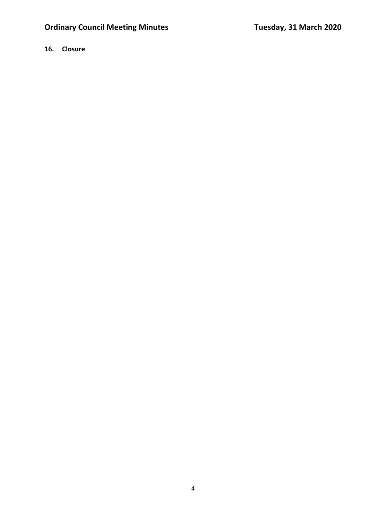# **16. Closure**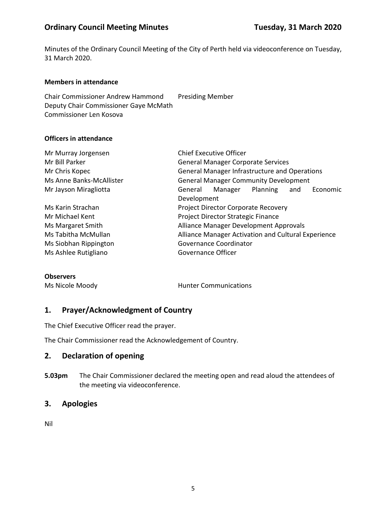# **Ordinary Council Meeting Minutes <b>Tuesday, 31 March 2020**

Minutes of the Ordinary Council Meeting of the City of Perth held via videoconference on Tuesday, 31 March 2020.

#### **Members in attendance**

Chair Commissioner Andrew Hammond Presiding Member Deputy Chair Commissioner Gaye McMath Commissioner Len Kosova

#### **Officers in attendance**

| Mr Murray Jorgensen      | <b>Chief Executive Officer</b>               |                                                      |          |     |          |
|--------------------------|----------------------------------------------|------------------------------------------------------|----------|-----|----------|
| Mr Bill Parker           |                                              | <b>General Manager Corporate Services</b>            |          |     |          |
| Mr Chris Kopec           |                                              | <b>General Manager Infrastructure and Operations</b> |          |     |          |
| Ms Anne Banks-McAllister | <b>General Manager Community Development</b> |                                                      |          |     |          |
| Mr Jayson Miragliotta    | General                                      | Manager                                              | Planning | and | Economic |
|                          | Development                                  |                                                      |          |     |          |
| Ms Karin Strachan        | Project Director Corporate Recovery          |                                                      |          |     |          |
| Mr Michael Kent          | Project Director Strategic Finance           |                                                      |          |     |          |
| Ms Margaret Smith        |                                              | Alliance Manager Development Approvals               |          |     |          |
| Ms Tabitha McMullan      |                                              | Alliance Manager Activation and Cultural Experience  |          |     |          |
| Ms Siobhan Rippington    |                                              | Governance Coordinator                               |          |     |          |
| Ms Ashlee Rutigliano     | Governance Officer                           |                                                      |          |     |          |

#### **Observers**

Ms Nicole Moody **Hunter Communications** 

# **1. Prayer/Acknowledgment of Country**

The Chief Executive Officer read the prayer.

The Chair Commissioner read the Acknowledgement of Country.

#### **2. Declaration of opening**

**5.03pm** The Chair Commissioner declared the meeting open and read aloud the attendees of the meeting via videoconference.

# **3. Apologies**

Nil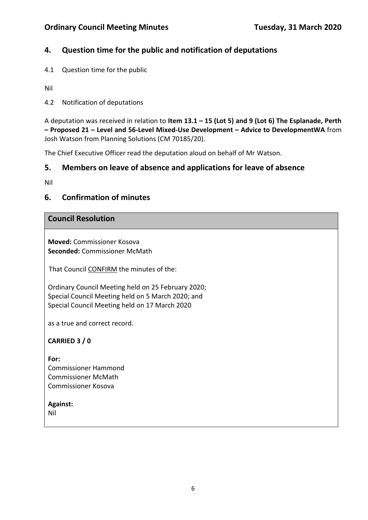# **4. Question time for the public and notification of deputations**

4.1 Question time for the public

Nil

4.2 Notification of deputations

A deputation was received in relation to **Item 13.1 – 15 (Lot 5) and 9 (Lot 6) The Esplanade, Perth – Proposed 21 – Level and 56-Level Mixed-Use Development – Advice to DevelopmentWA** from Josh Watson from Planning Solutions (CM 70185/20).

The Chief Executive Officer read the deputation aloud on behalf of Mr Watson.

# **5. Members on leave of absence and applications for leave of absence**

Nil

# **6. Confirmation of minutes**

# **Council Resolution**

**Moved:** Commissioner Kosova **Seconded:** Commissioner McMath

That Council CONFIRM the minutes of the:

Ordinary Council Meeting held on 25 February 2020; Special Council Meeting held on 5 March 2020; and Special Council Meeting held on 17 March 2020

as a true and correct record.

**CARRIED 3 / 0**

**For:**  Commissioner Hammond Commissioner McMath Commissioner Kosova

# **Against:**

Nil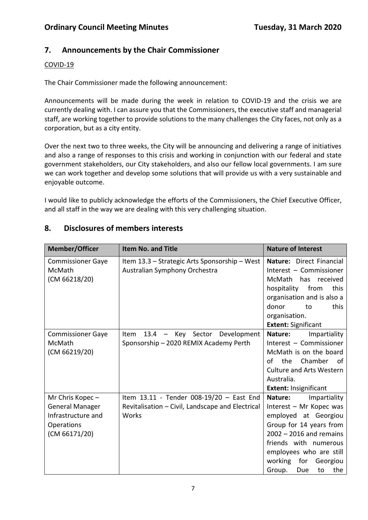# **7. Announcements by the Chair Commissioner**

## COVID-19

The Chair Commissioner made the following announcement:

Announcements will be made during the week in relation to COVID-19 and the crisis we are currently dealing with. I can assure you that the Commissioners, the executive staff and managerial staff, are working together to provide solutions to the many challenges the City faces, not only as a corporation, but as a city entity.

Over the next two to three weeks, the City will be announcing and delivering a range of initiatives and also a range of responses to this crisis and working in conjunction with our federal and state government stakeholders, our City stakeholders, and also our fellow local governments. I am sure we can work together and develop some solutions that will provide us with a very sustainable and enjoyable outcome.

I would like to publicly acknowledge the efforts of the Commissioners, the Chief Executive Officer, and all staff in the way we are dealing with this very challenging situation.

| <b>Member/Officer</b>                                                                          | <b>Item No. and Title</b>                                                                                       | <b>Nature of Interest</b>                                                                                                                                                                                                                          |
|------------------------------------------------------------------------------------------------|-----------------------------------------------------------------------------------------------------------------|----------------------------------------------------------------------------------------------------------------------------------------------------------------------------------------------------------------------------------------------------|
| <b>Commissioner Gaye</b><br>McMath<br>(CM 66218/20)                                            | Item 13.3 - Strategic Arts Sponsorship - West<br>Australian Symphony Orchestra                                  | Nature: Direct Financial<br>Interest - Commissioner<br>McMath has received<br>from<br>hospitality<br>this<br>organisation and is also a<br>donor<br>this<br>to<br>organisation.<br><b>Extent: Significant</b>                                      |
| <b>Commissioner Gaye</b><br>McMath<br>(CM 66219/20)                                            | Development<br>13.4<br>Key Sector<br>Item<br>$\overline{\phantom{0}}$<br>Sponsorship - 2020 REMIX Academy Perth | Nature:<br>Impartiality<br>Interest - Commissioner<br>McMath is on the board<br>Chamber<br>οf<br>the<br>of<br><b>Culture and Arts Western</b><br>Australia.<br><b>Extent: Insignificant</b>                                                        |
| Mr Chris Kopec-<br><b>General Manager</b><br>Infrastructure and<br>Operations<br>(CM 66171/20) | Item 13.11 - Tender 008-19/20 - East End<br>Revitalisation - Civil, Landscape and Electrical<br>Works           | Impartiality<br>Nature:<br>Interest - Mr Kopec was<br>employed at Georgiou<br>Group for 14 years from<br>$2002 - 2016$ and remains<br>friends with numerous<br>employees who are still<br>working<br>for<br>Georgiou<br>Due<br>Group.<br>the<br>to |

# **8. Disclosures of members interests**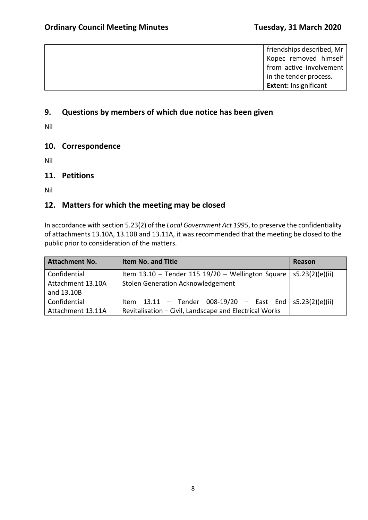| friendships described, Mr    |
|------------------------------|
| Kopec removed himself        |
| from active involvement      |
| in the tender process.       |
| <b>Extent: Insignificant</b> |

# **9. Questions by members of which due notice has been given**

Nil

# **10. Correspondence**

Nil

## **11. Petitions**

Nil

# **12. Matters for which the meeting may be closed**

In accordance with section 5.23(2) of the *Local Government Act 1995*, to preserve the confidentiality of attachments 13.10A, 13.10B and 13.11A, it was recommended that the meeting be closed to the public prior to consideration of the matters.

| <b>Attachment No.</b>                           | Item No. and Title                                                                                                       | Reason |
|-------------------------------------------------|--------------------------------------------------------------------------------------------------------------------------|--------|
| Confidential<br>Attachment 13.10A<br>and 13.10B | Item 13.10 - Tender 115 19/20 - Wellington Square   s5.23(2)(e)(ii)<br>Stolen Generation Acknowledgement                 |        |
| Confidential<br>Attachment 13.11A               | Item $13.11$ - Tender 008-19/20 - East End $ $ s5.23(2)(e)(ii)<br>Revitalisation - Civil, Landscape and Electrical Works |        |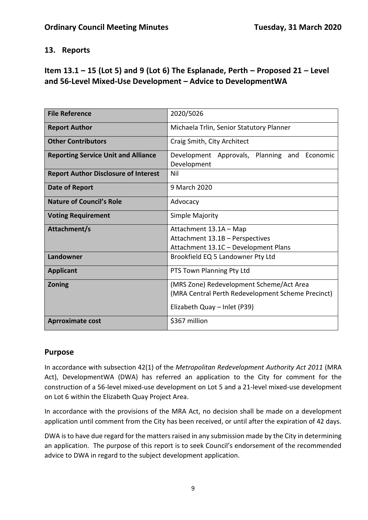# **13. Reports**

# **Item 13.1 – 15 (Lot 5) and 9 (Lot 6) The Esplanade, Perth – Proposed 21 – Level and 56-Level Mixed-Use Development – Advice to DevelopmentWA**

| <b>File Reference</b>                       | 2020/5026                                                   |  |
|---------------------------------------------|-------------------------------------------------------------|--|
| <b>Report Author</b>                        | Michaela Trlin, Senior Statutory Planner                    |  |
| <b>Other Contributors</b>                   | Craig Smith, City Architect                                 |  |
| <b>Reporting Service Unit and Alliance</b>  | Development Approvals, Planning and Economic<br>Development |  |
| <b>Report Author Disclosure of Interest</b> | Nil                                                         |  |
| Date of Report                              | 9 March 2020                                                |  |
| <b>Nature of Council's Role</b>             | Advocacy                                                    |  |
| <b>Voting Requirement</b>                   | Simple Majority                                             |  |
| Attachment/s                                | Attachment 13.1A - Map                                      |  |
|                                             | Attachment 13.1B - Perspectives                             |  |
|                                             | Attachment 13.1C - Development Plans                        |  |
| Landowner                                   | Brookfield EQ 5 Landowner Pty Ltd                           |  |
| <b>Applicant</b>                            | PTS Town Planning Pty Ltd                                   |  |
| <b>Zoning</b>                               | (MRS Zone) Redevelopment Scheme/Act Area                    |  |
|                                             | (MRA Central Perth Redevelopment Scheme Precinct)           |  |
|                                             | Elizabeth Quay - Inlet (P39)                                |  |
| <b>Aprroximate cost</b>                     | \$367 million                                               |  |

# **Purpose**

In accordance with subsection 42(1) of the *Metropolitan Redevelopment Authority Act 2011* (MRA Act), DevelopmentWA (DWA) has referred an application to the City for comment for the construction of a 56-level mixed-use development on Lot 5 and a 21-level mixed-use development on Lot 6 within the Elizabeth Quay Project Area.

In accordance with the provisions of the MRA Act, no decision shall be made on a development application until comment from the City has been received, or until after the expiration of 42 days.

DWA is to have due regard for the matters raised in any submission made by the City in determining an application. The purpose of this report is to seek Council's endorsement of the recommended advice to DWA in regard to the subject development application.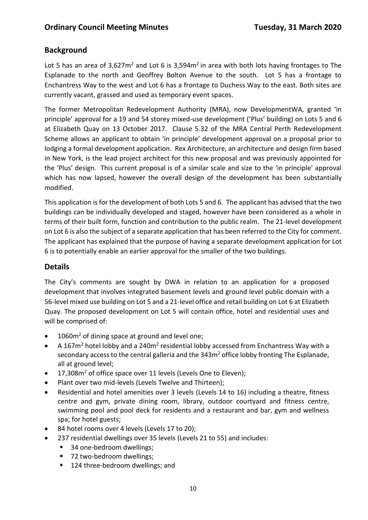# **Background**

Lot 5 has an area of  $3.627m^2$  and Lot 6 is  $3.594m^2$  in area with both lots having frontages to The Esplanade to the north and Geoffrey Bolton Avenue to the south. Lot 5 has a frontage to Enchantress Way to the west and Lot 6 has a frontage to Duchess Way to the east. Both sites are currently vacant, grassed and used as temporary event spaces.

The former Metropolitan Redevelopment Authority (MRA), now DevelopmentWA, granted 'in principle' approval for a 19 and 54 storey mixed-use development ('Plus' building) on Lots 5 and 6 at Elizabeth Quay on 13 October 2017. Clause 5.32 of the MRA Central Perth Redevelopment Scheme allows an applicant to obtain 'in principle' development approval on a proposal prior to lodging a formal development application. Rex Architecture, an architecture and design firm based in New York, is the lead project architect for this new proposal and was previously appointed for the 'Plus' design. This current proposal is of a similar scale and size to the 'in principle' approval which has now lapsed, however the overall design of the development has been substantially modified.

This application is for the development of both Lots 5 and 6. The applicant has advised that the two buildings can be individually developed and staged, however have been considered as a whole in terms of their built form, function and contribution to the public realm. The 21-level development on Lot 6 is also the subject of a separate application that has been referred to the City for comment. The applicant has explained that the purpose of having a separate development application for Lot 6 is to potentially enable an earlier approval for the smaller of the two buildings.

# **Details**

The City's comments are sought by DWA in relation to an application for a proposed development that involves integrated basement levels and ground level public domain with a 56-level mixed use building on Lot 5 and a 21-level office and retail building on Lot 6 at Elizabeth Quay. The proposed development on Lot 5 will contain office, hotel and residential uses and will be comprised of:

- 1060m<sup>2</sup> of dining space at ground and level one:
- A 167 $m^2$  hotel lobby and a 240 $m^2$  residential lobby accessed from Enchantress Way with a secondary access to the central galleria and the 343m<sup>2</sup> office lobby fronting The Esplanade, all at ground level;
- 17,308m<sup>2</sup> of office space over 11 levels (Levels One to Eleven);
- Plant over two mid-levels (Levels Twelve and Thirteen);
- Residential and hotel amenities over 3 levels (Levels 14 to 16) including a theatre, fitness centre and gym, private dining room, library, outdoor courtyard and fitness centre, swimming pool and pool deck for residents and a restaurant and bar, gym and wellness spa; for hotel guests;
- 84 hotel rooms over 4 levels (Levels 17 to 20);
- 237 residential dwellings over 35 levels (Levels 21 to 55) and includes:
	- 34 one-bedroom dwellings;
	- 72 two-bedroom dwellings;
	- 124 three-bedroom dwellings; and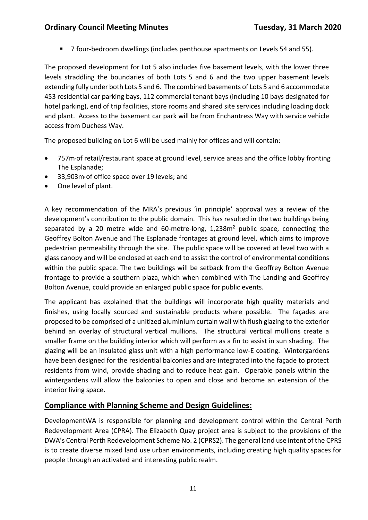# **Ordinary Council Meeting Minutes Tuesday, 31 March 2020**

■ 7 four-bedroom dwellings (includes penthouse apartments on Levels 54 and 55).

The proposed development for Lot 5 also includes five basement levels, with the lower three levels straddling the boundaries of both Lots 5 and 6 and the two upper basement levels extending fully under both Lots 5 and 6. The combined basements of Lots 5 and 6 accommodate 453 residential car parking bays, 112 commercial tenant bays (including 10 bays designated for hotel parking), end of trip facilities, store rooms and shared site services including loading dock and plant. Access to the basement car park will be from Enchantress Way with service vehicle access from Duchess Way.

The proposed building on Lot 6 will be used mainly for offices and will contain:

- 757m<sup>,</sup> of retail/restaurant space at ground level, service areas and the office lobby fronting The Esplanade;
- 33,903m2of office space over 19 levels; and
- One level of plant.

A key recommendation of the MRA's previous 'in principle' approval was a review of the development's contribution to the public domain. This has resulted in the two buildings being separated by a 20 metre wide and 60-metre-long,  $1,238m<sup>2</sup>$  public space, connecting the Geoffrey Bolton Avenue and The Esplanade frontages at ground level, which aims to improve pedestrian permeability through the site. The public space will be covered at level two with a glass canopy and will be enclosed at each end to assist the control of environmental conditions within the public space. The two buildings will be setback from the Geoffrey Bolton Avenue frontage to provide a southern plaza, which when combined with The Landing and Geoffrey Bolton Avenue, could provide an enlarged public space for public events.

The applicant has explained that the buildings will incorporate high quality materials and finishes, using locally sourced and sustainable products where possible. The façades are proposed to be comprised of a unitized aluminium curtain wall with flush glazing to the exterior behind an overlay of structural vertical mullions. The structural vertical mullions create a smaller frame on the building interior which will perform as a fin to assist in sun shading. The glazing will be an insulated glass unit with a high performance low-E coating. Wintergardens have been designed for the residential balconies and are integrated into the façade to protect residents from wind, provide shading and to reduce heat gain. Operable panels within the wintergardens will allow the balconies to open and close and become an extension of the interior living space.

# **Compliance with Planning Scheme and Design Guidelines:**

DevelopmentWA is responsible for planning and development control within the Central Perth Redevelopment Area (CPRA). The Elizabeth Quay project area is subject to the provisions of the DWA's Central Perth Redevelopment Scheme No. 2 (CPRS2). The general land use intent of the CPRS is to create diverse mixed land use urban environments, including creating high quality spaces for people through an activated and interesting public realm.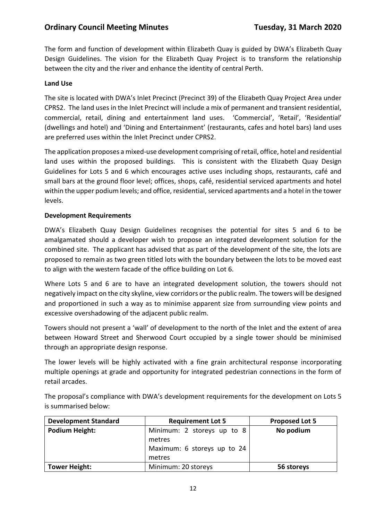The form and function of development within Elizabeth Quay is guided by DWA's Elizabeth Quay Design Guidelines. The vision for the Elizabeth Quay Project is to transform the relationship between the city and the river and enhance the identity of central Perth.

#### **Land Use**

The site is located with DWA's Inlet Precinct (Precinct 39) of the Elizabeth Quay Project Area under CPRS2. The land uses in the Inlet Precinct will include a mix of permanent and transient residential, commercial, retail, dining and entertainment land uses. 'Commercial', 'Retail', 'Residential' (dwellings and hotel) and 'Dining and Entertainment' (restaurants, cafes and hotel bars) land uses are preferred uses within the Inlet Precinct under CPRS2.

The application proposes a mixed-use development comprising of retail, office, hotel and residential land uses within the proposed buildings. This is consistent with the Elizabeth Quay Design Guidelines for Lots 5 and 6 which encourages active uses including shops, restaurants, café and small bars at the ground floor level; offices, shops, café, residential serviced apartments and hotel within the upper podium levels; and office, residential, serviced apartments and a hotel in the tower levels.

#### **Development Requirements**

DWA's Elizabeth Quay Design Guidelines recognises the potential for sites 5 and 6 to be amalgamated should a developer wish to propose an integrated development solution for the combined site. The applicant has advised that as part of the development of the site, the lots are proposed to remain as two green titled lots with the boundary between the lots to be moved east to align with the western facade of the office building on Lot 6.

Where Lots 5 and 6 are to have an integrated development solution, the towers should not negatively impact on the city skyline, view corridors or the public realm. The towers will be designed and proportioned in such a way as to minimise apparent size from surrounding view points and excessive overshadowing of the adjacent public realm.

Towers should not present a 'wall' of development to the north of the Inlet and the extent of area between Howard Street and Sherwood Court occupied by a single tower should be minimised through an appropriate design response.

The lower levels will be highly activated with a fine grain architectural response incorporating multiple openings at grade and opportunity for integrated pedestrian connections in the form of retail arcades.

The proposal's compliance with DWA's development requirements for the development on Lots 5 is summarised below:

| <b>Development Standard</b> | <b>Requirement Lot 5</b>             | <b>Proposed Lot 5</b> |
|-----------------------------|--------------------------------------|-----------------------|
| Podium Height:              | Minimum: 2 storeys up to 8<br>metres | No podium             |
|                             | Maximum: 6 storeys up to 24          |                       |
|                             | metres                               |                       |
| <b>Tower Height:</b>        | Minimum: 20 storeys                  | 56 storeys            |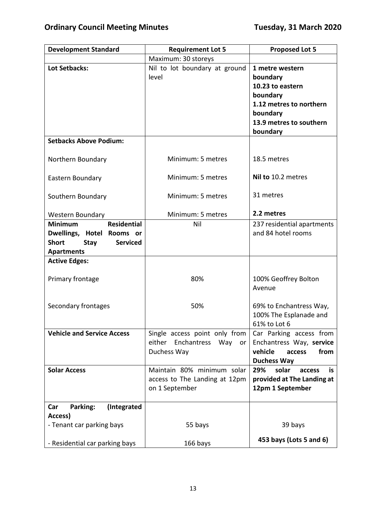| <b>Development Standard</b>                                                                                                                 | <b>Requirement Lot 5</b>                                                               | <b>Proposed Lot 5</b>                                                                                                                     |
|---------------------------------------------------------------------------------------------------------------------------------------------|----------------------------------------------------------------------------------------|-------------------------------------------------------------------------------------------------------------------------------------------|
|                                                                                                                                             | Maximum: 30 storeys                                                                    |                                                                                                                                           |
| <b>Lot Setbacks:</b>                                                                                                                        | Nil to lot boundary at ground<br>level                                                 | 1 metre western<br>boundary<br>10.23 to eastern<br>boundary<br>1.12 metres to northern<br>boundary<br>13.9 metres to southern<br>boundary |
| <b>Setbacks Above Podium:</b>                                                                                                               |                                                                                        |                                                                                                                                           |
| Northern Boundary                                                                                                                           | Minimum: 5 metres                                                                      | 18.5 metres                                                                                                                               |
| Eastern Boundary                                                                                                                            | Minimum: 5 metres                                                                      | Nil to 10.2 metres                                                                                                                        |
| Southern Boundary                                                                                                                           | Minimum: 5 metres                                                                      | 31 metres                                                                                                                                 |
| <b>Western Boundary</b>                                                                                                                     | Minimum: 5 metres                                                                      | 2.2 metres                                                                                                                                |
| <b>Residential</b><br><b>Minimum</b><br>Dwellings, Hotel<br>Rooms or<br><b>Short</b><br><b>Serviced</b><br><b>Stay</b><br><b>Apartments</b> | Nil                                                                                    | 237 residential apartments<br>and 84 hotel rooms                                                                                          |
| <b>Active Edges:</b>                                                                                                                        |                                                                                        |                                                                                                                                           |
| Primary frontage                                                                                                                            | 80%                                                                                    | 100% Geoffrey Bolton<br>Avenue                                                                                                            |
| Secondary frontages                                                                                                                         | 50%                                                                                    | 69% to Enchantress Way,<br>100% The Esplanade and<br>61% to Lot 6                                                                         |
| <b>Vehicle and Service Access</b>                                                                                                           | Single access point only from<br>either Enchantress<br>Way<br><b>or</b><br>Duchess Way | Car Parking access from<br>Enchantress Way, service<br>vehicle<br>from<br>access<br><b>Duchess Way</b>                                    |
| <b>Solar Access</b>                                                                                                                         | Maintain 80% minimum solar<br>access to The Landing at 12pm<br>on 1 September          | 29%<br>solar<br>is<br>access<br>provided at The Landing at<br>12pm 1 September                                                            |
| (Integrated<br>Parking:<br>Car                                                                                                              |                                                                                        |                                                                                                                                           |
| Access)<br>- Tenant car parking bays                                                                                                        | 55 bays                                                                                | 39 bays                                                                                                                                   |
| - Residential car parking bays                                                                                                              | 166 bays                                                                               | 453 bays (Lots 5 and 6)                                                                                                                   |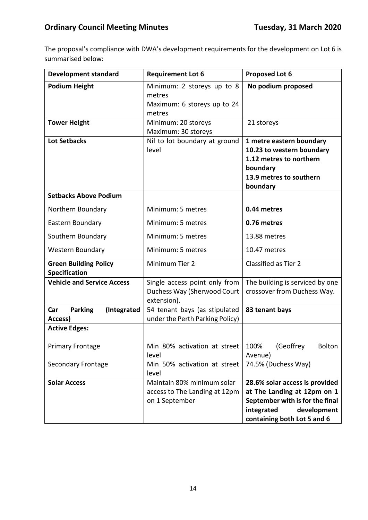The proposal's compliance with DWA's development requirements for the development on Lot 6 is summarised below:

| <b>Development standard</b>                          | <b>Requirement Lot 6</b>                                                      | <b>Proposed Lot 6</b>                                                                                                                                        |
|------------------------------------------------------|-------------------------------------------------------------------------------|--------------------------------------------------------------------------------------------------------------------------------------------------------------|
| <b>Podium Height</b>                                 | Minimum: 2 storeys up to 8<br>metres<br>Maximum: 6 storeys up to 24           | No podium proposed                                                                                                                                           |
|                                                      | metres                                                                        |                                                                                                                                                              |
| <b>Tower Height</b>                                  | Minimum: 20 storeys<br>Maximum: 30 storeys                                    | 21 storeys                                                                                                                                                   |
| <b>Lot Setbacks</b>                                  | Nil to lot boundary at ground<br>level                                        | 1 metre eastern boundary<br>10.23 to western boundary<br>1.12 metres to northern<br>boundary<br>13.9 metres to southern<br>boundary                          |
| <b>Setbacks Above Podium</b>                         |                                                                               |                                                                                                                                                              |
| Northern Boundary                                    | Minimum: 5 metres                                                             | 0.44 metres                                                                                                                                                  |
| Eastern Boundary                                     | Minimum: 5 metres                                                             | 0.76 metres                                                                                                                                                  |
| Southern Boundary                                    | Minimum: 5 metres                                                             | 13.88 metres                                                                                                                                                 |
| <b>Western Boundary</b>                              | Minimum: 5 metres                                                             | 10.47 metres                                                                                                                                                 |
| <b>Green Building Policy</b><br><b>Specification</b> | Minimum Tier 2                                                                | Classified as Tier 2                                                                                                                                         |
| <b>Vehicle and Service Access</b>                    | Single access point only from<br>Duchess Way (Sherwood Court<br>extension).   | The building is serviced by one<br>crossover from Duchess Way.                                                                                               |
| <b>Parking</b><br>Car<br>(Integrated<br>Access)      | 54 tenant bays (as stipulated<br>under the Perth Parking Policy)              | 83 tenant bays                                                                                                                                               |
| <b>Active Edges:</b>                                 |                                                                               |                                                                                                                                                              |
| <b>Primary Frontage</b>                              | Min 80% activation at street $\vert$ 100% (Geoffrey<br>level                  | Bolton<br>Avenue)                                                                                                                                            |
| <b>Secondary Frontage</b>                            | Min 50% activation at street<br>level                                         | 74.5% (Duchess Way)                                                                                                                                          |
| <b>Solar Access</b>                                  | Maintain 80% minimum solar<br>access to The Landing at 12pm<br>on 1 September | 28.6% solar access is provided<br>at The Landing at 12pm on 1<br>September with is for the final<br>integrated<br>development<br>containing both Lot 5 and 6 |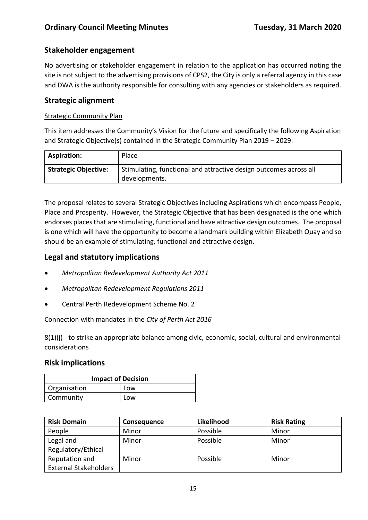# **Stakeholder engagement**

No advertising or stakeholder engagement in relation to the application has occurred noting the site is not subject to the advertising provisions of CPS2, the City is only a referral agency in this case and DWA is the authority responsible for consulting with any agencies or stakeholders as required.

# **Strategic alignment**

#### Strategic Community Plan

This item addresses the Community's Vision for the future and specifically the following Aspiration and Strategic Objective(s) contained in the Strategic Community Plan 2019 – 2029:

| <b>Aspiration:</b>          | Place                                                                              |
|-----------------------------|------------------------------------------------------------------------------------|
| <b>Strategic Objective:</b> | Stimulating, functional and attractive design outcomes across all<br>developments. |

The proposal relates to several Strategic Objectives including Aspirations which encompass People, Place and Prosperity. However, the Strategic Objective that has been designated is the one which endorses places that are stimulating, functional and have attractive design outcomes. The proposal is one which will have the opportunity to become a landmark building within Elizabeth Quay and so should be an example of stimulating, functional and attractive design.

# **Legal and statutory implications**

- *Metropolitan Redevelopment Authority Act 2011*
- *Metropolitan Redevelopment Regulations 2011*
- Central Perth Redevelopment Scheme No. 2

#### Connection with mandates in the *City of Perth Act 2016*

 $8(1)(j)$  - to strike an appropriate balance among civic, economic, social, cultural and environmental considerations

# **Risk implications**

| <b>Impact of Decision</b> |     |  |
|---------------------------|-----|--|
| Organisation              | Low |  |
| Community                 | Low |  |

| <b>Risk Domain</b>           | <b>Consequence</b> | Likelihood | <b>Risk Rating</b> |
|------------------------------|--------------------|------------|--------------------|
| People                       | Minor              | Possible   | Minor              |
| Legal and                    | Minor              | Possible   | Minor              |
| Regulatory/Ethical           |                    |            |                    |
| Reputation and               | Minor              | Possible   | Minor              |
| <b>External Stakeholders</b> |                    |            |                    |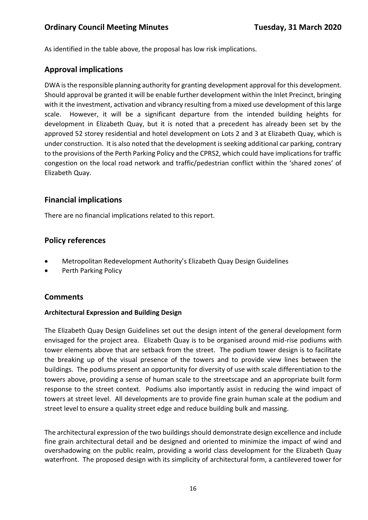As identified in the table above, the proposal has low risk implications.

# **Approval implications**

DWA is the responsible planning authority for granting development approval for this development. Should approval be granted it will be enable further development within the Inlet Precinct, bringing with it the investment, activation and vibrancy resulting from a mixed use development of this large scale. However, it will be a significant departure from the intended building heights for development in Elizabeth Quay, but it is noted that a precedent has already been set by the approved 52 storey residential and hotel development on Lots 2 and 3 at Elizabeth Quay, which is under construction. It is also noted that the development is seeking additional car parking, contrary to the provisions of the Perth Parking Policy and the CPRS2, which could have implications for traffic congestion on the local road network and traffic/pedestrian conflict within the 'shared zones' of Elizabeth Quay.

# **Financial implications**

There are no financial implications related to this report.

# **Policy references**

- Metropolitan Redevelopment Authority's Elizabeth Quay Design Guidelines
- Perth Parking Policy

# **Comments**

#### **Architectural Expression and Building Design**

The Elizabeth Quay Design Guidelines set out the design intent of the general development form envisaged for the project area. Elizabeth Quay is to be organised around mid-rise podiums with tower elements above that are setback from the street. The podium tower design is to facilitate the breaking up of the visual presence of the towers and to provide view lines between the buildings. The podiums present an opportunity for diversity of use with scale differentiation to the towers above, providing a sense of human scale to the streetscape and an appropriate built form response to the street context. Podiums also importantly assist in reducing the wind impact of towers at street level. All developments are to provide fine grain human scale at the podium and street level to ensure a quality street edge and reduce building bulk and massing.

The architectural expression of the two buildings should demonstrate design excellence and include fine grain architectural detail and be designed and oriented to minimize the impact of wind and overshadowing on the public realm, providing a world class development for the Elizabeth Quay waterfront. The proposed design with its simplicity of architectural form, a cantilevered tower for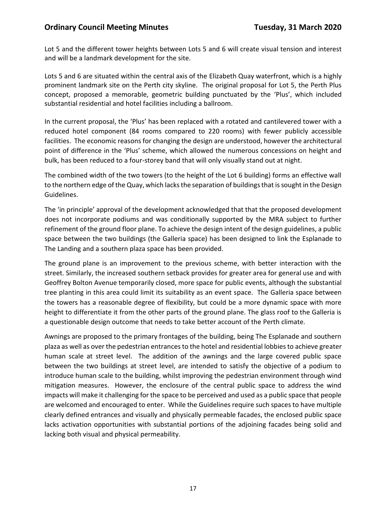Lot 5 and the different tower heights between Lots 5 and 6 will create visual tension and interest and will be a landmark development for the site.

Lots 5 and 6 are situated within the central axis of the Elizabeth Quay waterfront, which is a highly prominent landmark site on the Perth city skyline. The original proposal for Lot 5, the Perth Plus concept, proposed a memorable, geometric building punctuated by the 'Plus', which included substantial residential and hotel facilities including a ballroom.

In the current proposal, the 'Plus' has been replaced with a rotated and cantilevered tower with a reduced hotel component (84 rooms compared to 220 rooms) with fewer publicly accessible facilities. The economic reasons for changing the design are understood, however the architectural point of difference in the 'Plus' scheme, which allowed the numerous concessions on height and bulk, has been reduced to a four-storey band that will only visually stand out at night.

The combined width of the two towers (to the height of the Lot 6 building) forms an effective wall to the northern edge of the Quay, which lacks the separation of buildings that is sought in the Design Guidelines.

The 'in principle' approval of the development acknowledged that that the proposed development does not incorporate podiums and was conditionally supported by the MRA subject to further refinement of the ground floor plane. To achieve the design intent of the design guidelines, a public space between the two buildings (the Galleria space) has been designed to link the Esplanade to The Landing and a southern plaza space has been provided.

The ground plane is an improvement to the previous scheme, with better interaction with the street. Similarly, the increased southern setback provides for greater area for general use and with Geoffrey Bolton Avenue temporarily closed, more space for public events, although the substantial tree planting in this area could limit its suitability as an event space. The Galleria space between the towers has a reasonable degree of flexibility, but could be a more dynamic space with more height to differentiate it from the other parts of the ground plane. The glass roof to the Galleria is a questionable design outcome that needs to take better account of the Perth climate.

Awnings are proposed to the primary frontages of the building, being The Esplanade and southern plaza as well as over the pedestrian entrances to the hotel and residential lobbies to achieve greater human scale at street level. The addition of the awnings and the large covered public space between the two buildings at street level, are intended to satisfy the objective of a podium to introduce human scale to the building, whilst improving the pedestrian environment through wind mitigation measures. However, the enclosure of the central public space to address the wind impacts will make it challenging for the space to be perceived and used as a public space that people are welcomed and encouraged to enter. While the Guidelines require such spaces to have multiple clearly defined entrances and visually and physically permeable facades, the enclosed public space lacks activation opportunities with substantial portions of the adjoining facades being solid and lacking both visual and physical permeability.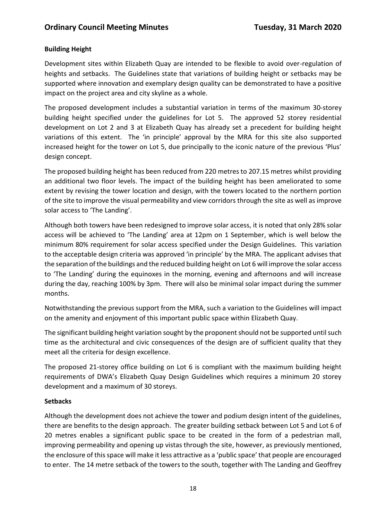## **Building Height**

Development sites within Elizabeth Quay are intended to be flexible to avoid over-regulation of heights and setbacks. The Guidelines state that variations of building height or setbacks may be supported where innovation and exemplary design quality can be demonstrated to have a positive impact on the project area and city skyline as a whole.

The proposed development includes a substantial variation in terms of the maximum 30-storey building height specified under the guidelines for Lot 5. The approved 52 storey residential development on Lot 2 and 3 at Elizabeth Quay has already set a precedent for building height variations of this extent. The 'in principle' approval by the MRA for this site also supported increased height for the tower on Lot 5, due principally to the iconic nature of the previous 'Plus' design concept.

The proposed building height has been reduced from 220 metres to 207.15 metres whilst providing an additional two floor levels. The impact of the building height has been ameliorated to some extent by revising the tower location and design, with the towers located to the northern portion of the site to improve the visual permeability and view corridors through the site as well as improve solar access to 'The Landing'.

Although both towers have been redesigned to improve solar access, it is noted that only 28% solar access will be achieved to 'The Landing' area at 12pm on 1 September, which is well below the minimum 80% requirement for solar access specified under the Design Guidelines. This variation to the acceptable design criteria was approved 'in principle' by the MRA. The applicant advises that the separation of the buildings and the reduced building height on Lot 6 will improve the solar access to 'The Landing' during the equinoxes in the morning, evening and afternoons and will increase during the day, reaching 100% by 3pm. There will also be minimal solar impact during the summer months.

Notwithstanding the previous support from the MRA, such a variation to the Guidelines will impact on the amenity and enjoyment of this important public space within Elizabeth Quay.

The significant building height variation sought by the proponent should not be supported until such time as the architectural and civic consequences of the design are of sufficient quality that they meet all the criteria for design excellence.

The proposed 21-storey office building on Lot 6 is compliant with the maximum building height requirements of DWA's Elizabeth Quay Design Guidelines which requires a minimum 20 storey development and a maximum of 30 storeys.

#### **Setbacks**

Although the development does not achieve the tower and podium design intent of the guidelines, there are benefits to the design approach. The greater building setback between Lot 5 and Lot 6 of 20 metres enables a significant public space to be created in the form of a pedestrian mall, improving permeability and opening up vistas through the site, however, as previously mentioned, the enclosure of this space will make it less attractive as a 'public space' that people are encouraged to enter. The 14 metre setback of the towers to the south, together with The Landing and Geoffrey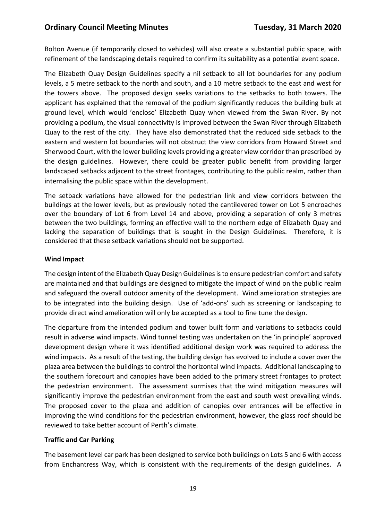Bolton Avenue (if temporarily closed to vehicles) will also create a substantial public space, with refinement of the landscaping details required to confirm its suitability as a potential event space.

The Elizabeth Quay Design Guidelines specify a nil setback to all lot boundaries for any podium levels, a 5 metre setback to the north and south, and a 10 metre setback to the east and west for the towers above. The proposed design seeks variations to the setbacks to both towers. The applicant has explained that the removal of the podium significantly reduces the building bulk at ground level, which would 'enclose' Elizabeth Quay when viewed from the Swan River. By not providing a podium, the visual connectivity is improved between the Swan River through Elizabeth Quay to the rest of the city. They have also demonstrated that the reduced side setback to the eastern and western lot boundaries will not obstruct the view corridors from Howard Street and Sherwood Court, with the lower building levels providing a greater view corridor than prescribed by the design guidelines. However, there could be greater public benefit from providing larger landscaped setbacks adjacent to the street frontages, contributing to the public realm, rather than internalising the public space within the development.

The setback variations have allowed for the pedestrian link and view corridors between the buildings at the lower levels, but as previously noted the cantilevered tower on Lot 5 encroaches over the boundary of Lot 6 from Level 14 and above, providing a separation of only 3 metres between the two buildings, forming an effective wall to the northern edge of Elizabeth Quay and lacking the separation of buildings that is sought in the Design Guidelines. Therefore, it is considered that these setback variations should not be supported.

#### **Wind Impact**

The design intent of the Elizabeth Quay Design Guidelines is to ensure pedestrian comfort and safety are maintained and that buildings are designed to mitigate the impact of wind on the public realm and safeguard the overall outdoor amenity of the development. Wind amelioration strategies are to be integrated into the building design. Use of 'add-ons' such as screening or landscaping to provide direct wind amelioration will only be accepted as a tool to fine tune the design.

The departure from the intended podium and tower built form and variations to setbacks could result in adverse wind impacts. Wind tunnel testing was undertaken on the 'in principle' approved development design where it was identified additional design work was required to address the wind impacts. As a result of the testing, the building design has evolved to include a cover over the plaza area between the buildings to control the horizontal wind impacts. Additional landscaping to the southern forecourt and canopies have been added to the primary street frontages to protect the pedestrian environment. The assessment surmises that the wind mitigation measures will significantly improve the pedestrian environment from the east and south west prevailing winds. The proposed cover to the plaza and addition of canopies over entrances will be effective in improving the wind conditions for the pedestrian environment, however, the glass roof should be reviewed to take better account of Perth's climate.

#### **Traffic and Car Parking**

The basement level car park has been designed to service both buildings on Lots 5 and 6 with access from Enchantress Way, which is consistent with the requirements of the design guidelines. A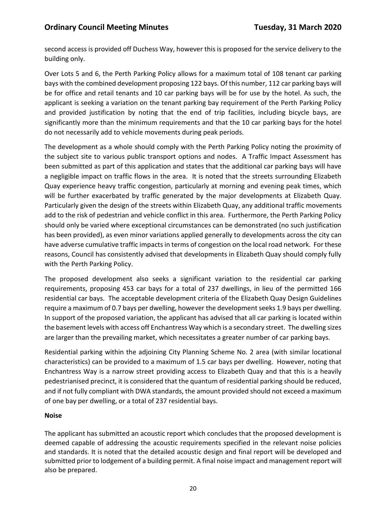second access is provided off Duchess Way, however this is proposed for the service delivery to the building only.

Over Lots 5 and 6, the Perth Parking Policy allows for a maximum total of 108 tenant car parking bays with the combined development proposing 122 bays. Of this number, 112 car parking bays will be for office and retail tenants and 10 car parking bays will be for use by the hotel. As such, the applicant is seeking a variation on the tenant parking bay requirement of the Perth Parking Policy and provided justification by noting that the end of trip facilities, including bicycle bays, are significantly more than the minimum requirements and that the 10 car parking bays for the hotel do not necessarily add to vehicle movements during peak periods.

The development as a whole should comply with the Perth Parking Policy noting the proximity of the subject site to various public transport options and nodes. A Traffic Impact Assessment has been submitted as part of this application and states that the additional car parking bays will have a negligible impact on traffic flows in the area. It is noted that the streets surrounding Elizabeth Quay experience heavy traffic congestion, particularly at morning and evening peak times, which will be further exacerbated by traffic generated by the major developments at Elizabeth Quay. Particularly given the design of the streets within Elizabeth Quay, any additional traffic movements add to the risk of pedestrian and vehicle conflict in this area. Furthermore, the Perth Parking Policy should only be varied where exceptional circumstances can be demonstrated (no such justification has been provided), as even minor variations applied generally to developments across the city can have adverse cumulative traffic impacts in terms of congestion on the local road network. For these reasons, Council has consistently advised that developments in Elizabeth Quay should comply fully with the Perth Parking Policy.

The proposed development also seeks a significant variation to the residential car parking requirements, proposing 453 car bays for a total of 237 dwellings, in lieu of the permitted 166 residential car bays. The acceptable development criteria of the Elizabeth Quay Design Guidelines require a maximum of 0.7 bays per dwelling, however the development seeks 1.9 bays per dwelling. In support of the proposed variation, the applicant has advised that all car parking is located within the basement levels with access off Enchantress Way which is a secondary street. The dwelling sizes are larger than the prevailing market, which necessitates a greater number of car parking bays.

Residential parking within the adjoining City Planning Scheme No. 2 area (with similar locational characteristics) can be provided to a maximum of 1.5 car bays per dwelling. However, noting that Enchantress Way is a narrow street providing access to Elizabeth Quay and that this is a heavily pedestrianised precinct, it is considered that the quantum of residential parking should be reduced, and if not fully compliant with DWA standards, the amount provided should not exceed a maximum of one bay per dwelling, or a total of 237 residential bays.

#### **Noise**

The applicant has submitted an acoustic report which concludes that the proposed development is deemed capable of addressing the acoustic requirements specified in the relevant noise policies and standards. It is noted that the detailed acoustic design and final report will be developed and submitted prior to lodgement of a building permit. A final noise impact and management report will also be prepared.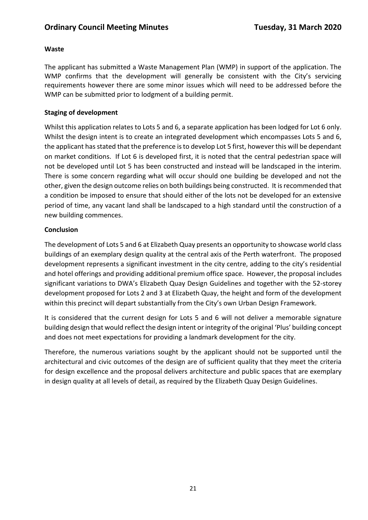## **Waste**

The applicant has submitted a Waste Management Plan (WMP) in support of the application. The WMP confirms that the development will generally be consistent with the City's servicing requirements however there are some minor issues which will need to be addressed before the WMP can be submitted prior to lodgment of a building permit.

## **Staging of development**

Whilst this application relates to Lots 5 and 6, a separate application has been lodged for Lot 6 only. Whilst the design intent is to create an integrated development which encompasses Lots 5 and 6, the applicant has stated that the preference is to develop Lot 5 first, however this will be dependant on market conditions. If Lot 6 is developed first, it is noted that the central pedestrian space will not be developed until Lot 5 has been constructed and instead will be landscaped in the interim. There is some concern regarding what will occur should one building be developed and not the other, given the design outcome relies on both buildings being constructed. It is recommended that a condition be imposed to ensure that should either of the lots not be developed for an extensive period of time, any vacant land shall be landscaped to a high standard until the construction of a new building commences.

## **Conclusion**

The development of Lots 5 and 6 at Elizabeth Quay presents an opportunity to showcase world class buildings of an exemplary design quality at the central axis of the Perth waterfront. The proposed development represents a significant investment in the city centre, adding to the city's residential and hotel offerings and providing additional premium office space. However, the proposal includes significant variations to DWA's Elizabeth Quay Design Guidelines and together with the 52-storey development proposed for Lots 2 and 3 at Elizabeth Quay, the height and form of the development within this precinct will depart substantially from the City's own Urban Design Framework.

It is considered that the current design for Lots 5 and 6 will not deliver a memorable signature building design that would reflect the design intent or integrity of the original 'Plus' building concept and does not meet expectations for providing a landmark development for the city.

Therefore, the numerous variations sought by the applicant should not be supported until the architectural and civic outcomes of the design are of sufficient quality that they meet the criteria for design excellence and the proposal delivers architecture and public spaces that are exemplary in design quality at all levels of detail, as required by the Elizabeth Quay Design Guidelines.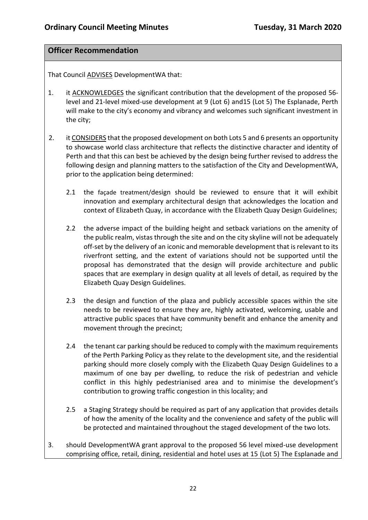# **Officer Recommendation**

That Council ADVISES DevelopmentWA that:

- 1. it ACKNOWLEDGES the significant contribution that the development of the proposed 56 level and 21-level mixed-use development at 9 (Lot 6) and15 (Lot 5) The Esplanade, Perth will make to the city's economy and vibrancy and welcomes such significant investment in the city;
- 2. it CONSIDERS that the proposed development on both Lots 5 and 6 presents an opportunity to showcase world class architecture that reflects the distinctive character and identity of Perth and that this can best be achieved by the design being further revised to address the following design and planning matters to the satisfaction of the City and DevelopmentWA, prior to the application being determined:
	- 2.1 the façade treatment/design should be reviewed to ensure that it will exhibit innovation and exemplary architectural design that acknowledges the location and context of Elizabeth Quay, in accordance with the Elizabeth Quay Design Guidelines;
	- 2.2 the adverse impact of the building height and setback variations on the amenity of the public realm, vistas through the site and on the city skyline will not be adequately off-set by the delivery of an iconic and memorable development that is relevant to its riverfront setting, and the extent of variations should not be supported until the proposal has demonstrated that the design will provide architecture and public spaces that are exemplary in design quality at all levels of detail, as required by the Elizabeth Quay Design Guidelines.
	- 2.3 the design and function of the plaza and publicly accessible spaces within the site needs to be reviewed to ensure they are, highly activated, welcoming, usable and attractive public spaces that have community benefit and enhance the amenity and movement through the precinct;
	- 2.4 the tenant car parking should be reduced to comply with the maximum requirements of the Perth Parking Policy as they relate to the development site, and the residential parking should more closely comply with the Elizabeth Quay Design Guidelines to a maximum of one bay per dwelling, to reduce the risk of pedestrian and vehicle conflict in this highly pedestrianised area and to minimise the development's contribution to growing traffic congestion in this locality; and
	- 2.5 a Staging Strategy should be required as part of any application that provides details of how the amenity of the locality and the convenience and safety of the public will be protected and maintained throughout the staged development of the two lots.
- 3. should DevelopmentWA grant approval to the proposed 56 level mixed-use development comprising office, retail, dining, residential and hotel uses at 15 (Lot 5) The Esplanade and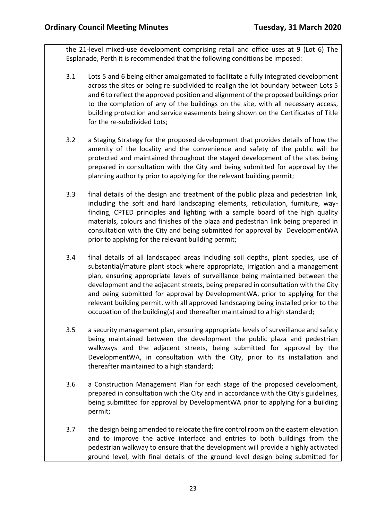the 21-level mixed-use development comprising retail and office uses at 9 (Lot 6) The Esplanade, Perth it is recommended that the following conditions be imposed:

- 3.1 Lots 5 and 6 being either amalgamated to facilitate a fully integrated development across the sites or being re-subdivided to realign the lot boundary between Lots 5 and 6 to reflect the approved position and alignment of the proposed buildings prior to the completion of any of the buildings on the site, with all necessary access, building protection and service easements being shown on the Certificates of Title for the re-subdivided Lots;
- 3.2 a Staging Strategy for the proposed development that provides details of how the amenity of the locality and the convenience and safety of the public will be protected and maintained throughout the staged development of the sites being prepared in consultation with the City and being submitted for approval by the planning authority prior to applying for the relevant building permit;
- 3.3 final details of the design and treatment of the public plaza and pedestrian link, including the soft and hard landscaping elements, reticulation, furniture, wayfinding, CPTED principles and lighting with a sample board of the high quality materials, colours and finishes of the plaza and pedestrian link being prepared in consultation with the City and being submitted for approval by DevelopmentWA prior to applying for the relevant building permit;
- 3.4 final details of all landscaped areas including soil depths, plant species, use of substantial/mature plant stock where appropriate, irrigation and a management plan, ensuring appropriate levels of surveillance being maintained between the development and the adjacent streets, being prepared in consultation with the City and being submitted for approval by DevelopmentWA, prior to applying for the relevant building permit, with all approved landscaping being installed prior to the occupation of the building(s) and thereafter maintained to a high standard;
- 3.5 a security management plan, ensuring appropriate levels of surveillance and safety being maintained between the development the public plaza and pedestrian walkways and the adjacent streets, being submitted for approval by the DevelopmentWA, in consultation with the City, prior to its installation and thereafter maintained to a high standard;
- 3.6 a Construction Management Plan for each stage of the proposed development, prepared in consultation with the City and in accordance with the City's guidelines, being submitted for approval by DevelopmentWA prior to applying for a building permit;
- 3.7 the design being amended to relocate the fire control room on the eastern elevation and to improve the active interface and entries to both buildings from the pedestrian walkway to ensure that the development will provide a highly activated ground level, with final details of the ground level design being submitted for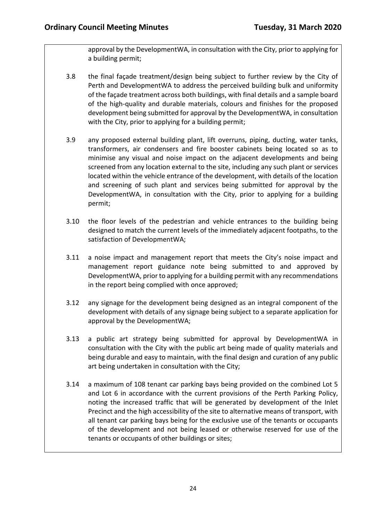approval by the DevelopmentWA, in consultation with the City, prior to applying for a building permit;

- 3.8 the final façade treatment/design being subject to further review by the City of Perth and DevelopmentWA to address the perceived building bulk and uniformity of the façade treatment across both buildings, with final details and a sample board of the high-quality and durable materials, colours and finishes for the proposed development being submitted for approval by the DevelopmentWA, in consultation with the City, prior to applying for a building permit;
- 3.9 any proposed external building plant, lift overruns, piping, ducting, water tanks, transformers, air condensers and fire booster cabinets being located so as to minimise any visual and noise impact on the adjacent developments and being screened from any location external to the site, including any such plant or services located within the vehicle entrance of the development, with details of the location and screening of such plant and services being submitted for approval by the DevelopmentWA, in consultation with the City, prior to applying for a building permit;
- 3.10 the floor levels of the pedestrian and vehicle entrances to the building being designed to match the current levels of the immediately adjacent footpaths, to the satisfaction of DevelopmentWA;
- 3.11 a noise impact and management report that meets the City's noise impact and management report guidance note being submitted to and approved by DevelopmentWA, prior to applying for a building permit with any recommendations in the report being complied with once approved;
- 3.12 any signage for the development being designed as an integral component of the development with details of any signage being subject to a separate application for approval by the DevelopmentWA;
- 3.13 a public art strategy being submitted for approval by DevelopmentWA in consultation with the City with the public art being made of quality materials and being durable and easy to maintain, with the final design and curation of any public art being undertaken in consultation with the City;
- 3.14 a maximum of 108 tenant car parking bays being provided on the combined Lot 5 and Lot 6 in accordance with the current provisions of the Perth Parking Policy, noting the increased traffic that will be generated by development of the Inlet Precinct and the high accessibility of the site to alternative means of transport, with all tenant car parking bays being for the exclusive use of the tenants or occupants of the development and not being leased or otherwise reserved for use of the tenants or occupants of other buildings or sites;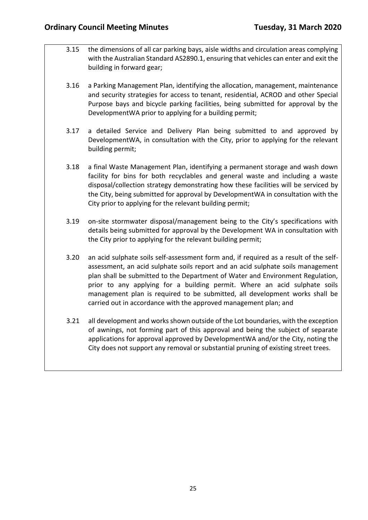- 3.15 the dimensions of all car parking bays, aisle widths and circulation areas complying with the Australian Standard AS2890.1, ensuring that vehicles can enter and exit the building in forward gear;
- 3.16 a Parking Management Plan, identifying the allocation, management, maintenance and security strategies for access to tenant, residential, ACROD and other Special Purpose bays and bicycle parking facilities, being submitted for approval by the DevelopmentWA prior to applying for a building permit;
- 3.17 a detailed Service and Delivery Plan being submitted to and approved by DevelopmentWA, in consultation with the City, prior to applying for the relevant building permit;
- 3.18 a final Waste Management Plan, identifying a permanent storage and wash down facility for bins for both recyclables and general waste and including a waste disposal/collection strategy demonstrating how these facilities will be serviced by the City, being submitted for approval by DevelopmentWA in consultation with the City prior to applying for the relevant building permit;
- 3.19 on-site stormwater disposal/management being to the City's specifications with details being submitted for approval by the Development WA in consultation with the City prior to applying for the relevant building permit;
- 3.20 an acid sulphate soils self-assessment form and, if required as a result of the selfassessment, an acid sulphate soils report and an acid sulphate soils management plan shall be submitted to the Department of Water and Environment Regulation, prior to any applying for a building permit. Where an acid sulphate soils management plan is required to be submitted, all development works shall be carried out in accordance with the approved management plan; and
- 3.21 all development and works shown outside of the Lot boundaries, with the exception of awnings, not forming part of this approval and being the subject of separate applications for approval approved by DevelopmentWA and/or the City, noting the City does not support any removal or substantial pruning of existing street trees.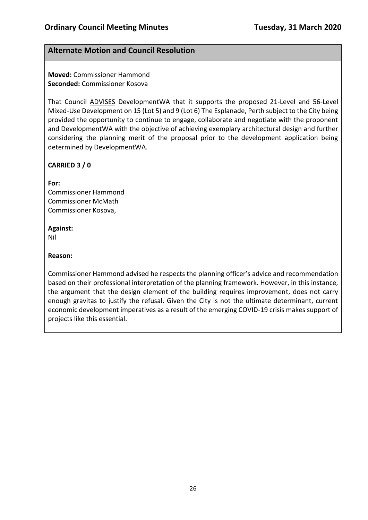# **Alternate Motion and Council Resolution**

**Moved:** Commissioner Hammond **Seconded:** Commissioner Kosova

That Council ADVISES DevelopmentWA that it supports the proposed 21-Level and 56-Level Mixed-Use Development on 15 (Lot 5) and 9 (Lot 6) The Esplanade, Perth subject to the City being provided the opportunity to continue to engage, collaborate and negotiate with the proponent and DevelopmentWA with the objective of achieving exemplary architectural design and further considering the planning merit of the proposal prior to the development application being determined by DevelopmentWA.

## **CARRIED 3 / 0**

**For:** 

Commissioner Hammond Commissioner McMath Commissioner Kosova,

## **Against:**

Nil

## **Reason:**

Commissioner Hammond advised he respects the planning officer's advice and recommendation based on their professional interpretation of the planning framework. However, in this instance, the argument that the design element of the building requires improvement, does not carry enough gravitas to justify the refusal. Given the City is not the ultimate determinant, current economic development imperatives as a result of the emerging COVID-19 crisis makes support of projects like this essential.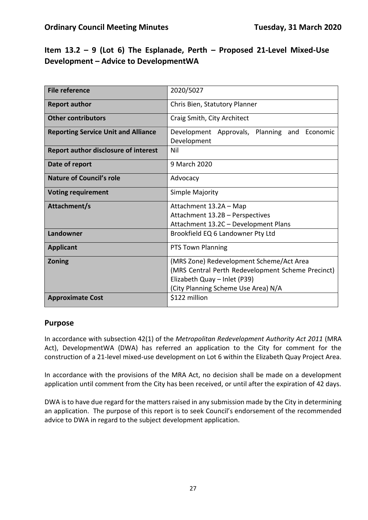# **Item 13.2 – 9 (Lot 6) The Esplanade, Perth – Proposed 21-Level Mixed-Use Development – Advice to DevelopmentWA**

| <b>File reference</b>                       | 2020/5027                                                      |  |  |  |
|---------------------------------------------|----------------------------------------------------------------|--|--|--|
| <b>Report author</b>                        | Chris Bien, Statutory Planner                                  |  |  |  |
| <b>Other contributors</b>                   | Craig Smith, City Architect                                    |  |  |  |
| <b>Reporting Service Unit and Alliance</b>  | Development<br>Approvals, Planning and Economic<br>Development |  |  |  |
| <b>Report author disclosure of interest</b> | Nil                                                            |  |  |  |
| Date of report                              | 9 March 2020                                                   |  |  |  |
| <b>Nature of Council's role</b>             | Advocacy                                                       |  |  |  |
| <b>Voting requirement</b>                   | Simple Majority                                                |  |  |  |
| Attachment/s                                | Attachment 13.2A - Map                                         |  |  |  |
|                                             | Attachment 13.2B - Perspectives                                |  |  |  |
|                                             | Attachment 13.2C - Development Plans                           |  |  |  |
| Landowner                                   | Brookfield EQ 6 Landowner Pty Ltd                              |  |  |  |
| <b>Applicant</b>                            | PTS Town Planning                                              |  |  |  |
| <b>Zoning</b>                               | (MRS Zone) Redevelopment Scheme/Act Area                       |  |  |  |
|                                             | (MRS Central Perth Redevelopment Scheme Precinct)              |  |  |  |
|                                             | Elizabeth Quay - Inlet (P39)                                   |  |  |  |
|                                             | (City Planning Scheme Use Area) N/A                            |  |  |  |
| <b>Approximate Cost</b>                     | \$122 million                                                  |  |  |  |

# **Purpose**

In accordance with subsection 42(1) of the *Metropolitan Redevelopment Authority Act 2011* (MRA Act), DevelopmentWA (DWA) has referred an application to the City for comment for the construction of a 21-level mixed-use development on Lot 6 within the Elizabeth Quay Project Area.

In accordance with the provisions of the MRA Act, no decision shall be made on a development application until comment from the City has been received, or until after the expiration of 42 days.

DWA is to have due regard for the matters raised in any submission made by the City in determining an application. The purpose of this report is to seek Council's endorsement of the recommended advice to DWA in regard to the subject development application.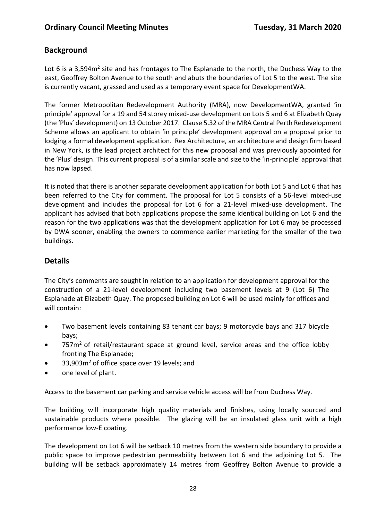# **Background**

Lot 6 is a 3,594 $m<sup>2</sup>$  site and has frontages to The Esplanade to the north, the Duchess Way to the east, Geoffrey Bolton Avenue to the south and abuts the boundaries of Lot 5 to the west. The site is currently vacant, grassed and used as a temporary event space for DevelopmentWA.

The former Metropolitan Redevelopment Authority (MRA), now DevelopmentWA, granted 'in principle' approval for a 19 and 54 storey mixed-use development on Lots 5 and 6 at Elizabeth Quay (the 'Plus' development) on 13 October 2017. Clause 5.32 of the MRA Central Perth Redevelopment Scheme allows an applicant to obtain 'in principle' development approval on a proposal prior to lodging a formal development application. Rex Architecture, an architecture and design firm based in New York, is the lead project architect for this new proposal and was previously appointed for the 'Plus' design. This current proposal is of a similar scale and size to the 'in-principle' approval that has now lapsed.

It is noted that there is another separate development application for both Lot 5 and Lot 6 that has been referred to the City for comment. The proposal for Lot 5 consists of a 56-level mixed-use development and includes the proposal for Lot 6 for a 21-level mixed-use development. The applicant has advised that both applications propose the same identical building on Lot 6 and the reason for the two applications was that the development application for Lot 6 may be processed by DWA sooner, enabling the owners to commence earlier marketing for the smaller of the two buildings.

# **Details**

The City's comments are sought in relation to an application for development approval for the construction of a 21-level development including two basement levels at 9 (Lot 6) The Esplanade at Elizabeth Quay. The proposed building on Lot 6 will be used mainly for offices and will contain:

- Two basement levels containing 83 tenant car bays; 9 motorcycle bays and 317 bicycle bays;
- 757m<sup>2</sup> of retail/restaurant space at ground level, service areas and the office lobby fronting The Esplanade;
- 33,903m<sup>2</sup> of office space over 19 levels; and
- one level of plant.

Access to the basement car parking and service vehicle access will be from Duchess Way.

The building will incorporate high quality materials and finishes, using locally sourced and sustainable products where possible. The glazing will be an insulated glass unit with a high performance low-E coating.

The development on Lot 6 will be setback 10 metres from the western side boundary to provide a public space to improve pedestrian permeability between Lot 6 and the adjoining Lot 5. The building will be setback approximately 14 metres from Geoffrey Bolton Avenue to provide a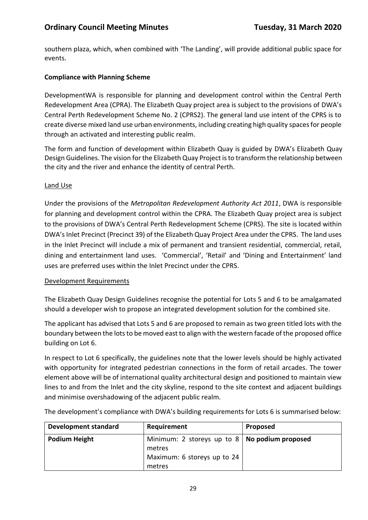southern plaza, which, when combined with 'The Landing', will provide additional public space for events.

# **Compliance with Planning Scheme**

DevelopmentWA is responsible for planning and development control within the Central Perth Redevelopment Area (CPRA). The Elizabeth Quay project area is subject to the provisions of DWA's Central Perth Redevelopment Scheme No. 2 (CPRS2). The general land use intent of the CPRS is to create diverse mixed land use urban environments, including creating high quality spaces for people through an activated and interesting public realm.

The form and function of development within Elizabeth Quay is guided by DWA's Elizabeth Quay Design Guidelines. The vision for the Elizabeth Quay Project is to transform the relationship between the city and the river and enhance the identity of central Perth.

# Land Use

Under the provisions of the *Metropolitan Redevelopment Authority Act 2011*, DWA is responsible for planning and development control within the CPRA. The Elizabeth Quay project area is subject to the provisions of DWA's Central Perth Redevelopment Scheme (CPRS). The site is located within DWA's Inlet Precinct (Precinct 39) of the Elizabeth Quay Project Area under the CPRS. The land uses in the Inlet Precinct will include a mix of permanent and transient residential, commercial, retail, dining and entertainment land uses. 'Commercial', 'Retail' and 'Dining and Entertainment' land uses are preferred uses within the Inlet Precinct under the CPRS.

# Development Requirements

The Elizabeth Quay Design Guidelines recognise the potential for Lots 5 and 6 to be amalgamated should a developer wish to propose an integrated development solution for the combined site.

The applicant has advised that Lots 5 and 6 are proposed to remain as two green titled lots with the boundary between the lots to be moved east to align with the western facade of the proposed office building on Lot 6.

In respect to Lot 6 specifically, the guidelines note that the lower levels should be highly activated with opportunity for integrated pedestrian connections in the form of retail arcades. The tower element above will be of international quality architectural design and positioned to maintain view lines to and from the Inlet and the city skyline, respond to the site context and adjacent buildings and minimise overshadowing of the adjacent public realm.

**Development standard Requirement Proposed Podium Height** Minimum: 2 storeys up to 8 metres Maximum: 6 storeys up to 24 metres **No podium proposed**

The development's compliance with DWA's building requirements for Lots 6 is summarised below: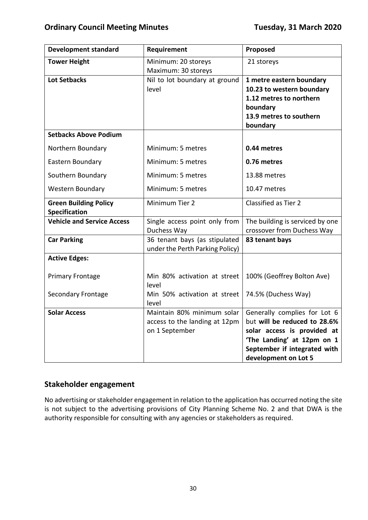| <b>Tower Height</b><br>Minimum: 20 storeys<br>21 storeys<br>Maximum: 30 storeys<br><b>Lot Setbacks</b><br>Nil to lot boundary at ground<br>1 metre eastern boundary<br>10.23 to western boundary<br>level<br>1.12 metres to northern<br>boundary<br>13.9 metres to southern<br>boundary<br><b>Setbacks Above Podium</b><br>Minimum: 5 metres<br>0.44 metres<br>Northern Boundary<br>Eastern Boundary<br>Minimum: 5 metres<br>0.76 metres<br>Southern Boundary<br>Minimum: 5 metres<br>13.88 metres<br><b>Western Boundary</b><br>Minimum: 5 metres<br>10.47 metres<br>Minimum Tier 2<br>Classified as Tier 2<br><b>Green Building Policy</b><br><b>Specification</b><br><b>Vehicle and Service Access</b><br>Single access point only from<br>The building is serviced by one<br>crossover from Duchess Way<br>Duchess Way<br>36 tenant bays (as stipulated<br><b>Car Parking</b><br>83 tenant bays<br>under the Perth Parking Policy)<br><b>Active Edges:</b><br>Min 80% activation at street<br><b>Primary Frontage</b><br>100% (Geoffrey Bolton Ave)<br>level<br><b>Secondary Frontage</b><br>Min 50% activation at street<br>74.5% (Duchess Way)<br>level<br>Maintain 80% minimum solar<br>Generally complies for Lot 6<br><b>Solar Access</b><br>but will be reduced to 28.6%<br>access to the landing at 12pm<br>on 1 September<br>solar access is provided at<br>'The Landing' at 12pm on 1<br>September if integrated with | <b>Development standard</b> | Requirement | Proposed |  |
|------------------------------------------------------------------------------------------------------------------------------------------------------------------------------------------------------------------------------------------------------------------------------------------------------------------------------------------------------------------------------------------------------------------------------------------------------------------------------------------------------------------------------------------------------------------------------------------------------------------------------------------------------------------------------------------------------------------------------------------------------------------------------------------------------------------------------------------------------------------------------------------------------------------------------------------------------------------------------------------------------------------------------------------------------------------------------------------------------------------------------------------------------------------------------------------------------------------------------------------------------------------------------------------------------------------------------------------------------------------------------------------------------------------------------------|-----------------------------|-------------|----------|--|
|                                                                                                                                                                                                                                                                                                                                                                                                                                                                                                                                                                                                                                                                                                                                                                                                                                                                                                                                                                                                                                                                                                                                                                                                                                                                                                                                                                                                                                    |                             |             |          |  |
|                                                                                                                                                                                                                                                                                                                                                                                                                                                                                                                                                                                                                                                                                                                                                                                                                                                                                                                                                                                                                                                                                                                                                                                                                                                                                                                                                                                                                                    |                             |             |          |  |
|                                                                                                                                                                                                                                                                                                                                                                                                                                                                                                                                                                                                                                                                                                                                                                                                                                                                                                                                                                                                                                                                                                                                                                                                                                                                                                                                                                                                                                    |                             |             |          |  |
|                                                                                                                                                                                                                                                                                                                                                                                                                                                                                                                                                                                                                                                                                                                                                                                                                                                                                                                                                                                                                                                                                                                                                                                                                                                                                                                                                                                                                                    |                             |             |          |  |
|                                                                                                                                                                                                                                                                                                                                                                                                                                                                                                                                                                                                                                                                                                                                                                                                                                                                                                                                                                                                                                                                                                                                                                                                                                                                                                                                                                                                                                    |                             |             |          |  |
|                                                                                                                                                                                                                                                                                                                                                                                                                                                                                                                                                                                                                                                                                                                                                                                                                                                                                                                                                                                                                                                                                                                                                                                                                                                                                                                                                                                                                                    |                             |             |          |  |
|                                                                                                                                                                                                                                                                                                                                                                                                                                                                                                                                                                                                                                                                                                                                                                                                                                                                                                                                                                                                                                                                                                                                                                                                                                                                                                                                                                                                                                    |                             |             |          |  |
|                                                                                                                                                                                                                                                                                                                                                                                                                                                                                                                                                                                                                                                                                                                                                                                                                                                                                                                                                                                                                                                                                                                                                                                                                                                                                                                                                                                                                                    |                             |             |          |  |
|                                                                                                                                                                                                                                                                                                                                                                                                                                                                                                                                                                                                                                                                                                                                                                                                                                                                                                                                                                                                                                                                                                                                                                                                                                                                                                                                                                                                                                    |                             |             |          |  |
|                                                                                                                                                                                                                                                                                                                                                                                                                                                                                                                                                                                                                                                                                                                                                                                                                                                                                                                                                                                                                                                                                                                                                                                                                                                                                                                                                                                                                                    |                             |             |          |  |
|                                                                                                                                                                                                                                                                                                                                                                                                                                                                                                                                                                                                                                                                                                                                                                                                                                                                                                                                                                                                                                                                                                                                                                                                                                                                                                                                                                                                                                    |                             |             |          |  |
|                                                                                                                                                                                                                                                                                                                                                                                                                                                                                                                                                                                                                                                                                                                                                                                                                                                                                                                                                                                                                                                                                                                                                                                                                                                                                                                                                                                                                                    |                             |             |          |  |
|                                                                                                                                                                                                                                                                                                                                                                                                                                                                                                                                                                                                                                                                                                                                                                                                                                                                                                                                                                                                                                                                                                                                                                                                                                                                                                                                                                                                                                    |                             |             |          |  |
|                                                                                                                                                                                                                                                                                                                                                                                                                                                                                                                                                                                                                                                                                                                                                                                                                                                                                                                                                                                                                                                                                                                                                                                                                                                                                                                                                                                                                                    |                             |             |          |  |
|                                                                                                                                                                                                                                                                                                                                                                                                                                                                                                                                                                                                                                                                                                                                                                                                                                                                                                                                                                                                                                                                                                                                                                                                                                                                                                                                                                                                                                    |                             |             |          |  |
|                                                                                                                                                                                                                                                                                                                                                                                                                                                                                                                                                                                                                                                                                                                                                                                                                                                                                                                                                                                                                                                                                                                                                                                                                                                                                                                                                                                                                                    |                             |             |          |  |
|                                                                                                                                                                                                                                                                                                                                                                                                                                                                                                                                                                                                                                                                                                                                                                                                                                                                                                                                                                                                                                                                                                                                                                                                                                                                                                                                                                                                                                    |                             |             |          |  |
|                                                                                                                                                                                                                                                                                                                                                                                                                                                                                                                                                                                                                                                                                                                                                                                                                                                                                                                                                                                                                                                                                                                                                                                                                                                                                                                                                                                                                                    |                             |             |          |  |
|                                                                                                                                                                                                                                                                                                                                                                                                                                                                                                                                                                                                                                                                                                                                                                                                                                                                                                                                                                                                                                                                                                                                                                                                                                                                                                                                                                                                                                    |                             |             |          |  |
|                                                                                                                                                                                                                                                                                                                                                                                                                                                                                                                                                                                                                                                                                                                                                                                                                                                                                                                                                                                                                                                                                                                                                                                                                                                                                                                                                                                                                                    |                             |             |          |  |
|                                                                                                                                                                                                                                                                                                                                                                                                                                                                                                                                                                                                                                                                                                                                                                                                                                                                                                                                                                                                                                                                                                                                                                                                                                                                                                                                                                                                                                    |                             |             |          |  |
|                                                                                                                                                                                                                                                                                                                                                                                                                                                                                                                                                                                                                                                                                                                                                                                                                                                                                                                                                                                                                                                                                                                                                                                                                                                                                                                                                                                                                                    |                             |             |          |  |
|                                                                                                                                                                                                                                                                                                                                                                                                                                                                                                                                                                                                                                                                                                                                                                                                                                                                                                                                                                                                                                                                                                                                                                                                                                                                                                                                                                                                                                    |                             |             |          |  |
|                                                                                                                                                                                                                                                                                                                                                                                                                                                                                                                                                                                                                                                                                                                                                                                                                                                                                                                                                                                                                                                                                                                                                                                                                                                                                                                                                                                                                                    |                             |             |          |  |
|                                                                                                                                                                                                                                                                                                                                                                                                                                                                                                                                                                                                                                                                                                                                                                                                                                                                                                                                                                                                                                                                                                                                                                                                                                                                                                                                                                                                                                    |                             |             |          |  |
|                                                                                                                                                                                                                                                                                                                                                                                                                                                                                                                                                                                                                                                                                                                                                                                                                                                                                                                                                                                                                                                                                                                                                                                                                                                                                                                                                                                                                                    |                             |             |          |  |
|                                                                                                                                                                                                                                                                                                                                                                                                                                                                                                                                                                                                                                                                                                                                                                                                                                                                                                                                                                                                                                                                                                                                                                                                                                                                                                                                                                                                                                    |                             |             |          |  |
|                                                                                                                                                                                                                                                                                                                                                                                                                                                                                                                                                                                                                                                                                                                                                                                                                                                                                                                                                                                                                                                                                                                                                                                                                                                                                                                                                                                                                                    |                             |             |          |  |
|                                                                                                                                                                                                                                                                                                                                                                                                                                                                                                                                                                                                                                                                                                                                                                                                                                                                                                                                                                                                                                                                                                                                                                                                                                                                                                                                                                                                                                    |                             |             |          |  |
|                                                                                                                                                                                                                                                                                                                                                                                                                                                                                                                                                                                                                                                                                                                                                                                                                                                                                                                                                                                                                                                                                                                                                                                                                                                                                                                                                                                                                                    |                             |             |          |  |
|                                                                                                                                                                                                                                                                                                                                                                                                                                                                                                                                                                                                                                                                                                                                                                                                                                                                                                                                                                                                                                                                                                                                                                                                                                                                                                                                                                                                                                    |                             |             |          |  |
|                                                                                                                                                                                                                                                                                                                                                                                                                                                                                                                                                                                                                                                                                                                                                                                                                                                                                                                                                                                                                                                                                                                                                                                                                                                                                                                                                                                                                                    |                             |             |          |  |
|                                                                                                                                                                                                                                                                                                                                                                                                                                                                                                                                                                                                                                                                                                                                                                                                                                                                                                                                                                                                                                                                                                                                                                                                                                                                                                                                                                                                                                    |                             |             |          |  |
| development on Lot 5                                                                                                                                                                                                                                                                                                                                                                                                                                                                                                                                                                                                                                                                                                                                                                                                                                                                                                                                                                                                                                                                                                                                                                                                                                                                                                                                                                                                               |                             |             |          |  |

# **Stakeholder engagement**

No advertising or stakeholder engagement in relation to the application has occurred noting the site is not subject to the advertising provisions of City Planning Scheme No. 2 and that DWA is the authority responsible for consulting with any agencies or stakeholders as required.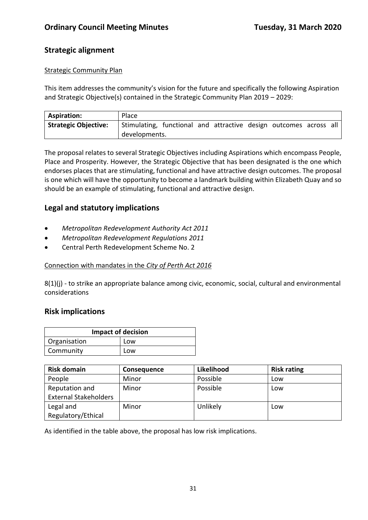# **Strategic alignment**

## Strategic Community Plan

This item addresses the community's vision for the future and specifically the following Aspiration and Strategic Objective(s) contained in the Strategic Community Plan 2019 – 2029:

| <b>Aspiration:</b>   | Place                                                             |  |  |  |  |
|----------------------|-------------------------------------------------------------------|--|--|--|--|
| Strategic Objective: | Stimulating, functional and attractive design outcomes across all |  |  |  |  |
|                      | developments.                                                     |  |  |  |  |

The proposal relates to several Strategic Objectives including Aspirations which encompass People, Place and Prosperity. However, the Strategic Objective that has been designated is the one which endorses places that are stimulating, functional and have attractive design outcomes. The proposal is one which will have the opportunity to become a landmark building within Elizabeth Quay and so should be an example of stimulating, functional and attractive design.

# **Legal and statutory implications**

- *Metropolitan Redevelopment Authority Act 2011*
- *Metropolitan Redevelopment Regulations 2011*
- Central Perth Redevelopment Scheme No. 2

#### Connection with mandates in the *City of Perth Act 2016*

8(1)(j) - to strike an appropriate balance among civic, economic, social, cultural and environmental considerations

# **Risk implications**

| <b>Impact of decision</b> |     |  |
|---------------------------|-----|--|
| Organisation              | Low |  |
| Community                 | Low |  |

| <b>Risk domain</b>           | <b>Consequence</b> | Likelihood | <b>Risk rating</b> |
|------------------------------|--------------------|------------|--------------------|
| People                       | Minor              | Possible   | Low                |
| Reputation and               | Minor              | Possible   | Low                |
| <b>External Stakeholders</b> |                    |            |                    |
| Legal and                    | Minor              | Unlikely   | Low                |
| Regulatory/Ethical           |                    |            |                    |

As identified in the table above, the proposal has low risk implications.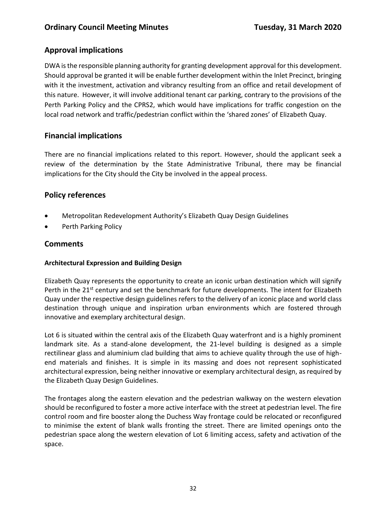# **Approval implications**

DWA is the responsible planning authority for granting development approval for this development. Should approval be granted it will be enable further development within the Inlet Precinct, bringing with it the investment, activation and vibrancy resulting from an office and retail development of this nature. However, it will involve additional tenant car parking, contrary to the provisions of the Perth Parking Policy and the CPRS2, which would have implications for traffic congestion on the local road network and traffic/pedestrian conflict within the 'shared zones' of Elizabeth Quay.

# **Financial implications**

There are no financial implications related to this report. However, should the applicant seek a review of the determination by the State Administrative Tribunal, there may be financial implications for the City should the City be involved in the appeal process.

# **Policy references**

- Metropolitan Redevelopment Authority's Elizabeth Quay Design Guidelines
- Perth Parking Policy

# **Comments**

# **Architectural Expression and Building Design**

Elizabeth Quay represents the opportunity to create an iconic urban destination which will signify Perth in the 21<sup>st</sup> century and set the benchmark for future developments. The intent for Elizabeth Quay under the respective design guidelines refers to the delivery of an iconic place and world class destination through unique and inspiration urban environments which are fostered through innovative and exemplary architectural design.

Lot 6 is situated within the central axis of the Elizabeth Quay waterfront and is a highly prominent landmark site. As a stand-alone development, the 21-level building is designed as a simple rectilinear glass and aluminium clad building that aims to achieve quality through the use of highend materials and finishes. It is simple in its massing and does not represent sophisticated architectural expression, being neither innovative or exemplary architectural design, as required by the Elizabeth Quay Design Guidelines.

The frontages along the eastern elevation and the pedestrian walkway on the western elevation should be reconfigured to foster a more active interface with the street at pedestrian level. The fire control room and fire booster along the Duchess Way frontage could be relocated or reconfigured to minimise the extent of blank walls fronting the street. There are limited openings onto the pedestrian space along the western elevation of Lot 6 limiting access, safety and activation of the space.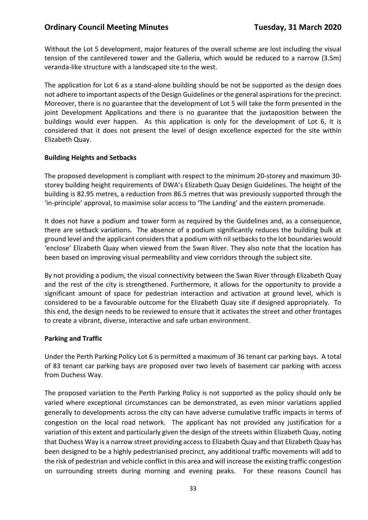## **Ordinary Council Meeting Minutes <b>Tuesday, 31 March 2020**

Without the Lot 5 development, major features of the overall scheme are lost including the visual tension of the cantilevered tower and the Galleria, which would be reduced to a narrow (3.5m) veranda-like structure with a landscaped site to the west.

The application for Lot 6 as a stand-alone building should be not be supported as the design does not adhere to important aspects of the Design Guidelines or the general aspirations for the precinct. Moreover, there is no guarantee that the development of Lot 5 will take the form presented in the joint Development Applications and there is no guarantee that the juxtaposition between the buildings would ever happen. As this application is only for the development of Lot 6, it is considered that it does not present the level of design excellence expected for the site within Elizabeth Quay.

#### **Building Heights and Setbacks**

The proposed development is compliant with respect to the minimum 20-storey and maximum 30 storey building height requirements of DWA's Elizabeth Quay Design Guidelines. The height of the building is 82.95 metres, a reduction from 86.5 metres that was previously supported through the 'in-principle' approval, to maximise solar access to 'The Landing' and the eastern promenade.

It does not have a podium and tower form as required by the Guidelines and, as a consequence, there are setback variations. The absence of a podium significantly reduces the building bulk at ground level and the applicant considers that a podium with nil setbacks to the lot boundaries would 'enclose' Elizabeth Quay when viewed from the Swan River. They also note that the location has been based on improving visual permeability and view corridors through the subject site.

By not providing a podium, the visual connectivity between the Swan River through Elizabeth Quay and the rest of the city is strengthened. Furthermore, it allows for the opportunity to provide a significant amount of space for pedestrian interaction and activation at ground level, which is considered to be a favourable outcome for the Elizabeth Quay site if designed appropriately. To this end, the design needs to be reviewed to ensure that it activates the street and other frontages to create a vibrant, diverse, interactive and safe urban environment.

#### **Parking and Traffic**

Under the Perth Parking Policy Lot 6 is permitted a maximum of 36 tenant car parking bays. A total of 83 tenant car parking bays are proposed over two levels of basement car parking with access from Duchess Way.

The proposed variation to the Perth Parking Policy is not supported as the policy should only be varied where exceptional circumstances can be demonstrated, as even minor variations applied generally to developments across the city can have adverse cumulative traffic impacts in terms of congestion on the local road network. The applicant has not provided any justification for a variation of this extent and particularly given the design of the streets within Elizabeth Quay, noting that Duchess Way is a narrow street providing access to Elizabeth Quay and that Elizabeth Quay has been designed to be a highly pedestrianised precinct, any additional traffic movements will add to the risk of pedestrian and vehicle conflict in this area and will increase the existing traffic congestion on surrounding streets during morning and evening peaks. For these reasons Council has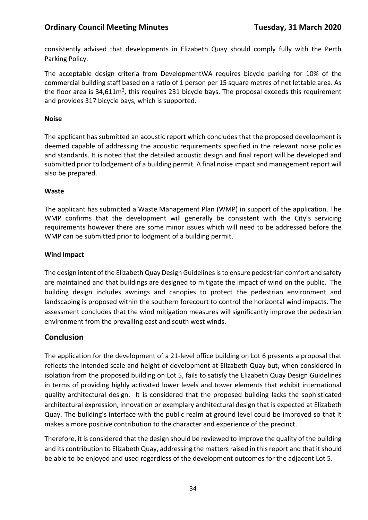consistently advised that developments in Elizabeth Quay should comply fully with the Perth Parking Policy.

The acceptable design criteria from DevelopmentWA requires bicycle parking for 10% of the commercial building staff based on a ratio of 1 person per 15 square metres of net lettable area. As the floor area is 34,611m<sup>2</sup>, this requires 231 bicycle bays. The proposal exceeds this requirement and provides 317 bicycle bays, which is supported.

#### **Noise**

The applicant has submitted an acoustic report which concludes that the proposed development is deemed capable of addressing the acoustic requirements specified in the relevant noise policies and standards. It is noted that the detailed acoustic design and final report will be developed and submitted prior to lodgement of a building permit. A final noise impact and management report will also be prepared.

## **Waste**

The applicant has submitted a Waste Management Plan (WMP) in support of the application. The WMP confirms that the development will generally be consistent with the City's servicing requirements however there are some minor issues which will need to be addressed before the WMP can be submitted prior to lodgment of a building permit.

## **Wind Impact**

The design intent of the Elizabeth Quay Design Guidelines is to ensure pedestrian comfort and safety are maintained and that buildings are designed to mitigate the impact of wind on the public. The building design includes awnings and canopies to protect the pedestrian environment and landscaping is proposed within the southern forecourt to control the horizontal wind impacts. The assessment concludes that the wind mitigation measures will significantly improve the pedestrian environment from the prevailing east and south west winds.

# **Conclusion**

The application for the development of a 21-level office building on Lot 6 presents a proposal that reflects the intended scale and height of development at Elizabeth Quay but, when considered in isolation from the proposed building on Lot 5, fails to satisfy the Elizabeth Quay Design Guidelines in terms of providing highly activated lower levels and tower elements that exhibit international quality architectural design. It is considered that the proposed building lacks the sophisticated architectural expression, innovation or exemplary architectural design that is expected at Elizabeth Quay. The building's interface with the public realm at ground level could be improved so that it makes a more positive contribution to the character and experience of the precinct.

Therefore, it is considered that the design should be reviewed to improve the quality of the building and its contribution to Elizabeth Quay, addressing the matters raised in this report and that it should be able to be enjoyed and used regardless of the development outcomes for the adjacent Lot 5.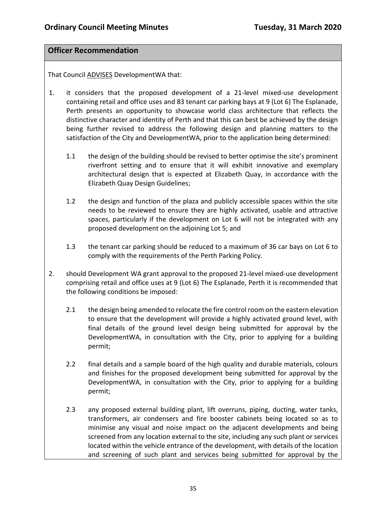# **Officer Recommendation**

That Council ADVISES DevelopmentWA that:

- 1. it considers that the proposed development of a 21-level mixed-use development containing retail and office uses and 83 tenant car parking bays at 9 (Lot 6) The Esplanade, Perth presents an opportunity to showcase world class architecture that reflects the distinctive character and identity of Perth and that this can best be achieved by the design being further revised to address the following design and planning matters to the satisfaction of the City and DevelopmentWA, prior to the application being determined:
	- 1.1 the design of the building should be revised to better optimise the site's prominent riverfront setting and to ensure that it will exhibit innovative and exemplary architectural design that is expected at Elizabeth Quay, in accordance with the Elizabeth Quay Design Guidelines;
	- 1.2 the design and function of the plaza and publicly accessible spaces within the site needs to be reviewed to ensure they are highly activated, usable and attractive spaces, particularly if the development on Lot 6 will not be integrated with any proposed development on the adjoining Lot 5; and
	- 1.3 the tenant car parking should be reduced to a maximum of 36 car bays on Lot 6 to comply with the requirements of the Perth Parking Policy.
- 2. should Development WA grant approval to the proposed 21-level mixed-use development comprising retail and office uses at 9 (Lot 6) The Esplanade, Perth it is recommended that the following conditions be imposed:
	- 2.1 the design being amended to relocate the fire control room on the eastern elevation to ensure that the development will provide a highly activated ground level, with final details of the ground level design being submitted for approval by the DevelopmentWA, in consultation with the City, prior to applying for a building permit;
	- 2.2 final details and a sample board of the high quality and durable materials, colours and finishes for the proposed development being submitted for approval by the DevelopmentWA, in consultation with the City, prior to applying for a building permit;
	- 2.3 any proposed external building plant, lift overruns, piping, ducting, water tanks, transformers, air condensers and fire booster cabinets being located so as to minimise any visual and noise impact on the adjacent developments and being screened from any location external to the site, including any such plant or services located within the vehicle entrance of the development, with details of the location and screening of such plant and services being submitted for approval by the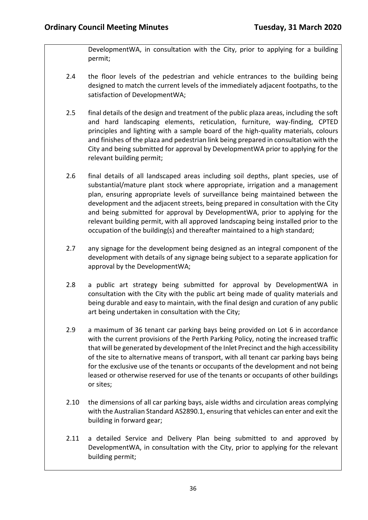DevelopmentWA, in consultation with the City, prior to applying for a building permit;

- 2.4 the floor levels of the pedestrian and vehicle entrances to the building being designed to match the current levels of the immediately adjacent footpaths, to the satisfaction of DevelopmentWA;
- 2.5 final details of the design and treatment of the public plaza areas, including the soft and hard landscaping elements, reticulation, furniture, way-finding, CPTED principles and lighting with a sample board of the high-quality materials, colours and finishes of the plaza and pedestrian link being prepared in consultation with the City and being submitted for approval by DevelopmentWA prior to applying for the relevant building permit;
- 2.6 final details of all landscaped areas including soil depths, plant species, use of substantial/mature plant stock where appropriate, irrigation and a management plan, ensuring appropriate levels of surveillance being maintained between the development and the adjacent streets, being prepared in consultation with the City and being submitted for approval by DevelopmentWA, prior to applying for the relevant building permit, with all approved landscaping being installed prior to the occupation of the building(s) and thereafter maintained to a high standard;
- 2.7 any signage for the development being designed as an integral component of the development with details of any signage being subject to a separate application for approval by the DevelopmentWA;
- 2.8 a public art strategy being submitted for approval by DevelopmentWA in consultation with the City with the public art being made of quality materials and being durable and easy to maintain, with the final design and curation of any public art being undertaken in consultation with the City;
- 2.9 a maximum of 36 tenant car parking bays being provided on Lot 6 in accordance with the current provisions of the Perth Parking Policy, noting the increased traffic that will be generated by development of the Inlet Precinct and the high accessibility of the site to alternative means of transport, with all tenant car parking bays being for the exclusive use of the tenants or occupants of the development and not being leased or otherwise reserved for use of the tenants or occupants of other buildings or sites;
- 2.10 the dimensions of all car parking bays, aisle widths and circulation areas complying with the Australian Standard AS2890.1, ensuring that vehicles can enter and exit the building in forward gear;
- 2.11 a detailed Service and Delivery Plan being submitted to and approved by DevelopmentWA, in consultation with the City, prior to applying for the relevant building permit;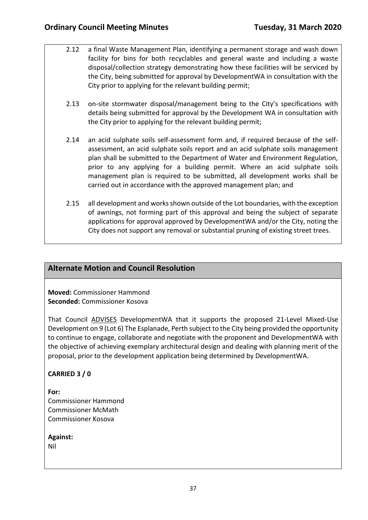- 2.12 a final Waste Management Plan, identifying a permanent storage and wash down facility for bins for both recyclables and general waste and including a waste disposal/collection strategy demonstrating how these facilities will be serviced by the City, being submitted for approval by DevelopmentWA in consultation with the City prior to applying for the relevant building permit;
	- 2.13 on-site stormwater disposal/management being to the City's specifications with details being submitted for approval by the Development WA in consultation with the City prior to applying for the relevant building permit;
- 2.14 an acid sulphate soils self-assessment form and, if required because of the selfassessment, an acid sulphate soils report and an acid sulphate soils management plan shall be submitted to the Department of Water and Environment Regulation, prior to any applying for a building permit. Where an acid sulphate soils management plan is required to be submitted, all development works shall be carried out in accordance with the approved management plan; and
- 2.15 all development and works shown outside of the Lot boundaries, with the exception of awnings, not forming part of this approval and being the subject of separate applications for approval approved by DevelopmentWA and/or the City, noting the City does not support any removal or substantial pruning of existing street trees.

# **Alternate Motion and Council Resolution**

**Moved:** Commissioner Hammond **Seconded:** Commissioner Kosova

That Council ADVISES DevelopmentWA that it supports the proposed 21-Level Mixed-Use Development on 9 (Lot 6) The Esplanade, Perth subject to the City being provided the opportunity to continue to engage, collaborate and negotiate with the proponent and DevelopmentWA with the objective of achieving exemplary architectural design and dealing with planning merit of the proposal, prior to the development application being determined by DevelopmentWA.

## **CARRIED 3 / 0**

**For:**  Commissioner Hammond Commissioner McMath Commissioner Kosova

### **Against:**

Nil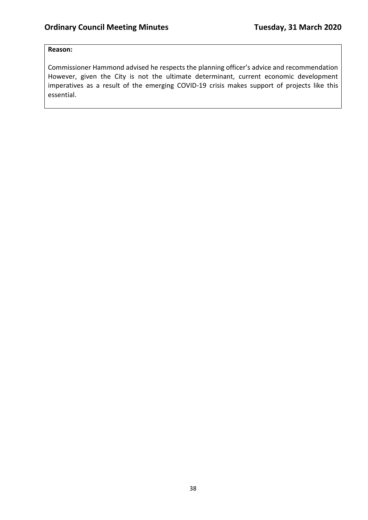### **Reason:**

Commissioner Hammond advised he respects the planning officer's advice and recommendation However, given the City is not the ultimate determinant, current economic development imperatives as a result of the emerging COVID-19 crisis makes support of projects like this essential.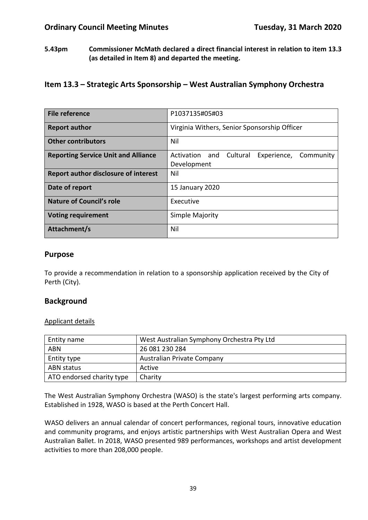**5.43pm Commissioner McMath declared a direct financial interest in relation to item 13.3 (as detailed in Item 8) and departed the meeting.** 

# **Item 13.3 – Strategic Arts Sponsorship – West Australian Symphony Orchestra**

| <b>File reference</b>                       | P1037135#05#03                                                        |  |  |  |
|---------------------------------------------|-----------------------------------------------------------------------|--|--|--|
| <b>Report author</b>                        | Virginia Withers, Senior Sponsorship Officer                          |  |  |  |
| <b>Other contributors</b>                   | Nil                                                                   |  |  |  |
| <b>Reporting Service Unit and Alliance</b>  | Activation<br>and<br>Cultural<br>Experience, Community<br>Development |  |  |  |
| <b>Report author disclosure of interest</b> | Nil                                                                   |  |  |  |
| Date of report                              | 15 January 2020                                                       |  |  |  |
| <b>Nature of Council's role</b>             | Executive                                                             |  |  |  |
| <b>Voting requirement</b>                   | Simple Majority                                                       |  |  |  |
| Attachment/s                                | Nil                                                                   |  |  |  |

### **Purpose**

To provide a recommendation in relation to a sponsorship application received by the City of Perth (City).

## **Background**

#### Applicant details

| Entity name               | West Australian Symphony Orchestra Pty Ltd |  |
|---------------------------|--------------------------------------------|--|
| <b>ABN</b>                | 26 081 230 284                             |  |
| Entity type               | Australian Private Company                 |  |
| ABN status                | Active                                     |  |
| ATO endorsed charity type | Charity                                    |  |

The West Australian Symphony Orchestra (WASO) is the state's largest performing arts company. Established in 1928, WASO is based at the Perth Concert Hall.

WASO delivers an annual calendar of concert performances, regional tours, innovative education and community programs, and enjoys artistic partnerships with West Australian Opera and West Australian Ballet. In 2018, WASO presented 989 performances, workshops and artist development activities to more than 208,000 people.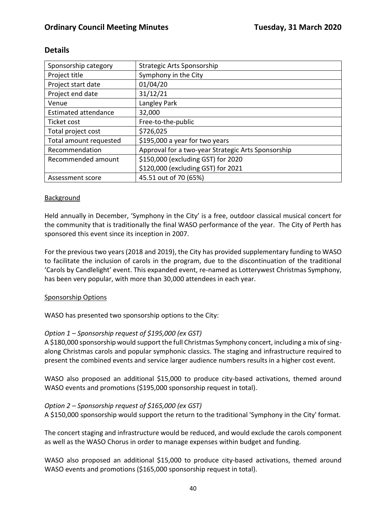| Sponsorship category        | Strategic Arts Sponsorship                         |  |
|-----------------------------|----------------------------------------------------|--|
| Project title               | Symphony in the City                               |  |
| Project start date          | 01/04/20                                           |  |
| Project end date            | 31/12/21                                           |  |
| Venue                       | Langley Park                                       |  |
| <b>Estimated attendance</b> | 32,000                                             |  |
| Ticket cost                 | Free-to-the-public                                 |  |
| Total project cost          | \$726,025                                          |  |
| Total amount requested      | \$195,000 a year for two years                     |  |
| Recommendation              | Approval for a two-year Strategic Arts Sponsorship |  |
| Recommended amount          | \$150,000 (excluding GST) for 2020                 |  |
|                             | \$120,000 (excluding GST) for 2021                 |  |
| Assessment score            | 45.51 out of 70 (65%)                              |  |

# **Details**

### Background

Held annually in December, 'Symphony in the City' is a free, outdoor classical musical concert for the community that is traditionally the final WASO performance of the year. The City of Perth has sponsored this event since its inception in 2007.

For the previous two years (2018 and 2019), the City has provided supplementary funding to WASO to facilitate the inclusion of carols in the program, due to the discontinuation of the traditional 'Carols by Candlelight' event. This expanded event, re-named as Lotterywest Christmas Symphony, has been very popular, with more than 30,000 attendees in each year.

### Sponsorship Options

WASO has presented two sponsorship options to the City:

### *Option 1 – Sponsorship request of \$195,000 (ex GST)*

A \$180,000 sponsorship would support the full Christmas Symphony concert, including a mix of singalong Christmas carols and popular symphonic classics. The staging and infrastructure required to present the combined events and service larger audience numbers results in a higher cost event.

WASO also proposed an additional \$15,000 to produce city-based activations, themed around WASO events and promotions (\$195,000 sponsorship request in total).

### *Option 2 – Sponsorship request of \$165,000 (ex GST)*

A \$150,000 sponsorship would support the return to the traditional 'Symphony in the City' format.

The concert staging and infrastructure would be reduced, and would exclude the carols component as well as the WASO Chorus in order to manage expenses within budget and funding.

WASO also proposed an additional \$15,000 to produce city-based activations, themed around WASO events and promotions (\$165,000 sponsorship request in total).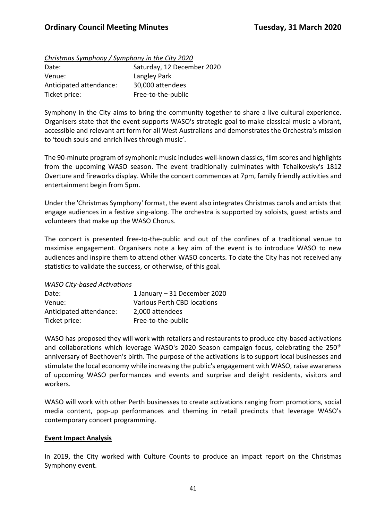#### *Christmas Symphony / Symphony in the City 2020*

| Date:                   | Saturday, 12 December 2020 |
|-------------------------|----------------------------|
| Venue:                  | Langley Park               |
| Anticipated attendance: | 30,000 attendees           |
| Ticket price:           | Free-to-the-public         |

Symphony in the City aims to bring the community together to share a live cultural experience. Organisers state that the event supports WASO's strategic goal to make classical music a vibrant, accessible and relevant art form for all West Australians and demonstrates the Orchestra's mission to 'touch souls and enrich lives through music'.

The 90-minute program of symphonic music includes well-known classics, film scores and highlights from the upcoming WASO season. The event traditionally culminates with Tchaikovsky's 1812 Overture and fireworks display. While the concert commences at 7pm, family friendly activities and entertainment begin from 5pm.

Under the 'Christmas Symphony' format, the event also integrates Christmas carols and artists that engage audiences in a festive sing-along. The orchestra is supported by soloists, guest artists and volunteers that make up the WASO Chorus.

The concert is presented free-to-the-public and out of the confines of a traditional venue to maximise engagement. Organisers note a key aim of the event is to introduce WASO to new audiences and inspire them to attend other WASO concerts. To date the City has not received any statistics to validate the success, or otherwise, of this goal.

#### *WASO City-based Activations*

| Date:                   | 1 January - 31 December 2020 |
|-------------------------|------------------------------|
| Venue:                  | Various Perth CBD locations  |
| Anticipated attendance: | 2,000 attendees              |
| Ticket price:           | Free-to-the-public           |

WASO has proposed they will work with retailers and restaurants to produce city-based activations and collaborations which leverage WASO's 2020 Season campaign focus, celebrating the 250<sup>th</sup> anniversary of Beethoven's birth. The purpose of the activations is to support local businesses and stimulate the local economy while increasing the public's engagement with WASO, raise awareness of upcoming WASO performances and events and surprise and delight residents, visitors and workers.

WASO will work with other Perth businesses to create activations ranging from promotions, social media content, pop-up performances and theming in retail precincts that leverage WASO's contemporary concert programming.

#### **Event Impact Analysis**

In 2019, the City worked with Culture Counts to produce an impact report on the Christmas Symphony event.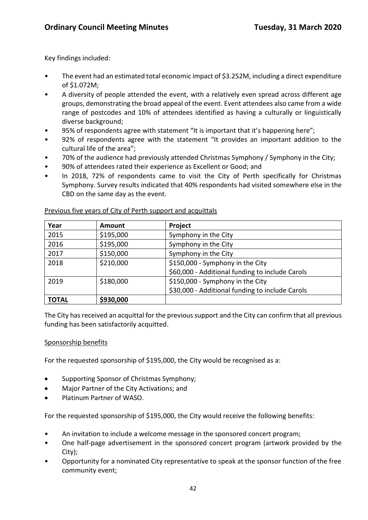Key findings included:

- The event had an estimated total economic impact of \$3.252M, including a direct expenditure of \$1.072M;
- A diversity of people attended the event, with a relatively even spread across different age groups, demonstrating the broad appeal of the event. Event attendees also came from a wide range of postcodes and 10% of attendees identified as having a culturally or linguistically diverse background;
- 95% of respondents agree with statement "It is important that it's happening here";
- 92% of respondents agree with the statement "It provides an important addition to the cultural life of the area";
- 70% of the audience had previously attended Christmas Symphony / Symphony in the City;
- 90% of attendees rated their experience as Excellent or Good; and
- In 2018, 72% of respondents came to visit the City of Perth specifically for Christmas Symphony. Survey results indicated that 40% respondents had visited somewhere else in the CBD on the same day as the event.

| Year         | <b>Amount</b> | Project                                         |  |
|--------------|---------------|-------------------------------------------------|--|
| 2015         | \$195,000     | Symphony in the City                            |  |
| 2016         | \$195,000     | Symphony in the City                            |  |
| 2017         | \$150,000     | Symphony in the City                            |  |
| 2018         | \$210,000     | \$150,000 - Symphony in the City                |  |
|              |               | \$60,000 - Additional funding to include Carols |  |
| 2019         | \$180,000     | \$150,000 - Symphony in the City                |  |
|              |               | \$30,000 - Additional funding to include Carols |  |
| <b>TOTAL</b> | \$930,000     |                                                 |  |

#### Previous five years of City of Perth support and acquittals

The City has received an acquittal for the previous support and the City can confirm that all previous funding has been satisfactorily acquitted.

### Sponsorship benefits

For the requested sponsorship of \$195,000, the City would be recognised as a:

- Supporting Sponsor of Christmas Symphony;
- Major Partner of the City Activations; and
- Platinum Partner of WASO.

For the requested sponsorship of \$195,000, the City would receive the following benefits:

- An invitation to include a welcome message in the sponsored concert program;
- One half-page advertisement in the sponsored concert program (artwork provided by the City);
- Opportunity for a nominated City representative to speak at the sponsor function of the free community event;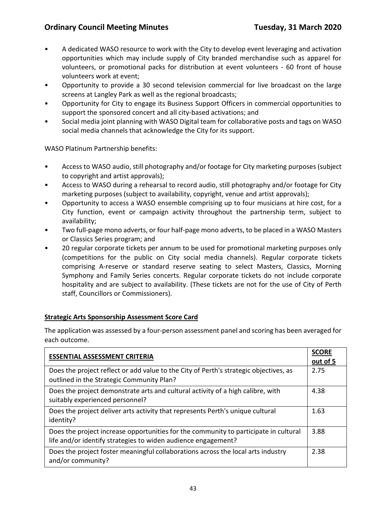## **Ordinary Council Meeting Minutes <b>Tuesday, 31 March 2020**

- A dedicated WASO resource to work with the City to develop event leveraging and activation opportunities which may include supply of City branded merchandise such as apparel for volunteers, or promotional packs for distribution at event volunteers - 60 front of house volunteers work at event;
- Opportunity to provide a 30 second television commercial for live broadcast on the large screens at Langley Park as well as the regional broadcasts;
- Opportunity for City to engage its Business Support Officers in commercial opportunities to support the sponsored concert and all city-based activations; and
- Social media joint planning with WASO Digital team for collaborative posts and tags on WASO social media channels that acknowledge the City for its support.

WASO Platinum Partnership benefits:

- Access to WASO audio, still photography and/or footage for City marketing purposes (subject to copyright and artist approvals);
- Access to WASO during a rehearsal to record audio, still photography and/or footage for City marketing purposes (subject to availability, copyright, venue and artist approvals);
- Opportunity to access a WASO ensemble comprising up to four musicians at hire cost, for a City function, event or campaign activity throughout the partnership term, subject to availability;
- Two full-page mono adverts, or four half-page mono adverts, to be placed in a WASO Masters or Classics Series program; and
- 20 regular corporate tickets per annum to be used for promotional marketing purposes only (competitions for the public on City social media channels). Regular corporate tickets comprising A-reserve or standard reserve seating to select Masters, Classics, Morning Symphony and Family Series concerts. Regular corporate tickets do not include corporate hospitality and are subject to availability. (These tickets are not for the use of City of Perth staff, Councillors or Commissioners).

### **Strategic Arts Sponsorship Assessment Score Card**

The application was assessed by a four-person assessment panel and scoring has been averaged for each outcome.

| <b>ESSENTIAL ASSESSMENT CRITERIA</b>                                                                                                                  |      |  |
|-------------------------------------------------------------------------------------------------------------------------------------------------------|------|--|
| Does the project reflect or add value to the City of Perth's strategic objectives, as<br>outlined in the Strategic Community Plan?                    | 2.75 |  |
| Does the project demonstrate arts and cultural activity of a high calibre, with<br>suitably experienced personnel?                                    | 4.38 |  |
| Does the project deliver arts activity that represents Perth's unique cultural<br>identity?                                                           | 1.63 |  |
| Does the project increase opportunities for the community to participate in cultural<br>life and/or identify strategies to widen audience engagement? | 3.88 |  |
| Does the project foster meaningful collaborations across the local arts industry<br>and/or community?                                                 | 2.38 |  |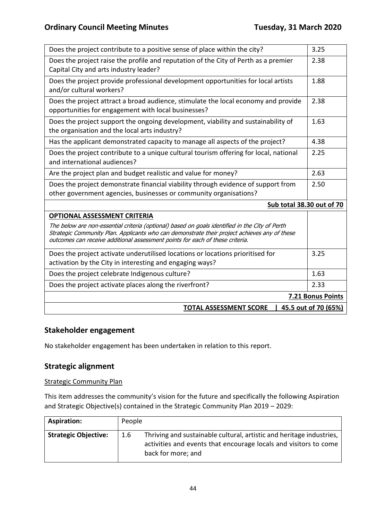| Does the project contribute to a positive sense of place within the city?                                                                                                                                                                                                       | 3.25                      |  |
|---------------------------------------------------------------------------------------------------------------------------------------------------------------------------------------------------------------------------------------------------------------------------------|---------------------------|--|
| Does the project raise the profile and reputation of the City of Perth as a premier<br>Capital City and arts industry leader?                                                                                                                                                   | 2.38                      |  |
| Does the project provide professional development opportunities for local artists<br>and/or cultural workers?                                                                                                                                                                   | 1.88                      |  |
| Does the project attract a broad audience, stimulate the local economy and provide<br>opportunities for engagement with local businesses?                                                                                                                                       | 2.38                      |  |
| Does the project support the ongoing development, viability and sustainability of<br>the organisation and the local arts industry?                                                                                                                                              | 1.63                      |  |
| Has the applicant demonstrated capacity to manage all aspects of the project?                                                                                                                                                                                                   | 4.38                      |  |
| Does the project contribute to a unique cultural tourism offering for local, national<br>and international audiences?                                                                                                                                                           | 2.25                      |  |
| Are the project plan and budget realistic and value for money?                                                                                                                                                                                                                  | 2.63                      |  |
| Does the project demonstrate financial viability through evidence of support from<br>other government agencies, businesses or community organisations?                                                                                                                          | 2.50                      |  |
|                                                                                                                                                                                                                                                                                 | Sub total 38.30 out of 70 |  |
| <b>OPTIONAL ASSESSMENT CRITERIA</b>                                                                                                                                                                                                                                             |                           |  |
| The below are non-essential criteria (optional) based on goals identified in the City of Perth<br>Strategic Community Plan. Applicants who can demonstrate their project achieves any of these<br>outcomes can receive additional assessment points for each of these criteria. |                           |  |
| Does the project activate underutilised locations or locations prioritised for<br>activation by the City in interesting and engaging ways?                                                                                                                                      | 3.25                      |  |
| Does the project celebrate Indigenous culture?                                                                                                                                                                                                                                  | 1.63                      |  |
| Does the project activate places along the riverfront?                                                                                                                                                                                                                          |                           |  |
| 7.21 Bonus Points                                                                                                                                                                                                                                                               |                           |  |
| <b>TOTAL ASSESSMENT SCORE</b><br>45.5 out of 70 (65%)                                                                                                                                                                                                                           |                           |  |
|                                                                                                                                                                                                                                                                                 |                           |  |

# **Stakeholder engagement**

No stakeholder engagement has been undertaken in relation to this report.

# **Strategic alignment**

### Strategic Community Plan

This item addresses the community's vision for the future and specifically the following Aspiration and Strategic Objective(s) contained in the Strategic Community Plan 2019 – 2029:

| <b>Aspiration:</b>          | People |                                                                                                                                                                |
|-----------------------------|--------|----------------------------------------------------------------------------------------------------------------------------------------------------------------|
| <b>Strategic Objective:</b> | 1.6    | Thriving and sustainable cultural, artistic and heritage industries,<br>activities and events that encourage locals and visitors to come<br>back for more; and |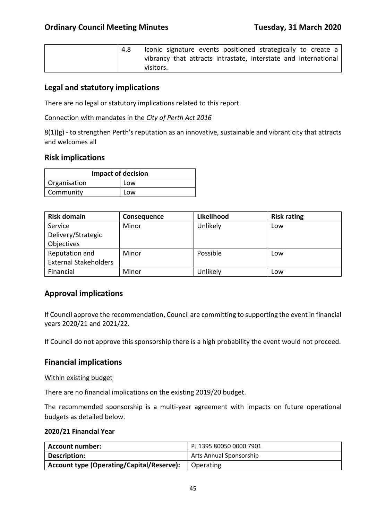| Iconic signature events positioned strategically to create a    |
|-----------------------------------------------------------------|
| vibrancy that attracts intrastate, interstate and international |
| visitors.                                                       |

### **Legal and statutory implications**

There are no legal or statutory implications related to this report.

Connection with mandates in the *City of Perth Act 2016*

8(1)(g) - to strengthen Perth's reputation as an innovative, sustainable and vibrant city that attracts and welcomes all

#### **Risk implications**

| <b>Impact of decision</b> |     |  |
|---------------------------|-----|--|
| Organisation              | Low |  |
| Community                 | Low |  |

| <b>Risk domain</b>           | <b>Consequence</b> | Likelihood | <b>Risk rating</b> |
|------------------------------|--------------------|------------|--------------------|
| Service                      | Minor              | Unlikely   | Low                |
| Delivery/Strategic           |                    |            |                    |
| Objectives                   |                    |            |                    |
| Reputation and               | Minor              | Possible   | Low                |
| <b>External Stakeholders</b> |                    |            |                    |
| Financial                    | Minor              | Unlikely   | Low                |

## **Approval implications**

If Council approve the recommendation, Council are committing to supporting the event in financial years 2020/21 and 2021/22.

If Council do not approve this sponsorship there is a high probability the event would not proceed.

### **Financial implications**

#### Within existing budget

There are no financial implications on the existing 2019/20 budget.

The recommended sponsorship is a multi-year agreement with impacts on future operational budgets as detailed below.

#### **2020/21 Financial Year**

| Account number:                           | PJ 1395 80050 0000 7901 |
|-------------------------------------------|-------------------------|
| Description:                              | Arts Annual Sponsorship |
| Account type (Operating/Capital/Reserve): | Operating               |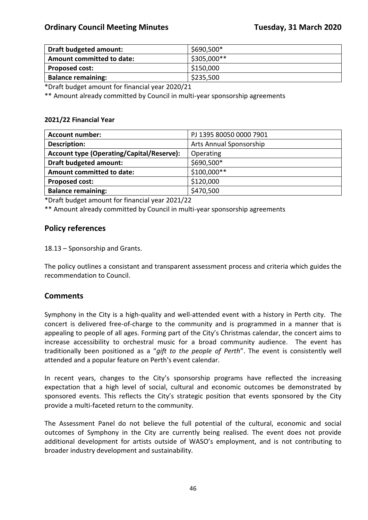| Draft budgeted amount:           | \$690,500*  |
|----------------------------------|-------------|
| <b>Amount committed to date:</b> | \$305,000** |
| <b>Proposed cost:</b>            | \$150,000   |
| <b>Balance remaining:</b>        | \$235,500   |

\*Draft budget amount for financial year 2020/21

\*\* Amount already committed by Council in multi-year sponsorship agreements

#### **2021/22 Financial Year**

| <b>Account number:</b>                           | PJ 1395 80050 0000 7901 |
|--------------------------------------------------|-------------------------|
| <b>Description:</b>                              | Arts Annual Sponsorship |
| <b>Account type (Operating/Capital/Reserve):</b> | Operating               |
| <b>Draft budgeted amount:</b>                    | \$690,500*              |
| <b>Amount committed to date:</b>                 | \$100,000**             |
| <b>Proposed cost:</b>                            | \$120,000               |
| <b>Balance remaining:</b>                        | \$470,500               |

\*Draft budget amount for financial year 2021/22

\*\* Amount already committed by Council in multi-year sponsorship agreements

## **Policy references**

18.13 – Sponsorship and Grants.

The policy outlines a consistant and transparent assessment process and criteria which guides the recommendation to Council.

## **Comments**

Symphony in the City is a high-quality and well-attended event with a history in Perth city. The concert is delivered free-of-charge to the community and is programmed in a manner that is appealing to people of all ages. Forming part of the City's Christmas calendar, the concert aims to increase accessibility to orchestral music for a broad community audience. The event has traditionally been positioned as a "*gift to the people of Perth*". The event is consistently well attended and a popular feature on Perth's event calendar.

In recent years, changes to the City's sponsorship programs have reflected the increasing expectation that a high level of social, cultural and economic outcomes be demonstrated by sponsored events. This reflects the City's strategic position that events sponsored by the City provide a multi-faceted return to the community.

The Assessment Panel do not believe the full potential of the cultural, economic and social outcomes of Symphony in the City are currently being realised. The event does not provide additional development for artists outside of WASO's employment, and is not contributing to broader industry development and sustainability.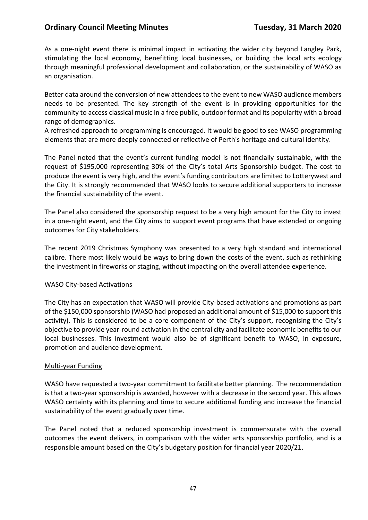### **Ordinary Council Meeting Minutes <b>Tuesday, 31 March 2020**

As a one-night event there is minimal impact in activating the wider city beyond Langley Park, stimulating the local economy, benefitting local businesses, or building the local arts ecology through meaningful professional development and collaboration, or the sustainability of WASO as an organisation.

Better data around the conversion of new attendees to the event to new WASO audience members needs to be presented. The key strength of the event is in providing opportunities for the community to access classical music in a free public, outdoor format and its popularity with a broad range of demographics.

A refreshed approach to programming is encouraged. It would be good to see WASO programming elements that are more deeply connected or reflective of Perth's heritage and cultural identity.

The Panel noted that the event's current funding model is not financially sustainable, with the request of \$195,000 representing 30% of the City's total Arts Sponsorship budget. The cost to produce the event is very high, and the event's funding contributors are limited to Lotterywest and the City. It is strongly recommended that WASO looks to secure additional supporters to increase the financial sustainability of the event.

The Panel also considered the sponsorship request to be a very high amount for the City to invest in a one-night event, and the City aims to support event programs that have extended or ongoing outcomes for City stakeholders.

The recent 2019 Christmas Symphony was presented to a very high standard and international calibre. There most likely would be ways to bring down the costs of the event, such as rethinking the investment in fireworks or staging, without impacting on the overall attendee experience.

#### WASO City-based Activations

The City has an expectation that WASO will provide City-based activations and promotions as part of the \$150,000 sponsorship (WASO had proposed an additional amount of \$15,000 to support this activity). This is considered to be a core component of the City's support, recognising the City's objective to provide year-round activation in the central city and facilitate economic benefits to our local businesses. This investment would also be of significant benefit to WASO, in exposure, promotion and audience development.

### Multi-year Funding

WASO have requested a two-year commitment to facilitate better planning. The recommendation is that a two-year sponsorship is awarded, however with a decrease in the second year. This allows WASO certainty with its planning and time to secure additional funding and increase the financial sustainability of the event gradually over time.

The Panel noted that a reduced sponsorship investment is commensurate with the overall outcomes the event delivers, in comparison with the wider arts sponsorship portfolio, and is a responsible amount based on the City's budgetary position for financial year 2020/21.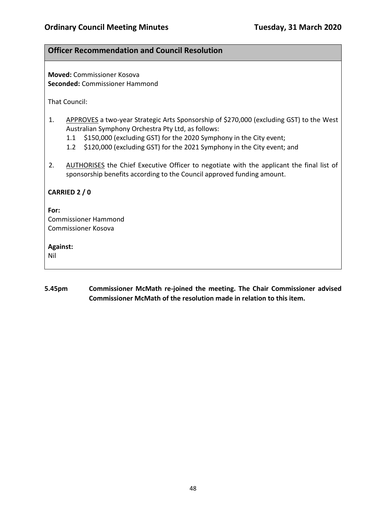## **Officer Recommendation and Council Resolution**

**Moved:** Commissioner Kosova **Seconded:** Commissioner Hammond

That Council:

- 1. APPROVES a two-year Strategic Arts Sponsorship of \$270,000 (excluding GST) to the West Australian Symphony Orchestra Pty Ltd, as follows:
	- 1.1 \$150,000 (excluding GST) for the 2020 Symphony in the City event;
	- 1.2 \$120,000 (excluding GST) for the 2021 Symphony in the City event; and
- 2. AUTHORISES the Chief Executive Officer to negotiate with the applicant the final list of sponsorship benefits according to the Council approved funding amount.

### **CARRIED 2 / 0**

#### **For:**

Commissioner Hammond Commissioner Kosova

#### **Against:**

Nil

**5.45pm Commissioner McMath re-joined the meeting. The Chair Commissioner advised Commissioner McMath of the resolution made in relation to this item.**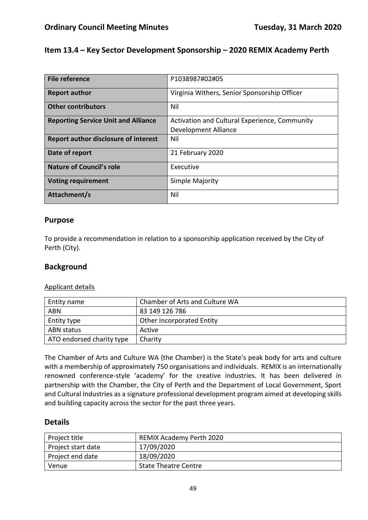## **Item 13.4 – Key Sector Development Sponsorship – 2020 REMIX Academy Perth**

| File reference                             | P1038987#02#05                                                        |
|--------------------------------------------|-----------------------------------------------------------------------|
| <b>Report author</b>                       | Virginia Withers, Senior Sponsorship Officer                          |
| <b>Other contributors</b>                  | Nil                                                                   |
| <b>Reporting Service Unit and Alliance</b> | Activation and Cultural Experience, Community<br>Development Alliance |
| Report author disclosure of interest       | Nil                                                                   |
| Date of report                             | 21 February 2020                                                      |
| <b>Nature of Council's role</b>            | Executive                                                             |
| <b>Voting requirement</b>                  | Simple Majority                                                       |
| Attachment/s                               | Nil                                                                   |

### **Purpose**

To provide a recommendation in relation to a sponsorship application received by the City of Perth (City).

### **Background**

#### Applicant details

| Entity name               | Chamber of Arts and Culture WA   |
|---------------------------|----------------------------------|
| <b>ABN</b>                | 83 149 126 786                   |
| Entity type               | <b>Other Incorporated Entity</b> |
| ABN status                | Active                           |
| ATO endorsed charity type | Charity                          |

The Chamber of Arts and Culture WA (the Chamber) is the State's peak body for arts and culture with a membership of approximately 750 organisations and individuals. REMIX is an internationally renowned conference-style 'academy' for the creative industries. It has been delivered in partnership with the Chamber, the City of Perth and the Department of Local Government, Sport and Cultural Industries as a signature professional development program aimed at developing skills and building capacity across the sector for the past three years.

## **Details**

| Project title      | <b>REMIX Academy Perth 2020</b> |  |
|--------------------|---------------------------------|--|
| Project start date | 17/09/2020                      |  |
| Project end date   | 18/09/2020                      |  |
| Venue              | <b>State Theatre Centre</b>     |  |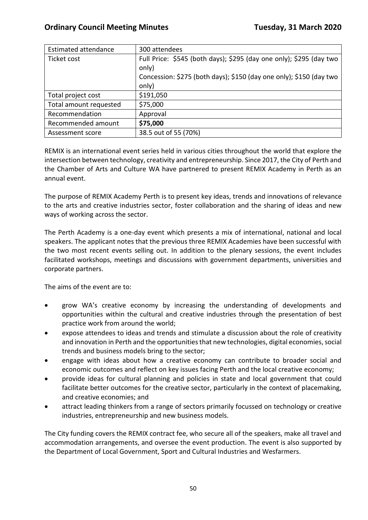| <b>Estimated attendance</b> | 300 attendees                                                       |
|-----------------------------|---------------------------------------------------------------------|
| Ticket cost                 | Full Price: \$545 (both days); \$295 (day one only); \$295 (day two |
|                             | only)                                                               |
|                             | Concession: \$275 (both days); \$150 (day one only); \$150 (day two |
|                             | only)                                                               |
| Total project cost          | \$191,050                                                           |
| Total amount requested      | \$75,000                                                            |
| Recommendation              | Approval                                                            |
| Recommended amount          | \$75,000                                                            |
| Assessment score            | 38.5 out of 55 (70%)                                                |

REMIX is an international event series held in various cities throughout the world that explore the intersection between technology, creativity and entrepreneurship. Since 2017, the City of Perth and the Chamber of Arts and Culture WA have partnered to present REMIX Academy in Perth as an annual event.

The purpose of REMIX Academy Perth is to present key ideas, trends and innovations of relevance to the arts and creative industries sector, foster collaboration and the sharing of ideas and new ways of working across the sector.

The Perth Academy is a one-day event which presents a mix of international, national and local speakers. The applicant notes that the previous three REMIX Academies have been successful with the two most recent events selling out. In addition to the plenary sessions, the event includes facilitated workshops, meetings and discussions with government departments, universities and corporate partners.

The aims of the event are to:

- grow WA's creative economy by increasing the understanding of developments and opportunities within the cultural and creative industries through the presentation of best practice work from around the world;
- expose attendees to ideas and trends and stimulate a discussion about the role of creativity and innovation in Perth and the opportunities that new technologies, digital economies, social trends and business models bring to the sector;
- engage with ideas about how a creative economy can contribute to broader social and economic outcomes and reflect on key issues facing Perth and the local creative economy;
- provide ideas for cultural planning and policies in state and local government that could facilitate better outcomes for the creative sector, particularly in the context of placemaking, and creative economies; and
- attract leading thinkers from a range of sectors primarily focussed on technology or creative industries, entrepreneurship and new business models.

The City funding covers the REMIX contract fee, who secure all of the speakers, make all travel and accommodation arrangements, and oversee the event production. The event is also supported by the Department of Local Government, Sport and Cultural Industries and Wesfarmers.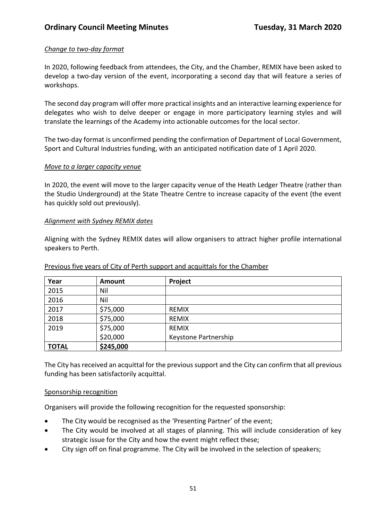## *Change to two-day format*

In 2020, following feedback from attendees, the City, and the Chamber, REMIX have been asked to develop a two-day version of the event, incorporating a second day that will feature a series of workshops.

The second day program will offer more practical insights and an interactive learning experience for delegates who wish to delve deeper or engage in more participatory learning styles and will translate the learnings of the Academy into actionable outcomes for the local sector.

The two-day format is unconfirmed pending the confirmation of Department of Local Government, Sport and Cultural Industries funding, with an anticipated notification date of 1 April 2020.

#### *Move to a larger capacity venue*

In 2020, the event will move to the larger capacity venue of the Heath Ledger Theatre (rather than the Studio Underground) at the State Theatre Centre to increase capacity of the event (the event has quickly sold out previously).

#### *Alignment with Sydney REMIX dates*

Aligning with the Sydney REMIX dates will allow organisers to attract higher profile international speakers to Perth.

| Year         | Amount    | Project              |
|--------------|-----------|----------------------|
| 2015         | Nil       |                      |
| 2016         | Nil       |                      |
| 2017         | \$75,000  | <b>REMIX</b>         |
| 2018         | \$75,000  | <b>REMIX</b>         |
| 2019         | \$75,000  | <b>REMIX</b>         |
|              | \$20,000  | Keystone Partnership |
| <b>TOTAL</b> | \$245,000 |                      |

#### Previous five years of City of Perth support and acquittals for the Chamber

The City has received an acquittal for the previous support and the City can confirm that all previous funding has been satisfactorily acquittal.

### Sponsorship recognition

Organisers will provide the following recognition for the requested sponsorship:

- The City would be recognised as the 'Presenting Partner' of the event;
- The City would be involved at all stages of planning. This will include consideration of key strategic issue for the City and how the event might reflect these;
- City sign off on final programme. The City will be involved in the selection of speakers;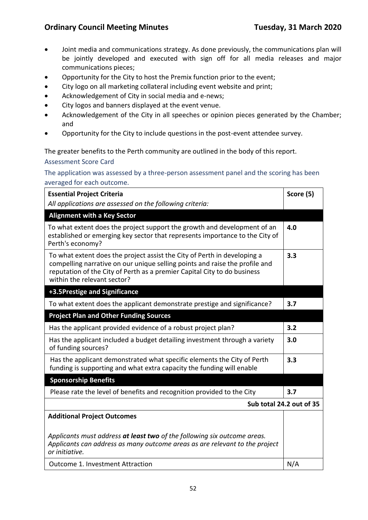- Joint media and communications strategy. As done previously, the communications plan will be jointly developed and executed with sign off for all media releases and major communications pieces;
- Opportunity for the City to host the Premix function prior to the event;
- City logo on all marketing collateral including event website and print;
- Acknowledgement of City in social media and e-news;
- City logos and banners displayed at the event venue.
- Acknowledgement of the City in all speeches or opinion pieces generated by the Chamber; and
- Opportunity for the City to include questions in the post-event attendee survey.

### The greater benefits to the Perth community are outlined in the body of this report.

#### Assessment Score Card

### The application was assessed by a three-person assessment panel and the scoring has been averaged for each outcome.

| <b>Essential Project Criteria</b>                                                                                                                                                                                                                                  | Score (5)                |
|--------------------------------------------------------------------------------------------------------------------------------------------------------------------------------------------------------------------------------------------------------------------|--------------------------|
| All applications are assessed on the following criteria:                                                                                                                                                                                                           |                          |
| <b>Alignment with a Key Sector</b>                                                                                                                                                                                                                                 |                          |
| To what extent does the project support the growth and development of an<br>established or emerging key sector that represents importance to the City of<br>Perth's economy?                                                                                       | 4.0                      |
| To what extent does the project assist the City of Perth in developing a<br>compelling narrative on our unique selling points and raise the profile and<br>reputation of the City of Perth as a premier Capital City to do business<br>within the relevant sector? | 3.3                      |
| +3.5Prestige and Significance                                                                                                                                                                                                                                      |                          |
| To what extent does the applicant demonstrate prestige and significance?                                                                                                                                                                                           | 3.7                      |
| <b>Project Plan and Other Funding Sources</b>                                                                                                                                                                                                                      |                          |
| Has the applicant provided evidence of a robust project plan?                                                                                                                                                                                                      | 3.2                      |
| Has the applicant included a budget detailing investment through a variety<br>of funding sources?                                                                                                                                                                  | 3.0                      |
| Has the applicant demonstrated what specific elements the City of Perth<br>funding is supporting and what extra capacity the funding will enable                                                                                                                   | 3.3                      |
| <b>Sponsorship Benefits</b>                                                                                                                                                                                                                                        |                          |
| Please rate the level of benefits and recognition provided to the City                                                                                                                                                                                             | 3.7                      |
|                                                                                                                                                                                                                                                                    | Sub total 24.2 out of 35 |
| <b>Additional Project Outcomes</b>                                                                                                                                                                                                                                 |                          |
| Applicants must address at least two of the following six outcome areas.<br>Applicants can address as many outcome areas as are relevant to the project<br>or initiative.                                                                                          |                          |
| Outcome 1. Investment Attraction                                                                                                                                                                                                                                   | N/A                      |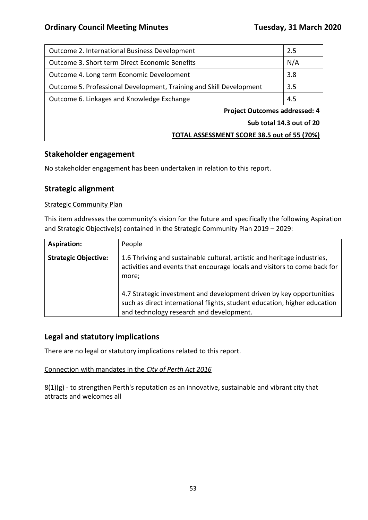| Outcome 2. International Business Development                       | 2.5 |
|---------------------------------------------------------------------|-----|
| Outcome 3. Short term Direct Economic Benefits                      |     |
| Outcome 4. Long term Economic Development                           |     |
| Outcome 5. Professional Development, Training and Skill Development |     |
| Outcome 6. Linkages and Knowledge Exchange                          |     |
| <b>Project Outcomes addressed: 4</b>                                |     |
| Sub total 14.3 out of 20                                            |     |
| TOTAL ASSESSMENT SCORE 38.5 out of 55 (70%)                         |     |

## **Stakeholder engagement**

No stakeholder engagement has been undertaken in relation to this report.

# **Strategic alignment**

#### **Strategic Community Plan**

This item addresses the community's vision for the future and specifically the following Aspiration and Strategic Objective(s) contained in the Strategic Community Plan 2019 – 2029:

| <b>Aspiration:</b>          | People                                                                                                                                                                                        |
|-----------------------------|-----------------------------------------------------------------------------------------------------------------------------------------------------------------------------------------------|
| <b>Strategic Objective:</b> | 1.6 Thriving and sustainable cultural, artistic and heritage industries,<br>activities and events that encourage locals and visitors to come back for<br>more;                                |
|                             | 4.7 Strategic investment and development driven by key opportunities<br>such as direct international flights, student education, higher education<br>and technology research and development. |

## **Legal and statutory implications**

There are no legal or statutory implications related to this report.

### Connection with mandates in the *City of Perth Act 2016*

8(1)(g) - to strengthen Perth's reputation as an innovative, sustainable and vibrant city that attracts and welcomes all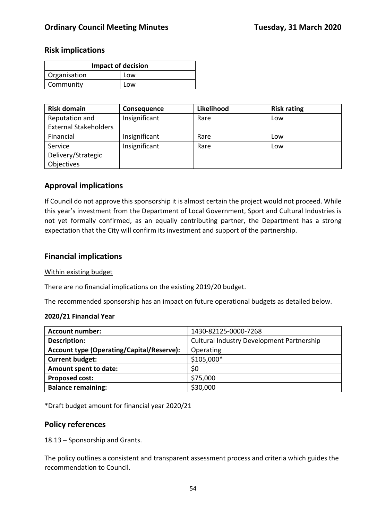### **Risk implications**

| <b>Impact of decision</b> |     |
|---------------------------|-----|
| Organisation              | Low |
| Community                 | Low |

| <b>Risk domain</b>           | Consequence   | Likelihood | <b>Risk rating</b> |
|------------------------------|---------------|------------|--------------------|
| Reputation and               | Insignificant | Rare       | Low                |
| <b>External Stakeholders</b> |               |            |                    |
| Financial                    | Insignificant | Rare       | Low                |
| Service                      | Insignificant | Rare       | Low                |
| Delivery/Strategic           |               |            |                    |
| Objectives                   |               |            |                    |

## **Approval implications**

If Council do not approve this sponsorship it is almost certain the project would not proceed. While this year's investment from the Department of Local Government, Sport and Cultural Industries is not yet formally confirmed, as an equally contributing partner, the Department has a strong expectation that the City will confirm its investment and support of the partnership.

### **Financial implications**

#### Within existing budget

There are no financial implications on the existing 2019/20 budget.

The recommended sponsorship has an impact on future operational budgets as detailed below.

#### **2020/21 Financial Year**

| 1430-82125-0000-7268                             |
|--------------------------------------------------|
| <b>Cultural Industry Development Partnership</b> |
| Operating                                        |
| \$105,000*                                       |
| \$0                                              |
| \$75,000                                         |
| \$30,000                                         |
|                                                  |

\*Draft budget amount for financial year 2020/21

## **Policy references**

18.13 – Sponsorship and Grants.

The policy outlines a consistent and transparent assessment process and criteria which guides the recommendation to Council.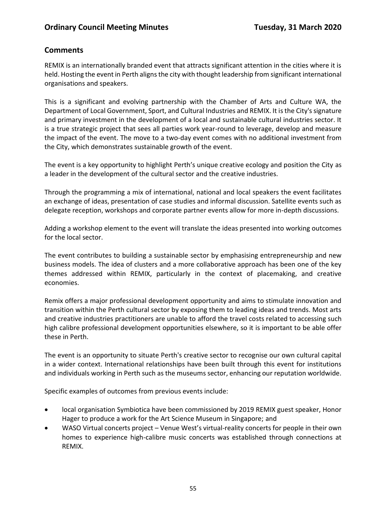# **Comments**

REMIX is an internationally branded event that attracts significant attention in the cities where it is held. Hosting the event in Perth aligns the city with thought leadership from significant international organisations and speakers.

This is a significant and evolving partnership with the Chamber of Arts and Culture WA, the Department of Local Government, Sport, and Cultural Industries and REMIX. It is the City's signature and primary investment in the development of a local and sustainable cultural industries sector. It is a true strategic project that sees all parties work year-round to leverage, develop and measure the impact of the event. The move to a two-day event comes with no additional investment from the City, which demonstrates sustainable growth of the event.

The event is a key opportunity to highlight Perth's unique creative ecology and position the City as a leader in the development of the cultural sector and the creative industries.

Through the programming a mix of international, national and local speakers the event facilitates an exchange of ideas, presentation of case studies and informal discussion. Satellite events such as delegate reception, workshops and corporate partner events allow for more in-depth discussions.

Adding a workshop element to the event will translate the ideas presented into working outcomes for the local sector.

The event contributes to building a sustainable sector by emphasising entrepreneurship and new business models. The idea of clusters and a more collaborative approach has been one of the key themes addressed within REMIX, particularly in the context of placemaking, and creative economies.

Remix offers a major professional development opportunity and aims to stimulate innovation and transition within the Perth cultural sector by exposing them to leading ideas and trends. Most arts and creative industries practitioners are unable to afford the travel costs related to accessing such high calibre professional development opportunities elsewhere, so it is important to be able offer these in Perth.

The event is an opportunity to situate Perth's creative sector to recognise our own cultural capital in a wider context. International relationships have been built through this event for institutions and individuals working in Perth such as the museums sector, enhancing our reputation worldwide.

Specific examples of outcomes from previous events include:

- local organisation Symbiotica have been commissioned by 2019 REMIX guest speaker, Honor Hager to produce a work for the Art Science Museum in Singapore; and
- WASO Virtual concerts project Venue West's virtual-reality concerts for people in their own homes to experience high-calibre music concerts was established through connections at REMIX.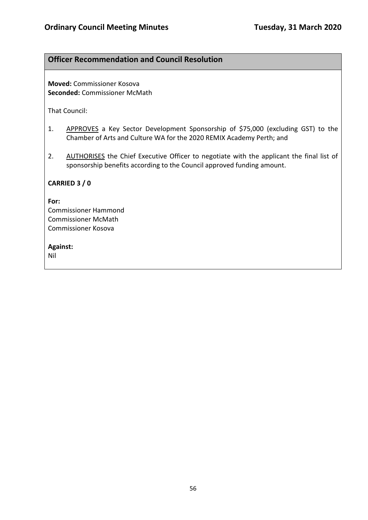# **Officer Recommendation and Council Resolution**

**Moved:** Commissioner Kosova **Seconded:** Commissioner McMath

That Council:

- 1. APPROVES a Key Sector Development Sponsorship of \$75,000 (excluding GST) to the Chamber of Arts and Culture WA for the 2020 REMIX Academy Perth; and
- 2. AUTHORISES the Chief Executive Officer to negotiate with the applicant the final list of sponsorship benefits according to the Council approved funding amount.

### **CARRIED 3 / 0**

#### **For:**

Commissioner Hammond Commissioner McMath Commissioner Kosova

#### **Against:**

Nil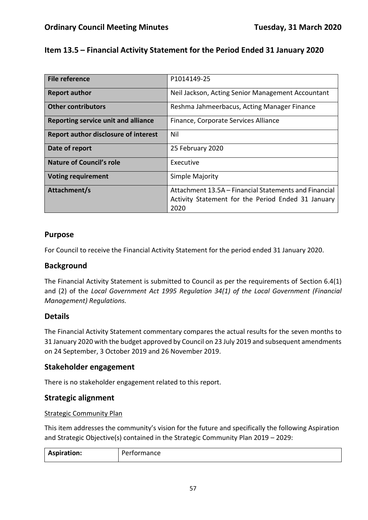# **Item 13.5 – Financial Activity Statement for the Period Ended 31 January 2020**

| File reference                              | P1014149-25                                                                                                 |
|---------------------------------------------|-------------------------------------------------------------------------------------------------------------|
| <b>Report author</b>                        | Neil Jackson, Acting Senior Management Accountant                                                           |
| <b>Other contributors</b>                   | Reshma Jahmeerbacus, Acting Manager Finance                                                                 |
| Reporting service unit and alliance         | Finance, Corporate Services Alliance                                                                        |
| <b>Report author disclosure of interest</b> | Nil                                                                                                         |
| Date of report                              | 25 February 2020                                                                                            |
| <b>Nature of Council's role</b>             | Executive                                                                                                   |
| <b>Voting requirement</b>                   | Simple Majority                                                                                             |
| Attachment/s                                | Attachment 13.5A – Financial Statements and Financial<br>Activity Statement for the Period Ended 31 January |
|                                             | 2020                                                                                                        |

## **Purpose**

For Council to receive the Financial Activity Statement for the period ended 31 January 2020.

## **Background**

The Financial Activity Statement is submitted to Council as per the requirements of Section 6.4(1) and (2) of the *Local Government Act 1995 Regulation 34(1) of the Local Government (Financial Management) Regulations.*

## **Details**

The Financial Activity Statement commentary compares the actual results for the seven months to 31 January 2020 with the budget approved by Council on 23 July 2019 and subsequent amendments on 24 September, 3 October 2019 and 26 November 2019.

## **Stakeholder engagement**

There is no stakeholder engagement related to this report.

## **Strategic alignment**

### Strategic Community Plan

This item addresses the community's vision for the future and specifically the following Aspiration and Strategic Objective(s) contained in the Strategic Community Plan 2019 – 2029:

| <b>Aspiration:</b><br>Performance |
|-----------------------------------|
|-----------------------------------|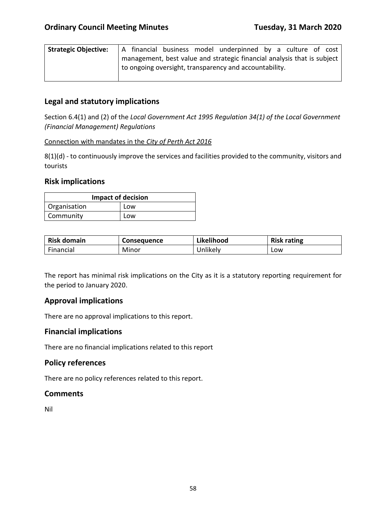| <b>Strategic Objective:</b> |  |  | A financial business model underpinned by a culture of cost             |  |  |  |
|-----------------------------|--|--|-------------------------------------------------------------------------|--|--|--|
|                             |  |  | management, best value and strategic financial analysis that is subject |  |  |  |
|                             |  |  | to ongoing oversight, transparency and accountability.                  |  |  |  |

## **Legal and statutory implications**

Section 6.4(1) and (2) of the *Local Government Act 1995 Regulation 34(1) of the Local Government (Financial Management) Regulations*

#### Connection with mandates in the *City of Perth Act 2016*

8(1)(d) - to continuously improve the services and facilities provided to the community, visitors and tourists

### **Risk implications**

| <b>Impact of decision</b> |     |  |  |
|---------------------------|-----|--|--|
| Organisation              | Low |  |  |
| Community                 | Low |  |  |

| <b>Risk domain</b> | <b>Consequence</b> | Likelihood | <b>Risk rating</b> |
|--------------------|--------------------|------------|--------------------|
| Financial          | Minor              | Jnlikely   | LOW                |

The report has minimal risk implications on the City as it is a statutory reporting requirement for the period to January 2020.

## **Approval implications**

There are no approval implications to this report.

## **Financial implications**

There are no financial implications related to this report

## **Policy references**

There are no policy references related to this report.

### **Comments**

Nil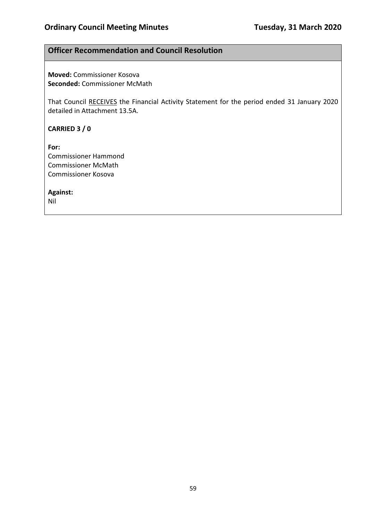## **Officer Recommendation and Council Resolution**

**Moved:** Commissioner Kosova **Seconded:** Commissioner McMath

That Council RECEIVES the Financial Activity Statement for the period ended 31 January 2020 detailed in Attachment 13.5A.

**CARRIED 3 / 0**

**For:**  Commissioner Hammond Commissioner McMath Commissioner Kosova

**Against:** 

Nil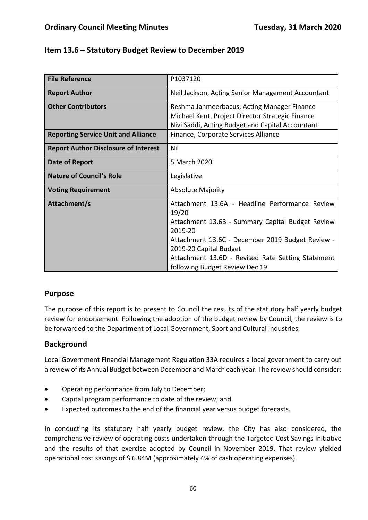| <b>File Reference</b>                       | P1037120                                                    |
|---------------------------------------------|-------------------------------------------------------------|
| <b>Report Author</b>                        | Neil Jackson, Acting Senior Management Accountant           |
| <b>Other Contributors</b>                   | Reshma Jahmeerbacus, Acting Manager Finance                 |
|                                             | Michael Kent, Project Director Strategic Finance            |
|                                             | Nivi Saddi, Acting Budget and Capital Accountant            |
| <b>Reporting Service Unit and Alliance</b>  | Finance, Corporate Services Alliance                        |
| <b>Report Author Disclosure of Interest</b> | Nil                                                         |
| Date of Report                              | 5 March 2020                                                |
| <b>Nature of Council's Role</b>             | Legislative                                                 |
| <b>Voting Requirement</b>                   | <b>Absolute Majority</b>                                    |
| Attachment/s                                | Attachment 13.6A - Headline Performance Review<br>19/20     |
|                                             | Attachment 13.6B - Summary Capital Budget Review<br>2019-20 |
|                                             | Attachment 13.6C - December 2019 Budget Review -            |
|                                             | 2019-20 Capital Budget                                      |
|                                             | Attachment 13.6D - Revised Rate Setting Statement           |
|                                             | following Budget Review Dec 19                              |

# **Purpose**

The purpose of this report is to present to Council the results of the statutory half yearly budget review for endorsement. Following the adoption of the budget review by Council, the review is to be forwarded to the Department of Local Government, Sport and Cultural Industries.

## **Background**

Local Government Financial Management Regulation 33A requires a local government to carry out a review of its Annual Budget between December and March each year. The review should consider:

- Operating performance from July to December;
- Capital program performance to date of the review; and
- Expected outcomes to the end of the financial year versus budget forecasts.

In conducting its statutory half yearly budget review, the City has also considered, the comprehensive review of operating costs undertaken through the Targeted Cost Savings Initiative and the results of that exercise adopted by Council in November 2019. That review yielded operational cost savings of \$ 6.84M (approximately 4% of cash operating expenses).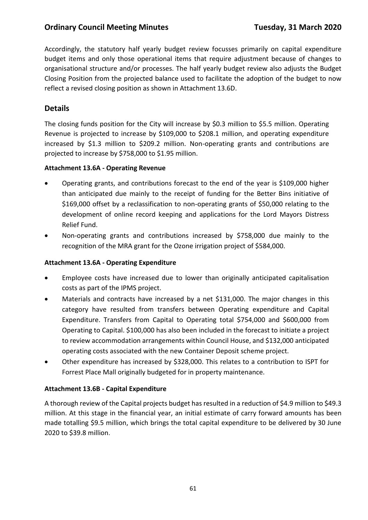## **Ordinary Council Meeting Minutes <b>Tuesday, 31 March 2020**

Accordingly, the statutory half yearly budget review focusses primarily on capital expenditure budget items and only those operational items that require adjustment because of changes to organisational structure and/or processes. The half yearly budget review also adjusts the Budget Closing Position from the projected balance used to facilitate the adoption of the budget to now reflect a revised closing position as shown in Attachment 13.6D.

## **Details**

The closing funds position for the City will increase by \$0.3 million to \$5.5 million. Operating Revenue is projected to increase by \$109,000 to \$208.1 million, and operating expenditure increased by \$1.3 million to \$209.2 million. Non-operating grants and contributions are projected to increase by \$758,000 to \$1.95 million.

### **Attachment 13.6A - Operating Revenue**

- Operating grants, and contributions forecast to the end of the year is \$109,000 higher than anticipated due mainly to the receipt of funding for the Better Bins initiative of \$169,000 offset by a reclassification to non-operating grants of \$50,000 relating to the development of online record keeping and applications for the Lord Mayors Distress Relief Fund.
- Non-operating grants and contributions increased by \$758,000 due mainly to the recognition of the MRA grant for the Ozone irrigation project of \$584,000.

### **Attachment 13.6A - Operating Expenditure**

- Employee costs have increased due to lower than originally anticipated capitalisation costs as part of the IPMS project.
- Materials and contracts have increased by a net \$131,000. The major changes in this category have resulted from transfers between Operating expenditure and Capital Expenditure. Transfers from Capital to Operating total \$754,000 and \$600,000 from Operating to Capital. \$100,000 has also been included in the forecast to initiate a project to review accommodation arrangements within Council House, and \$132,000 anticipated operating costs associated with the new Container Deposit scheme project.
- Other expenditure has increased by \$328,000. This relates to a contribution to ISPT for Forrest Place Mall originally budgeted for in property maintenance.

### **Attachment 13.6B - Capital Expenditure**

A thorough review of the Capital projects budget has resulted in a reduction of \$4.9 million to \$49.3 million. At this stage in the financial year, an initial estimate of carry forward amounts has been made totalling \$9.5 million, which brings the total capital expenditure to be delivered by 30 June 2020 to \$39.8 million.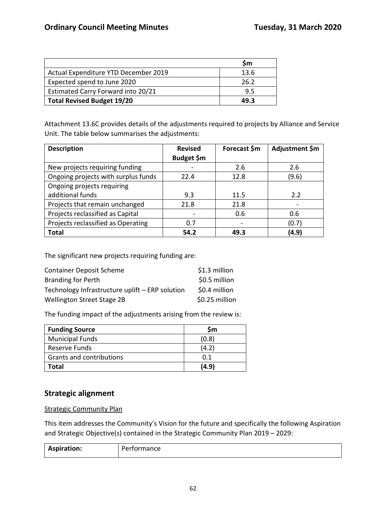|                                      | Sm   |
|--------------------------------------|------|
| Actual Expenditure YTD December 2019 | 13.6 |
| Expected spend to June 2020          | 26.2 |
| Estimated Carry Forward into 20/21   | 9.5  |
| <b>Total Revised Budget 19/20</b>    | 49 R |

Attachment 13.6C provides details of the adjustments required to projects by Alliance and Service Unit. The table below summarises the adjustments:

| <b>Description</b>                  | <b>Revised</b>    | Forecast \$m | Adjustment \$m |
|-------------------------------------|-------------------|--------------|----------------|
|                                     | <b>Budget \$m</b> |              |                |
| New projects requiring funding      |                   | 2.6          | 2.6            |
| Ongoing projects with surplus funds | 22.4              | 12.8         | (9.6)          |
| Ongoing projects requiring          |                   |              |                |
| additional funds                    | 9.3               | 11.5         | 2.2            |
| Projects that remain unchanged      | 21.8              | 21.8         |                |
| Projects reclassified as Capital    |                   | 0.6          | 0.6            |
| Projects reclassified as Operating  | 0.7               |              | (0.7)          |
| <b>Total</b>                        | 54.2              | 49.3         | (4.9           |

The significant new projects requiring funding are:

| <b>Container Deposit Scheme</b>                 | \$1.3 million  |
|-------------------------------------------------|----------------|
| <b>Branding for Perth</b>                       | \$0.5 million  |
| Technology Infrastructure uplift - ERP solution | \$0.4 million  |
| <b>Wellington Street Stage 2B</b>               | \$0.25 million |

The funding impact of the adjustments arising from the review is:

| <b>Funding Source</b>    | Sm    |
|--------------------------|-------|
| <b>Municipal Funds</b>   | (0.8) |
| Reserve Funds            | (4.2) |
| Grants and contributions | በ 1   |
| <b>Total</b>             | (4.9) |

## **Strategic alignment**

Strategic Community Plan

This item addresses the Community's Vision for the future and specifically the following Aspiration and Strategic Objective(s) contained in the Strategic Community Plan 2019 – 2029:

| <b>Aspiration:</b> | -<br>erformance |
|--------------------|-----------------|
|                    |                 |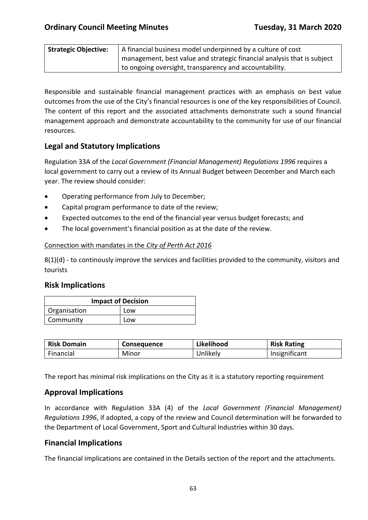| <b>Strategic Objective:</b> | A financial business model underpinned by a culture of cost             |
|-----------------------------|-------------------------------------------------------------------------|
|                             | management, best value and strategic financial analysis that is subject |
|                             | to ongoing oversight, transparency and accountability.                  |

Responsible and sustainable financial management practices with an emphasis on best value outcomes from the use of the City's financial resources is one of the key responsibilities of Council. The content of this report and the associated attachments demonstrate such a sound financial management approach and demonstrate accountability to the community for use of our financial resources.

# **Legal and Statutory Implications**

Regulation 33A of the *Local Government (Financial Management) Regulations 1996* requires a local government to carry out a review of its Annual Budget between December and March each year. The review should consider:

- Operating performance from July to December;
- Capital program performance to date of the review;
- Expected outcomes to the end of the financial year versus budget forecasts; and
- The local government's financial position as at the date of the review.

### Connection with mandates in the *City of Perth Act 2016*

8(1)(d) - to continously improve the services and facilities provided to the community, visitors and tourists

### **Risk Implications**

| <b>Impact of Decision</b> |     |  |
|---------------------------|-----|--|
| Organisation              | Low |  |
| Community                 | Low |  |

| <b>Risk Domain</b> | <b>Consequence</b> | Likelihood | <b>Risk Rating</b> |
|--------------------|--------------------|------------|--------------------|
| Financial          | Minor              | Unlikely   | Insignificant      |

The report has minimal risk implications on the City as it is a statutory reporting requirement

## **Approval Implications**

In accordance with Regulation 33A (4) of the *Local Government (Financial Management) Regulations 1996*, if adopted, a copy of the review and Council determination will be forwarded to the Department of Local Government, Sport and Cultural Industries within 30 days.

### **Financial Implications**

The financial implications are contained in the Details section of the report and the attachments.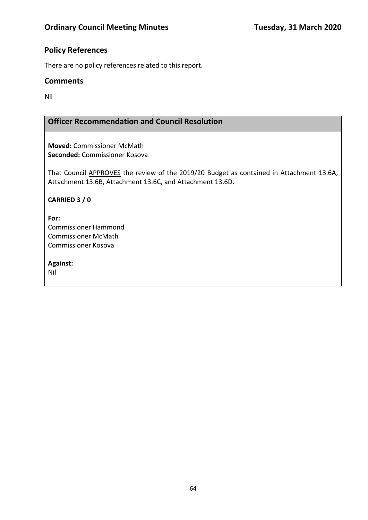# **Policy References**

There are no policy references related to this report.

## **Comments**

Nil

# **Officer Recommendation and Council Resolution**

**Moved:** Commissioner McMath **Seconded:** Commissioner Kosova

That Council APPROVES the review of the 2019/20 Budget as contained in Attachment 13.6A, Attachment 13.6B, Attachment 13.6C, and Attachment 13.6D.

## **CARRIED 3 / 0**

**For:**  Commissioner Hammond Commissioner McMath Commissioner Kosova

**Against:** 

Nil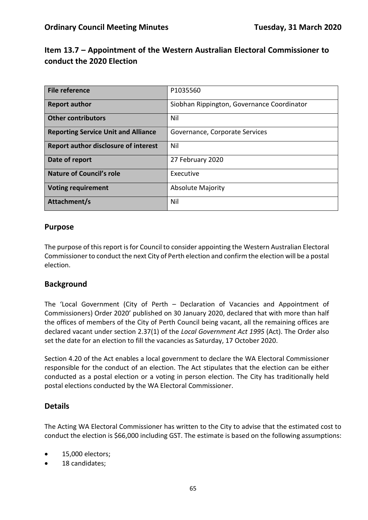# **Item 13.7 – Appointment of the Western Australian Electoral Commissioner to conduct the 2020 Election**

| File reference                              | P1035560                                   |
|---------------------------------------------|--------------------------------------------|
| <b>Report author</b>                        | Siobhan Rippington, Governance Coordinator |
| <b>Other contributors</b>                   | Nil                                        |
| <b>Reporting Service Unit and Alliance</b>  | Governance, Corporate Services             |
| <b>Report author disclosure of interest</b> | Nil                                        |
| Date of report                              | 27 February 2020                           |
| <b>Nature of Council's role</b>             | Executive                                  |
| <b>Voting requirement</b>                   | <b>Absolute Majority</b>                   |
| Attachment/s                                | Nil                                        |

## **Purpose**

The purpose of this report is for Council to consider appointing the Western Australian Electoral Commissioner to conduct the next City of Perth election and confirm the election will be a postal election.

## **Background**

The 'Local Government (City of Perth – Declaration of Vacancies and Appointment of Commissioners) Order 2020' published on 30 January 2020, declared that with more than half the offices of members of the City of Perth Council being vacant, all the remaining offices are declared vacant under section 2.37(1) of the *Local Government Act 1995* (Act). The Order also set the date for an election to fill the vacancies as Saturday, 17 October 2020.

Section 4.20 of the Act enables a local government to declare the WA Electoral Commissioner responsible for the conduct of an election. The Act stipulates that the election can be either conducted as a postal election or a voting in person election. The City has traditionally held postal elections conducted by the WA Electoral Commissioner.

## **Details**

The Acting WA Electoral Commissioner has written to the City to advise that the estimated cost to conduct the election is \$66,000 including GST. The estimate is based on the following assumptions:

- 15,000 electors;
- 18 candidates;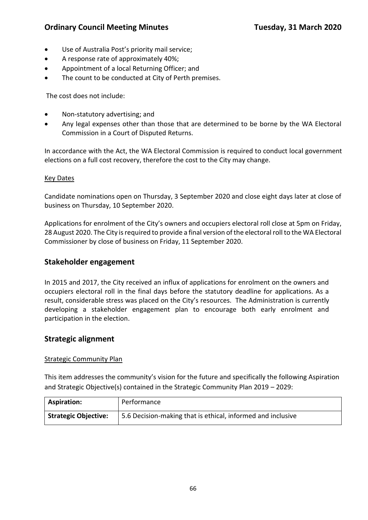# **Ordinary Council Meeting Minutes Tuesday, 31 March 2020**

- Use of Australia Post's priority mail service;
- A response rate of approximately 40%;
- Appointment of a local Returning Officer; and
- The count to be conducted at City of Perth premises.

The cost does not include:

- Non-statutory advertising; and
- Any legal expenses other than those that are determined to be borne by the WA Electoral Commission in a Court of Disputed Returns.

In accordance with the Act, the WA Electoral Commission is required to conduct local government elections on a full cost recovery, therefore the cost to the City may change.

#### Key Dates

Candidate nominations open on Thursday, 3 September 2020 and close eight days later at close of business on Thursday, 10 September 2020.

Applications for enrolment of the City's owners and occupiers electoral roll close at 5pm on Friday, 28 August 2020. The City is required to provide a final version of the electoral roll to the WA Electoral Commissioner by close of business on Friday, 11 September 2020.

### **Stakeholder engagement**

In 2015 and 2017, the City received an influx of applications for enrolment on the owners and occupiers electoral roll in the final days before the statutory deadline for applications. As a result, considerable stress was placed on the City's resources. The Administration is currently developing a stakeholder engagement plan to encourage both early enrolment and participation in the election.

### **Strategic alignment**

#### Strategic Community Plan

This item addresses the community's vision for the future and specifically the following Aspiration and Strategic Objective(s) contained in the Strategic Community Plan 2019 – 2029:

| <b>Aspiration:</b>          | Performance                                                 |
|-----------------------------|-------------------------------------------------------------|
| <b>Strategic Objective:</b> | 5.6 Decision-making that is ethical, informed and inclusive |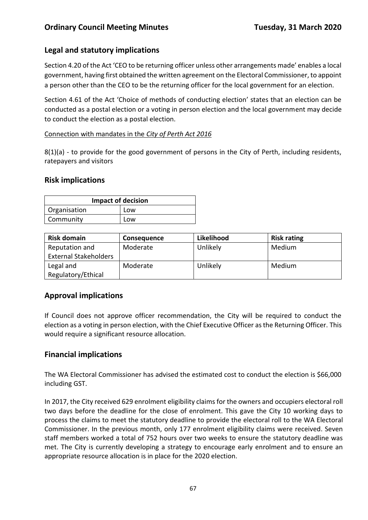# **Legal and statutory implications**

Section 4.20 of the Act 'CEO to be returning officer unless other arrangements made' enables a local government, having first obtained the written agreement on the Electoral Commissioner, to appoint a person other than the CEO to be the returning officer for the local government for an election.

Section 4.61 of the Act 'Choice of methods of conducting election' states that an election can be conducted as a postal election or a voting in person election and the local government may decide to conduct the election as a postal election.

### Connection with mandates in the *City of Perth Act 2016*

8(1)(a) - to provide for the good government of persons in the City of Perth, including residents, ratepayers and visitors

## **Risk implications**

| <b>Impact of decision</b> |     |  |
|---------------------------|-----|--|
| Organisation              | Low |  |
| Community                 | Low |  |

| <b>Risk domain</b>           | <b>Consequence</b> | Likelihood | <b>Risk rating</b> |
|------------------------------|--------------------|------------|--------------------|
| Reputation and               | Moderate           | Unlikely   | Medium             |
| <b>External Stakeholders</b> |                    |            |                    |
| Legal and                    | Moderate           | Unlikely   | Medium             |
| Regulatory/Ethical           |                    |            |                    |

# **Approval implications**

If Council does not approve officer recommendation, the City will be required to conduct the election as a voting in person election, with the Chief Executive Officer as the Returning Officer. This would require a significant resource allocation.

# **Financial implications**

The WA Electoral Commissioner has advised the estimated cost to conduct the election is \$66,000 including GST.

In 2017, the City received 629 enrolment eligibility claims for the owners and occupiers electoral roll two days before the deadline for the close of enrolment. This gave the City 10 working days to process the claims to meet the statutory deadline to provide the electoral roll to the WA Electoral Commissioner. In the previous month, only 177 enrolment eligibility claims were received. Seven staff members worked a total of 752 hours over two weeks to ensure the statutory deadline was met. The City is currently developing a strategy to encourage early enrolment and to ensure an appropriate resource allocation is in place for the 2020 election.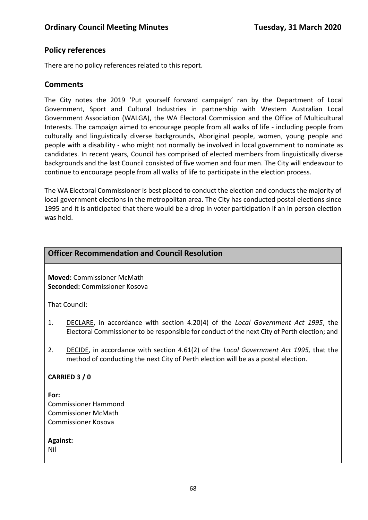## **Policy references**

There are no policy references related to this report.

### **Comments**

The City notes the 2019 'Put yourself forward campaign' ran by the Department of Local Government, Sport and Cultural Industries in partnership with Western Australian Local Government Association (WALGA), the WA Electoral Commission and the Office of Multicultural Interests. The campaign aimed to encourage people from all walks of life - including people from culturally and linguistically diverse backgrounds, Aboriginal people, women, young people and people with a disability - who might not normally be involved in local government to nominate as candidates. In recent years, Council has comprised of elected members from linguistically diverse backgrounds and the last Council consisted of five women and four men. The City will endeavour to continue to encourage people from all walks of life to participate in the election process.

The WA Electoral Commissioner is best placed to conduct the election and conducts the majority of local government elections in the metropolitan area. The City has conducted postal elections since 1995 and it is anticipated that there would be a drop in voter participation if an in person election was held.

### **Officer Recommendation and Council Resolution**

**Moved:** Commissioner McMath **Seconded:** Commissioner Kosova

That Council:

- 1. DECLARE, in accordance with section 4.20(4) of the *Local Government Act 1995*, the Electoral Commissioner to be responsible for conduct of the next City of Perth election; and
- 2. DECIDE, in accordance with section 4.61(2) of the *Local Government Act 1995,* that the method of conducting the next City of Perth election will be as a postal election.

### **CARRIED 3 / 0**

**For:**  Commissioner Hammond Commissioner McMath Commissioner Kosova

**Against:** 

Nil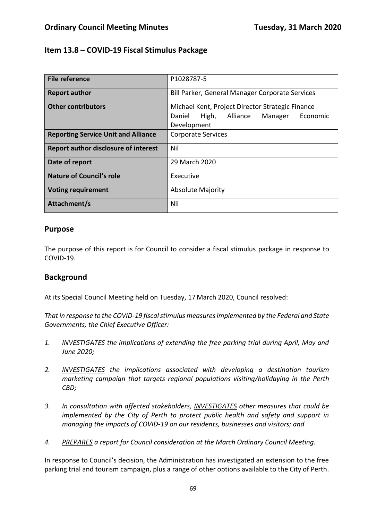## **Item 13.8 – COVID-19 Fiscal Stimulus Package**

| File reference                              | P1028787-5                                                                                                            |  |
|---------------------------------------------|-----------------------------------------------------------------------------------------------------------------------|--|
| <b>Report author</b>                        | Bill Parker, General Manager Corporate Services                                                                       |  |
| <b>Other contributors</b>                   | Michael Kent, Project Director Strategic Finance<br>Daniel<br>High,<br>Alliance<br>Manager<br>Economic<br>Development |  |
| <b>Reporting Service Unit and Alliance</b>  | <b>Corporate Services</b>                                                                                             |  |
| <b>Report author disclosure of interest</b> | Nil                                                                                                                   |  |
| Date of report                              | 29 March 2020                                                                                                         |  |
| <b>Nature of Council's role</b>             | Executive                                                                                                             |  |
| <b>Voting requirement</b>                   | <b>Absolute Majority</b>                                                                                              |  |
| Attachment/s                                | Nil                                                                                                                   |  |

## **Purpose**

The purpose of this report is for Council to consider a fiscal stimulus package in response to COVID-19.

## **Background**

At its Special Council Meeting held on Tuesday, 17 March 2020, Council resolved:

*That in response to the COVID-19 fiscal stimulus measures implemented by the Federal and State Governments, the Chief Executive Officer:*

- *1. INVESTIGATES the implications of extending the free parking trial during April, May and June 2020;*
- *2. INVESTIGATES the implications associated with developing a destination tourism marketing campaign that targets regional populations visiting/holidaying in the Perth CBD;*
- *3. In consultation with affected stakeholders, INVESTIGATES other measures that could be implemented by the City of Perth to protect public health and safety and support in managing the impacts of COVID-19 on our residents, businesses and visitors; and*
- *4. PREPARES a report for Council consideration at the March Ordinary Council Meeting.*

In response to Council's decision, the Administration has investigated an extension to the free parking trial and tourism campaign, plus a range of other options available to the City of Perth.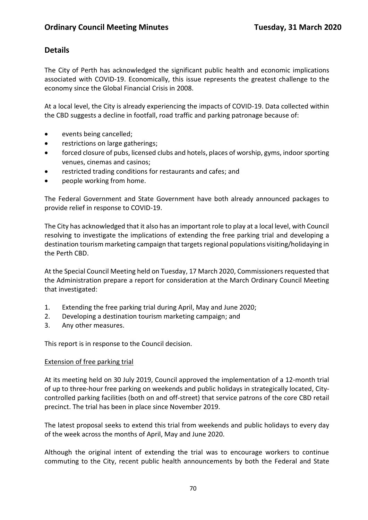# **Details**

The City of Perth has acknowledged the significant public health and economic implications associated with COVID-19. Economically, this issue represents the greatest challenge to the economy since the Global Financial Crisis in 2008.

At a local level, the City is already experiencing the impacts of COVID-19. Data collected within the CBD suggests a decline in footfall, road traffic and parking patronage because of:

- events being cancelled;
- restrictions on large gatherings;
- forced closure of pubs, licensed clubs and hotels, places of worship, gyms, indoor sporting venues, cinemas and casinos;
- restricted trading conditions for restaurants and cafes; and
- people working from home.

The Federal Government and State Government have both already announced packages to provide relief in response to COVID-19.

The City has acknowledged that it also has an important role to play at a local level, with Council resolving to investigate the implications of extending the free parking trial and developing a destination tourism marketing campaign that targets regional populations visiting/holidaying in the Perth CBD.

At the Special Council Meeting held on Tuesday, 17 March 2020, Commissioners requested that the Administration prepare a report for consideration at the March Ordinary Council Meeting that investigated:

- 1. Extending the free parking trial during April, May and June 2020;
- 2. Developing a destination tourism marketing campaign; and
- 3. Any other measures.

This report is in response to the Council decision.

### Extension of free parking trial

At its meeting held on 30 July 2019, Council approved the implementation of a 12-month trial of up to three-hour free parking on weekends and public holidays in strategically located, Citycontrolled parking facilities (both on and off-street) that service patrons of the core CBD retail precinct. The trial has been in place since November 2019.

The latest proposal seeks to extend this trial from weekends and public holidays to every day of the week across the months of April, May and June 2020.

Although the original intent of extending the trial was to encourage workers to continue commuting to the City, recent public health announcements by both the Federal and State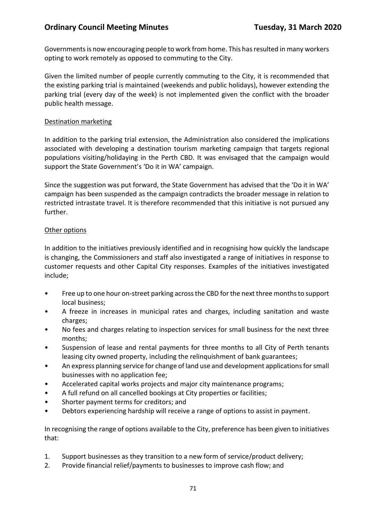## **Ordinary Council Meeting Minutes <b>Tuesday, 31 March 2020**

Governments is now encouraging people to work from home. This has resulted in many workers opting to work remotely as opposed to commuting to the City.

Given the limited number of people currently commuting to the City, it is recommended that the existing parking trial is maintained (weekends and public holidays), however extending the parking trial (every day of the week) is not implemented given the conflict with the broader public health message.

#### Destination marketing

In addition to the parking trial extension, the Administration also considered the implications associated with developing a destination tourism marketing campaign that targets regional populations visiting/holidaying in the Perth CBD. It was envisaged that the campaign would support the State Government's 'Do it in WA' campaign.

Since the suggestion was put forward, the State Government has advised that the 'Do it in WA' campaign has been suspended as the campaign contradicts the broader message in relation to restricted intrastate travel. It is therefore recommended that this initiative is not pursued any further.

#### Other options

In addition to the initiatives previously identified and in recognising how quickly the landscape is changing, the Commissioners and staff also investigated a range of initiatives in response to customer requests and other Capital City responses. Examples of the initiatives investigated include;

- Free up to one hour on-street parking across the CBD for the next three months to support local business;
- A freeze in increases in municipal rates and charges, including sanitation and waste charges;
- No fees and charges relating to inspection services for small business for the next three months;
- Suspension of lease and rental payments for three months to all City of Perth tenants leasing city owned property, including the relinquishment of bank guarantees;
- An express planning service for change of land use and development applications for small businesses with no application fee;
- Accelerated capital works projects and major city maintenance programs;
- A full refund on all cancelled bookings at City properties or facilities;
- Shorter payment terms for creditors; and
- Debtors experiencing hardship will receive a range of options to assist in payment.

In recognising the range of options available to the City, preference has been given to initiatives that:

- 1. Support businesses as they transition to a new form of service/product delivery;
- 2. Provide financial relief/payments to businesses to improve cash flow; and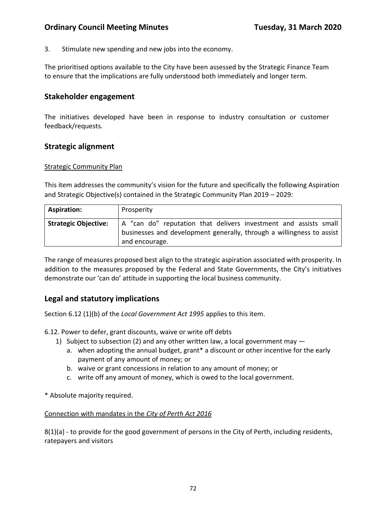## **Ordinary Council Meeting Minutes Tuesday, 31 March 2020**

3. Stimulate new spending and new jobs into the economy.

The prioritised options available to the City have been assessed by the Strategic Finance Team to ensure that the implications are fully understood both immediately and longer term.

### **Stakeholder engagement**

The initiatives developed have been in response to industry consultation or customer feedback/requests.

### **Strategic alignment**

#### Strategic Community Plan

This item addresses the community's vision for the future and specifically the following Aspiration and Strategic Objective(s) contained in the Strategic Community Plan 2019 – 2029:

| <b>Aspiration:</b>          | Prosperity                                                                                                                                                  |
|-----------------------------|-------------------------------------------------------------------------------------------------------------------------------------------------------------|
| <b>Strategic Objective:</b> | A "can do" reputation that delivers investment and assists small<br>businesses and development generally, through a willingness to assist<br>and encourage. |

The range of measures proposed best align to the strategic aspiration associated with prosperity. In addition to the measures proposed by the Federal and State Governments, the City's initiatives demonstrate our 'can do' attitude in supporting the local business community.

## **Legal and statutory implications**

Section 6.12 (1)(b) of the *Local Government Act 1995* applies to this item.

6.12. Power to defer, grant discounts, waive or write off debts

- 1) Subject to subsection (2) and any other written law, a local government may
	- a. when adopting the annual budget, grant\* a discount or other incentive for the early payment of any amount of money; or
	- b. waive or grant concessions in relation to any amount of money; or
	- c. write off any amount of money, which is owed to the local government.

\* Absolute majority required.

#### Connection with mandates in the *City of Perth Act 2016*

8(1)(a) - to provide for the good government of persons in the City of Perth, including residents, ratepayers and visitors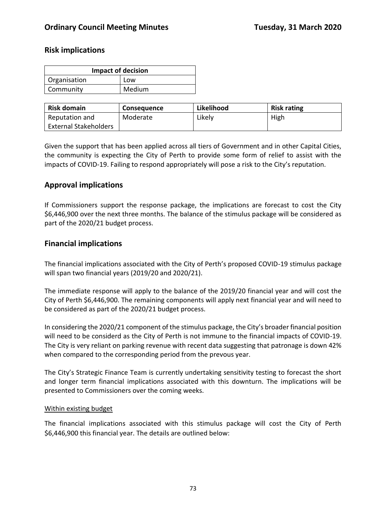### **Risk implications**

| <b>Impact of decision</b> |  |  |  |
|---------------------------|--|--|--|
| Organisation<br>Low       |  |  |  |
| Medium<br>Community       |  |  |  |

| <b>Risk domain</b>           | <b>Consequence</b> | Likelihood | <b>Risk rating</b> |
|------------------------------|--------------------|------------|--------------------|
| Reputation and               | Moderate           | Likely     | High               |
| <b>External Stakeholders</b> |                    |            |                    |

Given the support that has been applied across all tiers of Government and in other Capital Cities, the community is expecting the City of Perth to provide some form of relief to assist with the impacts of COVID-19. Failing to respond appropriately will pose a risk to the City's reputation.

# **Approval implications**

If Commissioners support the response package, the implications are forecast to cost the City \$6,446,900 over the next three months. The balance of the stimulus package will be considered as part of the 2020/21 budget process.

# **Financial implications**

The financial implications associated with the City of Perth's proposed COVID-19 stimulus package will span two financial years (2019/20 and 2020/21).

The immediate response will apply to the balance of the 2019/20 financial year and will cost the City of Perth \$6,446,900. The remaining components will apply next financial year and will need to be considered as part of the 2020/21 budget process.

In considering the 2020/21 component of the stimulus package, the City's broader financial position will need to be considerd as the City of Perth is not immune to the financial impacts of COVID-19. The City is very reliant on parking revenue with recent data suggesting that patronage is down 42% when compared to the corresponding period from the prevous year.

The City's Strategic Finance Team is currently undertaking sensitivity testing to forecast the short and longer term financial implications associated with this downturn. The implications will be presented to Commissioners over the coming weeks.

### Within existing budget

The financial implications associated with this stimulus package will cost the City of Perth \$6,446,900 this financial year. The details are outlined below: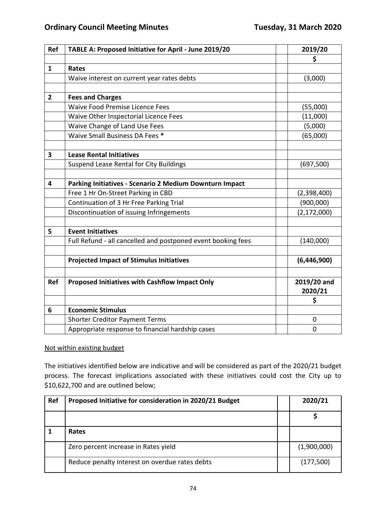| Ref            | TABLE A: Proposed Initiative for April - June 2019/20        | 2019/20       |
|----------------|--------------------------------------------------------------|---------------|
|                |                                                              | \$            |
| $\mathbf{1}$   | Rates                                                        |               |
|                | Waive interest on current year rates debts                   | (3,000)       |
|                |                                                              |               |
| $\overline{2}$ | <b>Fees and Charges</b>                                      |               |
|                | Waive Food Premise Licence Fees                              | (55,000)      |
|                | Waive Other Inspectorial Licence Fees                        | (11,000)      |
|                | Waive Change of Land Use Fees                                | (5,000)       |
|                | Waive Small Business DA Fees *                               | (65,000)      |
|                |                                                              |               |
| 3              | <b>Lease Rental Initiatives</b>                              |               |
|                | Suspend Lease Rental for City Buildings                      | (697, 500)    |
|                |                                                              |               |
| 4              | Parking Initiatives - Scenario 2 Medium Downturn Impact      |               |
|                | Free 1 Hr On-Street Parking in CBD                           | (2,398,400)   |
|                | Continuation of 3 Hr Free Parking Trial                      | (900,000)     |
|                | Discontinuation of issuing Infringements                     | (2, 172, 000) |
|                |                                                              |               |
| 5              | <b>Event Initiatives</b>                                     |               |
|                | Full Refund - all cancelled and postponed event booking fees | (140,000)     |
|                |                                                              |               |
|                | <b>Projected Impact of Stimulus Initiatives</b>              | (6,446,900)   |
|                |                                                              |               |
| <b>Ref</b>     | Proposed Initiatives with Cashflow Impact Only               | 2019/20 and   |
|                |                                                              | 2020/21       |
|                |                                                              | \$            |
| 6              | <b>Economic Stimulus</b>                                     |               |
|                | <b>Shorter Creditor Payment Terms</b>                        | 0             |
|                | Appropriate response to financial hardship cases             | 0             |

### Not within existing budget

The initiatives identified below are indicative and will be considered as part of the 2020/21 budget process. The forecast implications associated with these initiatives could cost the City up to \$10,622,700 and are outlined below;

| Ref | Proposed Initiative for consideration in 2020/21 Budget |  | 2020/21     |
|-----|---------------------------------------------------------|--|-------------|
|     |                                                         |  |             |
|     | Rates                                                   |  |             |
|     | Zero percent increase in Rates yield                    |  | (1,900,000) |
|     | Reduce penalty interest on overdue rates debts          |  | (177,500)   |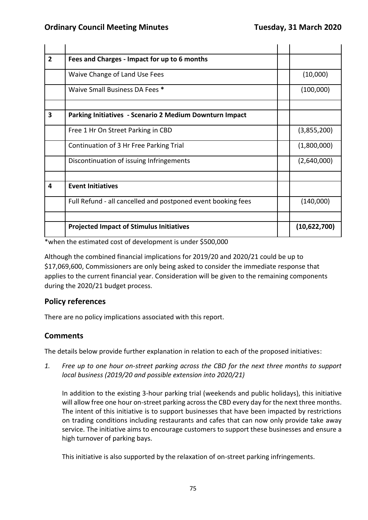| $\overline{2}$          | Fees and Charges - Impact for up to 6 months                   |              |
|-------------------------|----------------------------------------------------------------|--------------|
|                         | Waive Change of Land Use Fees                                  | (10,000)     |
|                         | Waive Small Business DA Fees *                                 | (100,000)    |
| 3                       |                                                                |              |
|                         | <b>Parking Initiatives - Scenario 2 Medium Downturn Impact</b> |              |
|                         | Free 1 Hr On Street Parking in CBD                             | (3,855,200)  |
|                         | Continuation of 3 Hr Free Parking Trial                        | (1,800,000)  |
|                         | Discontinuation of issuing Infringements                       | (2,640,000)  |
|                         |                                                                |              |
| $\overline{\mathbf{4}}$ | <b>Event Initiatives</b>                                       |              |
|                         | Full Refund - all cancelled and postponed event booking fees   | (140,000)    |
|                         |                                                                |              |
|                         | <b>Projected Impact of Stimulus Initiatives</b>                | (10,622,700) |

\*when the estimated cost of development is under \$500,000

Although the combined financial implications for 2019/20 and 2020/21 could be up to \$17,069,600, Commissioners are only being asked to consider the immediate response that applies to the current financial year. Consideration will be given to the remaining components during the 2020/21 budget process.

### **Policy references**

There are no policy implications associated with this report.

# **Comments**

The details below provide further explanation in relation to each of the proposed initiatives:

*1. Free up to one hour on-street parking across the CBD for the next three months to support local business (2019/20 and possible extension into 2020/21)*

In addition to the existing 3-hour parking trial (weekends and public holidays), this initiative will allow free one hour on-street parking across the CBD every day for the next three months. The intent of this initiative is to support businesses that have been impacted by restrictions on trading conditions including restaurants and cafes that can now only provide take away service. The initiative aims to encourage customers to support these businesses and ensure a high turnover of parking bays.

This initiative is also supported by the relaxation of on-street parking infringements.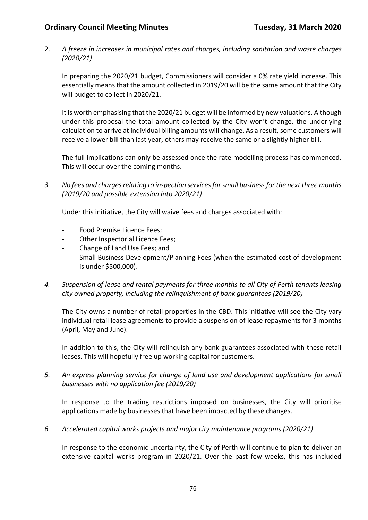2. *A freeze in increases in municipal rates and charges, including sanitation and waste charges (2020/21)*

In preparing the 2020/21 budget, Commissioners will consider a 0% rate yield increase. This essentially means that the amount collected in 2019/20 will be the same amount that the City will budget to collect in 2020/21.

It is worth emphasising that the 2020/21 budget will be informed by new valuations. Although under this proposal the total amount collected by the City won't change, the underlying calculation to arrive at individual billing amounts will change. As a result, some customers will receive a lower bill than last year, others may receive the same or a slightly higher bill.

The full implications can only be assessed once the rate modelling process has commenced. This will occur over the coming months.

*3. No fees and charges relating to inspection services for small business for the next three months (2019/20 and possible extension into 2020/21)*

Under this initiative, the City will waive fees and charges associated with:

- Food Premise Licence Fees;
- Other Inspectorial Licence Fees;
- Change of Land Use Fees; and
- Small Business Development/Planning Fees (when the estimated cost of development is under \$500,000).
- *4. Suspension of lease and rental payments for three months to all City of Perth tenants leasing city owned property, including the relinquishment of bank guarantees (2019/20)*

The City owns a number of retail properties in the CBD. This initiative will see the City vary individual retail lease agreements to provide a suspension of lease repayments for 3 months (April, May and June).

In addition to this, the City will relinquish any bank guarantees associated with these retail leases. This will hopefully free up working capital for customers.

*5. An express planning service for change of land use and development applications for small businesses with no application fee (2019/20)*

In response to the trading restrictions imposed on businesses, the City will prioritise applications made by businesses that have been impacted by these changes.

*6. Accelerated capital works projects and major city maintenance programs (2020/21)*

In response to the economic uncertainty, the City of Perth will continue to plan to deliver an extensive capital works program in 2020/21. Over the past few weeks, this has included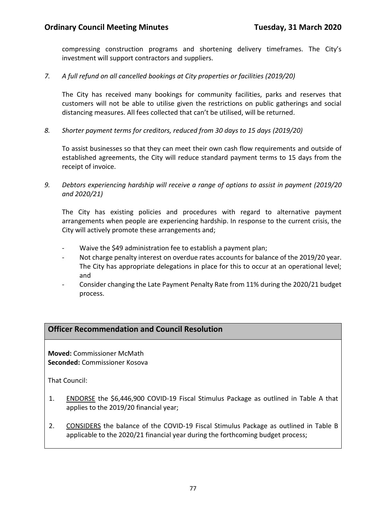compressing construction programs and shortening delivery timeframes. The City's investment will support contractors and suppliers.

*7. A full refund on all cancelled bookings at City properties or facilities (2019/20)*

The City has received many bookings for community facilities, parks and reserves that customers will not be able to utilise given the restrictions on public gatherings and social distancing measures. All fees collected that can't be utilised, will be returned.

*8. Shorter payment terms for creditors, reduced from 30 days to 15 days (2019/20)*

To assist businesses so that they can meet their own cash flow requirements and outside of established agreements, the City will reduce standard payment terms to 15 days from the receipt of invoice.

*9. Debtors experiencing hardship will receive a range of options to assist in payment (2019/20 and 2020/21)*

The City has existing policies and procedures with regard to alternative payment arrangements when people are experiencing hardship. In response to the current crisis, the City will actively promote these arrangements and;

- Waive the \$49 administration fee to establish a payment plan;
- Not charge penalty interest on overdue rates accounts for balance of the 2019/20 year. The City has appropriate delegations in place for this to occur at an operational level; and
- Consider changing the Late Payment Penalty Rate from 11% during the 2020/21 budget process.

# **Officer Recommendation and Council Resolution**

**Moved:** Commissioner McMath **Seconded:** Commissioner Kosova

That Council:

- 1. ENDORSE the \$6,446,900 COVID-19 Fiscal Stimulus Package as outlined in Table A that applies to the 2019/20 financial year;
- 2. CONSIDERS the balance of the COVID-19 Fiscal Stimulus Package as outlined in Table B applicable to the 2020/21 financial year during the forthcoming budget process;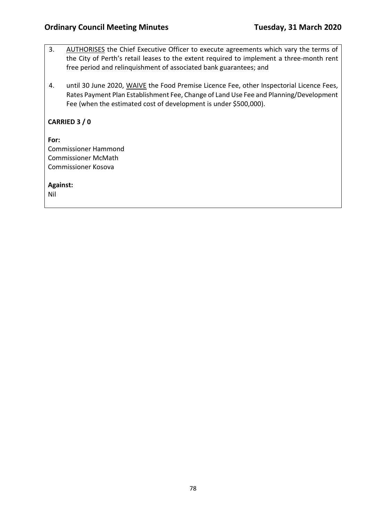- 3. AUTHORISES the Chief Executive Officer to execute agreements which vary the terms of the City of Perth's retail leases to the extent required to implement a three-month rent free period and relinquishment of associated bank guarantees; and
- 4. until 30 June 2020, WAIVE the Food Premise Licence Fee, other Inspectorial Licence Fees, Rates Payment Plan Establishment Fee, Change of Land Use Fee and Planning/Development Fee (when the estimated cost of development is under \$500,000).

### **CARRIED 3 / 0**

**For:**  Commissioner Hammond Commissioner McMath Commissioner Kosova

**Against:** 

Nil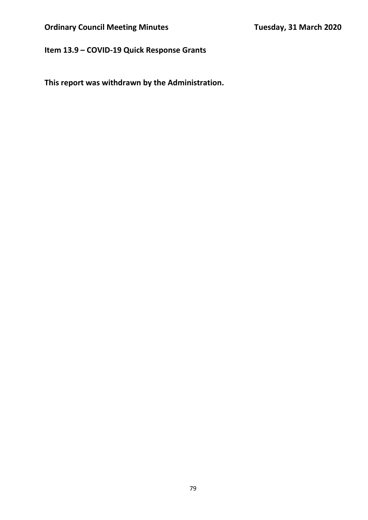# **Item 13.9 – COVID-19 Quick Response Grants**

**This report was withdrawn by the Administration.**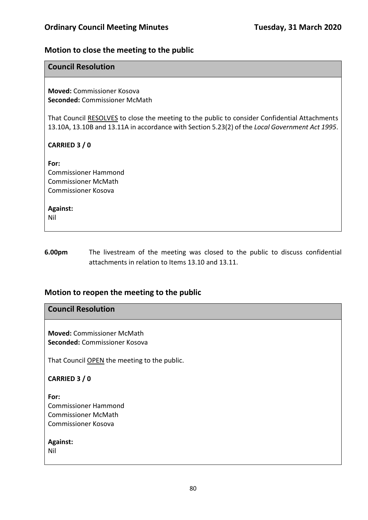# **Motion to close the meeting to the public**

### **Council Resolution**

**Moved:** Commissioner Kosova **Seconded:** Commissioner McMath

That Council RESOLVES to close the meeting to the public to consider Confidential Attachments 13.10A, 13.10B and 13.11A in accordance with Section 5.23(2) of the *Local Government Act 1995*.

### **CARRIED 3 / 0**

**For:**  Commissioner Hammond Commissioner McMath Commissioner Kosova

**Against:**  Nil

**6.00pm** The livestream of the meeting was closed to the public to discuss confidential attachments in relation to Items 13.10 and 13.11.

### **Motion to reopen the meeting to the public**

# **Council Resolution**

**Moved:** Commissioner McMath **Seconded:** Commissioner Kosova

That Council OPEN the meeting to the public.

**CARRIED 3 / 0**

**For:**  Commissioner Hammond Commissioner McMath Commissioner Kosova

**Against:**  Nil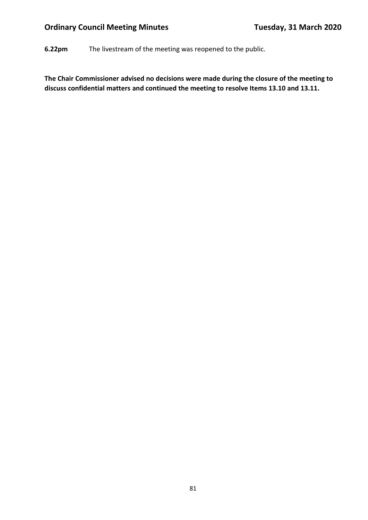**6.22pm** The livestream of the meeting was reopened to the public.

**The Chair Commissioner advised no decisions were made during the closure of the meeting to discuss confidential matters and continued the meeting to resolve Items 13.10 and 13.11.**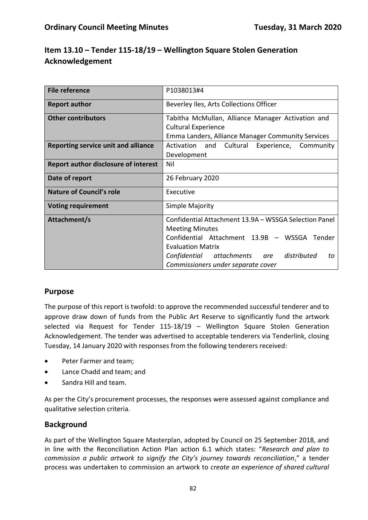# **Item 13.10 – Tender 115-18/19 – Wellington Square Stolen Generation Acknowledgement**

| <b>File reference</b>                       | P1038013#4                                            |  |  |
|---------------------------------------------|-------------------------------------------------------|--|--|
| <b>Report author</b>                        | Beverley Iles, Arts Collections Officer               |  |  |
| <b>Other contributors</b>                   | Tabitha McMullan, Alliance Manager Activation and     |  |  |
|                                             |                                                       |  |  |
|                                             | <b>Cultural Experience</b>                            |  |  |
|                                             | Emma Landers, Alliance Manager Community Services     |  |  |
| <b>Reporting service unit and alliance</b>  | Cultural<br>Activation and<br>Experience, Community   |  |  |
|                                             | Development                                           |  |  |
| <b>Report author disclosure of interest</b> | Nil                                                   |  |  |
| Date of report                              | 26 February 2020                                      |  |  |
| <b>Nature of Council's role</b>             | Executive                                             |  |  |
| <b>Voting requirement</b>                   | Simple Majority                                       |  |  |
| Attachment/s                                | Confidential Attachment 13.9A - WSSGA Selection Panel |  |  |
|                                             | <b>Meeting Minutes</b>                                |  |  |
|                                             | Confidential Attachment 13.9B - WSSGA Tender          |  |  |
|                                             |                                                       |  |  |
|                                             | <b>Evaluation Matrix</b>                              |  |  |
|                                             | distributed<br>Confidential<br>attachments are<br>to  |  |  |
|                                             | Commissioners under separate cover                    |  |  |

# **Purpose**

The purpose of this report is twofold: to approve the recommended successful tenderer and to approve draw down of funds from the Public Art Reserve to significantly fund the artwork selected via Request for Tender 115-18/19 – Wellington Square Stolen Generation Acknowledgement. The tender was advertised to acceptable tenderers via Tenderlink, closing Tuesday, 14 January 2020 with responses from the following tenderers received:

- Peter Farmer and team;
- Lance Chadd and team; and
- Sandra Hill and team.

As per the City's procurement processes, the responses were assessed against compliance and qualitative selection criteria.

### **Background**

As part of the Wellington Square Masterplan, adopted by Council on 25 September 2018, and in line with the Reconciliation Action Plan action 6.1 which states: "*Research and plan to commission a public artwork to signify the City's journey towards reconciliation*," a tender process was undertaken to commission an artwork to *create an experience of shared cultural*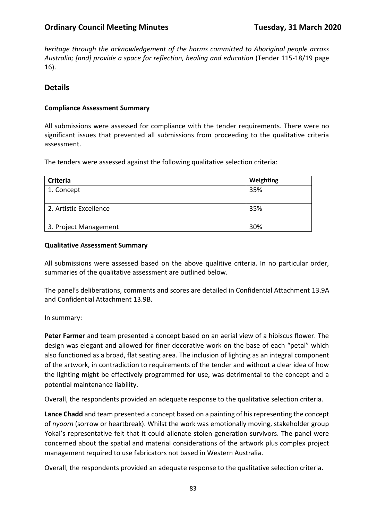*heritage through the acknowledgement of the harms committed to Aboriginal people across Australia; [and] provide a space for reflection, healing and education* (Tender 115-18/19 page 16).

### **Details**

### **Compliance Assessment Summary**

All submissions were assessed for compliance with the tender requirements. There were no significant issues that prevented all submissions from proceeding to the qualitative criteria assessment.

The tenders were assessed against the following qualitative selection criteria:

| <b>Criteria</b>        | Weighting |
|------------------------|-----------|
| 1. Concept             | 35%       |
|                        |           |
| 2. Artistic Excellence | 35%       |
|                        |           |
| 3. Project Management  | 30%       |

#### **Qualitative Assessment Summary**

All submissions were assessed based on the above qualitive criteria. In no particular order, summaries of the qualitative assessment are outlined below.

The panel's deliberations, comments and scores are detailed in Confidential Attachment 13.9A and Confidential Attachment 13.9B.

In summary:

**Peter Farmer** and team presented a concept based on an aerial view of a hibiscus flower. The design was elegant and allowed for finer decorative work on the base of each "petal" which also functioned as a broad, flat seating area. The inclusion of lighting as an integral component of the artwork, in contradiction to requirements of the tender and without a clear idea of how the lighting might be effectively programmed for use, was detrimental to the concept and a potential maintenance liability.

Overall, the respondents provided an adequate response to the qualitative selection criteria.

**Lance Chadd** and team presented a concept based on a painting of his representing the concept of *nyoorn* (sorrow or heartbreak). Whilst the work was emotionally moving, stakeholder group Yokai's representative felt that it could alienate stolen generation survivors. The panel were concerned about the spatial and material considerations of the artwork plus complex project management required to use fabricators not based in Western Australia.

Overall, the respondents provided an adequate response to the qualitative selection criteria.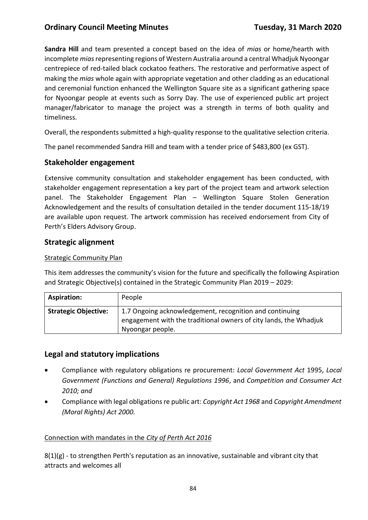**Sandra Hill** and team presented a concept based on the idea of *mias* or home/hearth with incomplete *mias*representing regions of Western Australia around a central Whadjuk Nyoongar centrepiece of red-tailed black cockatoo feathers. The restorative and performative aspect of making the *mias* whole again with appropriate vegetation and other cladding as an educational and ceremonial function enhanced the Wellington Square site as a significant gathering space for Nyoongar people at events such as Sorry Day. The use of experienced public art project manager/fabricator to manage the project was a strength in terms of both quality and timeliness.

Overall, the respondents submitted a high-quality response to the qualitative selection criteria.

The panel recommended Sandra Hill and team with a tender price of \$483,800 (ex GST).

### **Stakeholder engagement**

Extensive community consultation and stakeholder engagement has been conducted, with stakeholder engagement representation a key part of the project team and artwork selection panel. The Stakeholder Engagement Plan – Wellington Square Stolen Generation Acknowledgement and the results of consultation detailed in the tender document 115-18/19 are available upon request. The artwork commission has received endorsement from City of Perth's Elders Advisory Group.

# **Strategic alignment**

### Strategic Community Plan

This item addresses the community's vision for the future and specifically the following Aspiration and Strategic Objective(s) contained in the Strategic Community Plan 2019 – 2029:

| <b>Aspiration:</b>          | People                                                                                                                                           |
|-----------------------------|--------------------------------------------------------------------------------------------------------------------------------------------------|
| <b>Strategic Objective:</b> | 1.7 Ongoing acknowledgement, recognition and continuing<br>engagement with the traditional owners of city lands, the Whadjuk<br>Nyoongar people. |

### **Legal and statutory implications**

- Compliance with regulatory obligations re procurement: *Local Government Act* 1995, *Local Government (Functions and General) Regulations 1996*, and *Competition and Consumer Act 2010; and*
- Compliance with legal obligations re public art: *Copyright Act 1968* and *Copyright Amendment (Moral Rights) Act 2000.*

### Connection with mandates in the *City of Perth Act 2016*

8(1)(g) - to strengthen Perth's reputation as an innovative, sustainable and vibrant city that attracts and welcomes all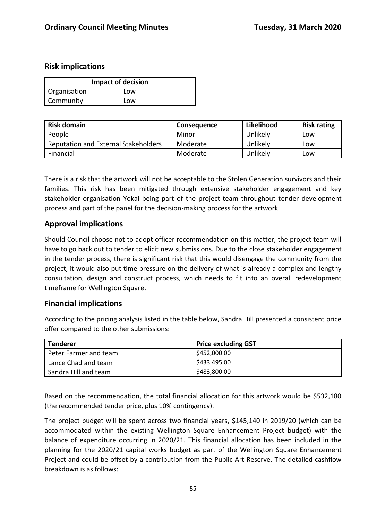### **Risk implications**

| <b>Impact of decision</b> |     |  |
|---------------------------|-----|--|
| Organisation              | Low |  |
| Community                 | Low |  |

| <b>Risk domain</b>                          | <b>Consequence</b> | Likelihood | <b>Risk rating</b> |
|---------------------------------------------|--------------------|------------|--------------------|
| People                                      | Minor              | Unlikely   | Low                |
| <b>Reputation and External Stakeholders</b> | Moderate           | Unlikely   | Low                |
| Financial                                   | Moderate           | Unlikely   | Low                |

There is a risk that the artwork will not be acceptable to the Stolen Generation survivors and their families. This risk has been mitigated through extensive stakeholder engagement and key stakeholder organisation Yokai being part of the project team throughout tender development process and part of the panel for the decision-making process for the artwork.

### **Approval implications**

Should Council choose not to adopt officer recommendation on this matter, the project team will have to go back out to tender to elicit new submissions. Due to the close stakeholder engagement in the tender process, there is significant risk that this would disengage the community from the project, it would also put time pressure on the delivery of what is already a complex and lengthy consultation, design and construct process, which needs to fit into an overall redevelopment timeframe for Wellington Square.

### **Financial implications**

According to the pricing analysis listed in the table below, Sandra Hill presented a consistent price offer compared to the other submissions:

| <b>Tenderer</b>       | <b>Price excluding GST</b> |
|-----------------------|----------------------------|
| Peter Farmer and team | \$452,000.00               |
| Lance Chad and team   | \$433,495.00               |
| Sandra Hill and team  | \$483,800.00               |

Based on the recommendation, the total financial allocation for this artwork would be \$532,180 (the recommended tender price, plus 10% contingency).

The project budget will be spent across two financial years, \$145,140 in 2019/20 (which can be accommodated within the existing Wellington Square Enhancement Project budget) with the balance of expenditure occurring in 2020/21. This financial allocation has been included in the planning for the 2020/21 capital works budget as part of the Wellington Square Enhancement Project and could be offset by a contribution from the Public Art Reserve. The detailed cashflow breakdown is as follows: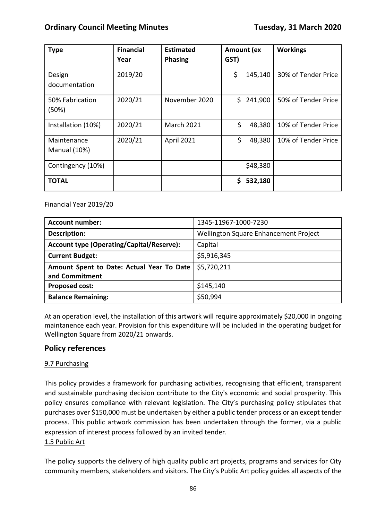| <b>Type</b>                        | <b>Financial</b><br>Year | <b>Estimated</b><br><b>Phasing</b> | Amount (ex<br>GST) | <b>Workings</b>     |
|------------------------------------|--------------------------|------------------------------------|--------------------|---------------------|
| Design<br>documentation            | 2019/20                  |                                    | \$<br>145,140      | 30% of Tender Price |
| 50% Fabrication<br>(50%)           | 2020/21                  | November 2020                      | \$<br>241,900      | 50% of Tender Price |
| Installation (10%)                 | 2020/21                  | <b>March 2021</b>                  | \$<br>48,380       | 10% of Tender Price |
| Maintenance<br><b>Manual (10%)</b> | 2020/21                  | April 2021                         | \$<br>48,380       | 10% of Tender Price |
| Contingency (10%)                  |                          |                                    | \$48,380           |                     |
| <b>TOTAL</b>                       |                          |                                    | \$<br>532,180      |                     |

Financial Year 2019/20

| <b>Account number:</b>                    | 1345-11967-1000-7230                  |
|-------------------------------------------|---------------------------------------|
| <b>Description:</b>                       | Wellington Square Enhancement Project |
| Account type (Operating/Capital/Reserve): | Capital                               |
| <b>Current Budget:</b>                    | \$5,916,345                           |
| Amount Spent to Date: Actual Year To Date | \$5,720,211                           |
| and Commitment                            |                                       |
| <b>Proposed cost:</b>                     | \$145,140                             |
| <b>Balance Remaining:</b>                 | \$50,994                              |

At an operation level, the installation of this artwork will require approximately \$20,000 in ongoing maintanence each year. Provision for this expenditure will be included in the operating budget for Wellington Square from 2020/21 onwards.

# **Policy references**

### 9.7 Purchasing

This policy provides a framework for purchasing activities, recognising that efficient, transparent and sustainable purchasing decision contribute to the City's economic and social prosperity. This policy ensures compliance with relevant legislation. The City's purchasing policy stipulates that purchases over \$150,000 must be undertaken by either a public tender process or an except tender process. This public artwork commission has been undertaken through the former, via a public expression of interest process followed by an invited tender.

### 1.5 Public Art

The policy supports the delivery of high quality public art projects, programs and services for City community members, stakeholders and visitors. The City's Public Art policy guides all aspects of the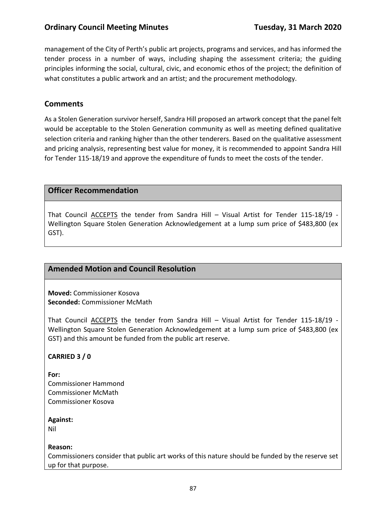management of the City of Perth's public art projects, programs and services, and has informed the tender process in a number of ways, including shaping the assessment criteria; the guiding principles informing the social, cultural, civic, and economic ethos of the project; the definition of what constitutes a public artwork and an artist; and the procurement methodology.

# **Comments**

As a Stolen Generation survivor herself, Sandra Hill proposed an artwork concept that the panel felt would be acceptable to the Stolen Generation community as well as meeting defined qualitative selection criteria and ranking higher than the other tenderers. Based on the qualitative assessment and pricing analysis, representing best value for money, it is recommended to appoint Sandra Hill for Tender 115-18/19 and approve the expenditure of funds to meet the costs of the tender.

### **Officer Recommendation**

That Council ACCEPTS the tender from Sandra Hill – Visual Artist for Tender 115-18/19 - Wellington Square Stolen Generation Acknowledgement at a lump sum price of \$483,800 (ex GST).

### **Amended Motion and Council Resolution**

**Moved:** Commissioner Kosova **Seconded:** Commissioner McMath

That Council ACCEPTS the tender from Sandra Hill – Visual Artist for Tender 115-18/19 - Wellington Square Stolen Generation Acknowledgement at a lump sum price of \$483,800 (ex GST) and this amount be funded from the public art reserve.

### **CARRIED 3 / 0**

**For:**  Commissioner Hammond Commissioner McMath Commissioner Kosova

**Against:** 

Nil

#### **Reason:**

Commissioners consider that public art works of this nature should be funded by the reserve set up for that purpose.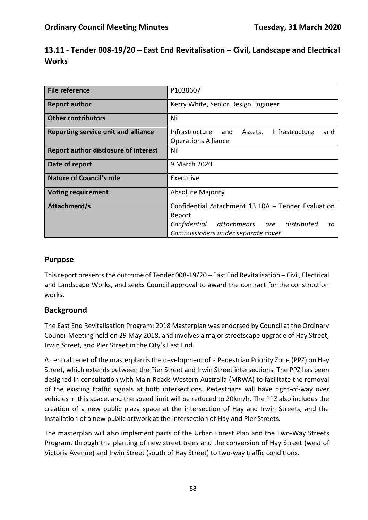| 13.11 - Tender 008-19/20 – East End Revitalisation – Civil, Landscape and Electrical |  |
|--------------------------------------------------------------------------------------|--|
| Works                                                                                |  |

| <b>File reference</b>                       | P1038607                                                                                |
|---------------------------------------------|-----------------------------------------------------------------------------------------|
| <b>Report author</b>                        | Kerry White, Senior Design Engineer                                                     |
| <b>Other contributors</b>                   | Nil                                                                                     |
| Reporting service unit and alliance         | Infrastructure<br>Infrastructure<br>and<br>Assets,<br>and<br><b>Operations Alliance</b> |
| <b>Report author disclosure of interest</b> | Nil                                                                                     |
| Date of report                              | 9 March 2020                                                                            |
| <b>Nature of Council's role</b>             | Executive                                                                               |
| <b>Voting requirement</b>                   | <b>Absolute Majority</b>                                                                |
| Attachment/s                                | Confidential Attachment 13.10A - Tender Evaluation                                      |
|                                             | Report                                                                                  |
|                                             | are distributed<br>Confidential attachments<br>to                                       |
|                                             | Commissioners under separate cover                                                      |

# **Purpose**

This report presents the outcome of Tender 008-19/20 – East End Revitalisation – Civil, Electrical and Landscape Works, and seeks Council approval to award the contract for the construction works.

# **Background**

The East End Revitalisation Program: 2018 Masterplan was endorsed by Council at the Ordinary Council Meeting held on 29 May 2018, and involves a major streetscape upgrade of Hay Street, Irwin Street, and Pier Street in the City's East End.

A central tenet of the masterplan is the development of a Pedestrian Priority Zone (PPZ) on Hay Street, which extends between the Pier Street and Irwin Street intersections. The PPZ has been designed in consultation with Main Roads Western Australia (MRWA) to facilitate the removal of the existing traffic signals at both intersections. Pedestrians will have right-of-way over vehicles in this space, and the speed limit will be reduced to 20km/h. The PPZ also includes the creation of a new public plaza space at the intersection of Hay and Irwin Streets, and the installation of a new public artwork at the intersection of Hay and Pier Streets.

The masterplan will also implement parts of the Urban Forest Plan and the Two-Way Streets Program, through the planting of new street trees and the conversion of Hay Street (west of Victoria Avenue) and Irwin Street (south of Hay Street) to two-way traffic conditions.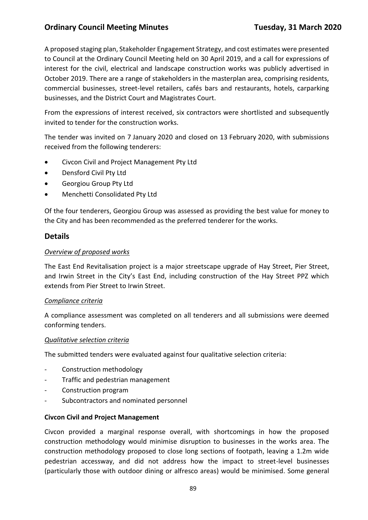A proposed staging plan, Stakeholder Engagement Strategy, and cost estimates were presented to Council at the Ordinary Council Meeting held on 30 April 2019, and a call for expressions of interest for the civil, electrical and landscape construction works was publicly advertised in October 2019. There are a range of stakeholders in the masterplan area, comprising residents, commercial businesses, street-level retailers, cafés bars and restaurants, hotels, carparking businesses, and the District Court and Magistrates Court.

From the expressions of interest received, six contractors were shortlisted and subsequently invited to tender for the construction works.

The tender was invited on 7 January 2020 and closed on 13 February 2020, with submissions received from the following tenderers:

- Civcon Civil and Project Management Pty Ltd
- Densford Civil Pty Ltd
- Georgiou Group Pty Ltd
- Menchetti Consolidated Pty Ltd

Of the four tenderers, Georgiou Group was assessed as providing the best value for money to the City and has been recommended as the preferred tenderer for the works.

### **Details**

#### *Overview of proposed works*

The East End Revitalisation project is a major streetscape upgrade of Hay Street, Pier Street, and Irwin Street in the City's East End, including construction of the Hay Street PPZ which extends from Pier Street to Irwin Street.

#### *Compliance criteria*

A compliance assessment was completed on all tenderers and all submissions were deemed conforming tenders.

#### *Qualitative selection criteria*

The submitted tenders were evaluated against four qualitative selection criteria:

- Construction methodology
- Traffic and pedestrian management
- Construction program
- Subcontractors and nominated personnel

#### **Civcon Civil and Project Management**

Civcon provided a marginal response overall, with shortcomings in how the proposed construction methodology would minimise disruption to businesses in the works area. The construction methodology proposed to close long sections of footpath, leaving a 1.2m wide pedestrian accessway, and did not address how the impact to street-level businesses (particularly those with outdoor dining or alfresco areas) would be minimised. Some general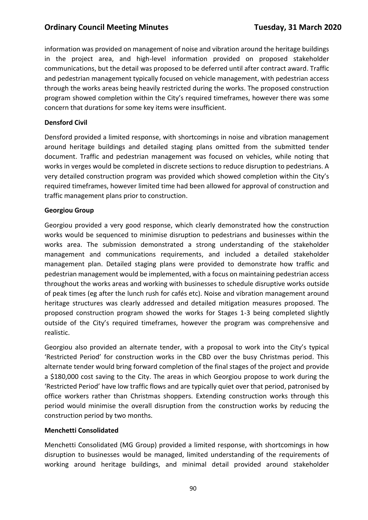information was provided on management of noise and vibration around the heritage buildings in the project area, and high-level information provided on proposed stakeholder communications, but the detail was proposed to be deferred until after contract award. Traffic and pedestrian management typically focused on vehicle management, with pedestrian access through the works areas being heavily restricted during the works. The proposed construction program showed completion within the City's required timeframes, however there was some concern that durations for some key items were insufficient.

### **Densford Civil**

Densford provided a limited response, with shortcomings in noise and vibration management around heritage buildings and detailed staging plans omitted from the submitted tender document. Traffic and pedestrian management was focused on vehicles, while noting that works in verges would be completed in discrete sections to reduce disruption to pedestrians. A very detailed construction program was provided which showed completion within the City's required timeframes, however limited time had been allowed for approval of construction and traffic management plans prior to construction.

#### **Georgiou Group**

Georgiou provided a very good response, which clearly demonstrated how the construction works would be sequenced to minimise disruption to pedestrians and businesses within the works area. The submission demonstrated a strong understanding of the stakeholder management and communications requirements, and included a detailed stakeholder management plan. Detailed staging plans were provided to demonstrate how traffic and pedestrian management would be implemented, with a focus on maintaining pedestrian access throughout the works areas and working with businesses to schedule disruptive works outside of peak times (eg after the lunch rush for cafés etc). Noise and vibration management around heritage structures was clearly addressed and detailed mitigation measures proposed. The proposed construction program showed the works for Stages 1-3 being completed slightly outside of the City's required timeframes, however the program was comprehensive and realistic.

Georgiou also provided an alternate tender, with a proposal to work into the City's typical 'Restricted Period' for construction works in the CBD over the busy Christmas period. This alternate tender would bring forward completion of the final stages of the project and provide a \$180,000 cost saving to the City. The areas in which Georgiou propose to work during the 'Restricted Period' have low traffic flows and are typically quiet over that period, patronised by office workers rather than Christmas shoppers. Extending construction works through this period would minimise the overall disruption from the construction works by reducing the construction period by two months.

#### **Menchetti Consolidated**

Menchetti Consolidated (MG Group) provided a limited response, with shortcomings in how disruption to businesses would be managed, limited understanding of the requirements of working around heritage buildings, and minimal detail provided around stakeholder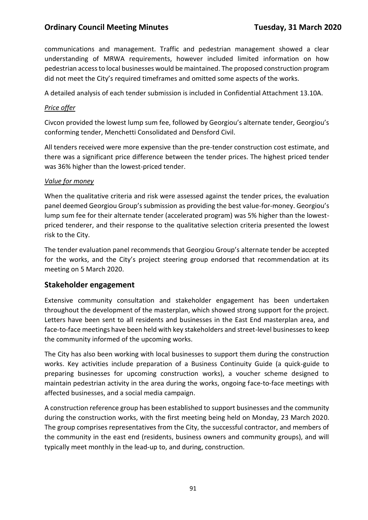communications and management. Traffic and pedestrian management showed a clear understanding of MRWA requirements, however included limited information on how pedestrian access to local businesses would be maintained. The proposed construction program did not meet the City's required timeframes and omitted some aspects of the works.

A detailed analysis of each tender submission is included in Confidential Attachment 13.10A.

#### *Price offer*

Civcon provided the lowest lump sum fee, followed by Georgiou's alternate tender, Georgiou's conforming tender, Menchetti Consolidated and Densford Civil.

All tenders received were more expensive than the pre-tender construction cost estimate, and there was a significant price difference between the tender prices. The highest priced tender was 36% higher than the lowest-priced tender.

#### *Value for money*

When the qualitative criteria and risk were assessed against the tender prices, the evaluation panel deemed Georgiou Group's submission as providing the best value-for-money. Georgiou's lump sum fee for their alternate tender (accelerated program) was 5% higher than the lowestpriced tenderer, and their response to the qualitative selection criteria presented the lowest risk to the City.

The tender evaluation panel recommends that Georgiou Group's alternate tender be accepted for the works, and the City's project steering group endorsed that recommendation at its meeting on 5 March 2020.

### **Stakeholder engagement**

Extensive community consultation and stakeholder engagement has been undertaken throughout the development of the masterplan, which showed strong support for the project. Letters have been sent to all residents and businesses in the East End masterplan area, and face-to-face meetings have been held with key stakeholders and street-level businesses to keep the community informed of the upcoming works.

The City has also been working with local businesses to support them during the construction works. Key activities include preparation of a Business Continuity Guide (a quick-guide to preparing businesses for upcoming construction works), a voucher scheme designed to maintain pedestrian activity in the area during the works, ongoing face-to-face meetings with affected businesses, and a social media campaign.

A construction reference group has been established to support businesses and the community during the construction works, with the first meeting being held on Monday, 23 March 2020. The group comprises representatives from the City, the successful contractor, and members of the community in the east end (residents, business owners and community groups), and will typically meet monthly in the lead-up to, and during, construction.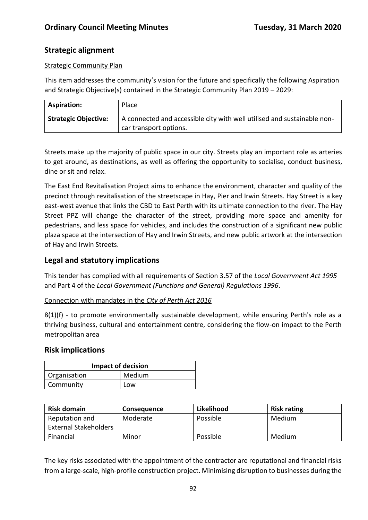# **Strategic alignment**

### Strategic Community Plan

This item addresses the community's vision for the future and specifically the following Aspiration and Strategic Objective(s) contained in the Strategic Community Plan 2019 – 2029:

| <b>Aspiration:</b>          | Place                                                                   |
|-----------------------------|-------------------------------------------------------------------------|
| <b>Strategic Objective:</b> | A connected and accessible city with well utilised and sustainable non- |
|                             | car transport options.                                                  |

Streets make up the majority of public space in our city. Streets play an important role as arteries to get around, as destinations, as well as offering the opportunity to socialise, conduct business, dine or sit and relax.

The East End Revitalisation Project aims to enhance the environment, character and quality of the precinct through revitalisation of the streetscape in Hay, Pier and Irwin Streets. Hay Street is a key east-west avenue that links the CBD to East Perth with its ultimate connection to the river. The Hay Street PPZ will change the character of the street, providing more space and amenity for pedestrians, and less space for vehicles, and includes the construction of a significant new public plaza space at the intersection of Hay and Irwin Streets, and new public artwork at the intersection of Hay and Irwin Streets.

# **Legal and statutory implications**

This tender has complied with all requirements of Section 3.57 of the *Local Government Act 1995* and Part 4 of the *Local Government (Functions and General) Regulations 1996*.

### Connection with mandates in the *City of Perth Act 2016*

8(1)(f) - to promote environmentally sustainable development, while ensuring Perth's role as a thriving business, cultural and entertainment centre, considering the flow-on impact to the Perth metropolitan area

### **Risk implications**

| <b>Impact of decision</b> |        |
|---------------------------|--------|
| Organisation              | Medium |
| Community                 | Low    |

| <b>Risk domain</b>           | <b>Consequence</b> | Likelihood | <b>Risk rating</b> |
|------------------------------|--------------------|------------|--------------------|
| Reputation and               | Moderate           | Possible   | Medium             |
| <b>External Stakeholders</b> |                    |            |                    |
| Financial                    | Minor              | Possible   | Medium             |

The key risks associated with the appointment of the contractor are reputational and financial risks from a large-scale, high-profile construction project. Minimising disruption to businesses during the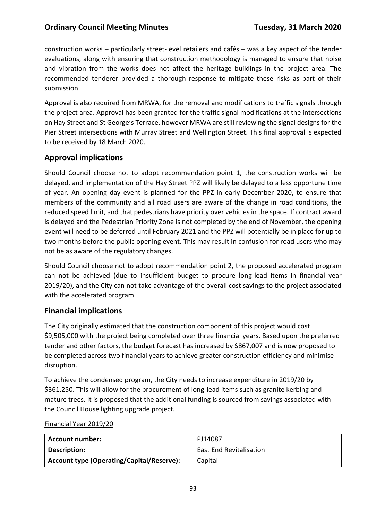construction works – particularly street-level retailers and cafés – was a key aspect of the tender evaluations, along with ensuring that construction methodology is managed to ensure that noise and vibration from the works does not affect the heritage buildings in the project area. The recommended tenderer provided a thorough response to mitigate these risks as part of their submission.

Approval is also required from MRWA, for the removal and modifications to traffic signals through the project area. Approval has been granted for the traffic signal modifications at the intersections on Hay Street and St George's Terrace, however MRWA are still reviewing the signal designs for the Pier Street intersections with Murray Street and Wellington Street. This final approval is expected to be received by 18 March 2020.

# **Approval implications**

Should Council choose not to adopt recommendation point 1, the construction works will be delayed, and implementation of the Hay Street PPZ will likely be delayed to a less opportune time of year. An opening day event is planned for the PPZ in early December 2020, to ensure that members of the community and all road users are aware of the change in road conditions, the reduced speed limit, and that pedestrians have priority over vehicles in the space. If contract award is delayed and the Pedestrian Priority Zone is not completed by the end of November, the opening event will need to be deferred until February 2021 and the PPZ will potentially be in place for up to two months before the public opening event. This may result in confusion for road users who may not be as aware of the regulatory changes.

Should Council choose not to adopt recommendation point 2, the proposed accelerated program can not be achieved (due to insufficient budget to procure long-lead items in financial year 2019/20), and the City can not take advantage of the overall cost savings to the project associated with the accelerated program.

### **Financial implications**

The City originally estimated that the construction component of this project would cost \$9,505,000 with the project being completed over three financial years. Based upon the preferred tender and other factors, the budget forecast has increased by \$867,007 and is now proposed to be completed across two financial years to achieve greater construction efficiency and minimise disruption.

To achieve the condensed program, the City needs to increase expenditure in 2019/20 by \$361,250. This will allow for the procurement of long-lead items such as granite kerbing and mature trees. It is proposed that the additional funding is sourced from savings associated with the Council House lighting upgrade project.

| Account number:                                  | PJ14087                        |
|--------------------------------------------------|--------------------------------|
| Description:                                     | <b>East End Revitalisation</b> |
| <b>Account type (Operating/Capital/Reserve):</b> | Capital                        |

#### Financial Year 2019/20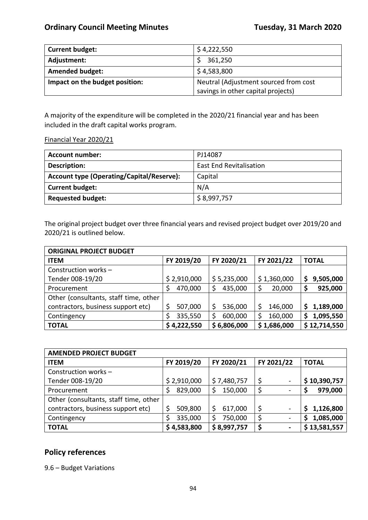| <b>Current budget:</b>         | \$4,222,550                           |
|--------------------------------|---------------------------------------|
| Adjustment:                    | 361,250                               |
| <b>Amended budget:</b>         | \$4,583,800                           |
| Impact on the budget position: | Neutral (Adjustment sourced from cost |
|                                | savings in other capital projects)    |

A majority of the expenditure will be completed in the 2020/21 financial year and has been included in the draft capital works program.

Financial Year 2020/21

| <b>Account number:</b>                           | PJ14087                        |
|--------------------------------------------------|--------------------------------|
| Description:                                     | <b>East End Revitalisation</b> |
| <b>Account type (Operating/Capital/Reserve):</b> | Capital                        |
| <b>Current budget:</b>                           | N/A                            |
| <b>Requested budget:</b>                         | \$8,997,757                    |

The original project budget over three financial years and revised project budget over 2019/20 and 2020/21 is outlined below.

| <b>ORIGINAL PROJECT BUDGET</b>        |               |             |             |                 |
|---------------------------------------|---------------|-------------|-------------|-----------------|
| <b>ITEM</b>                           | FY 2019/20    | FY 2020/21  | FY 2021/22  | <b>TOTAL</b>    |
| Construction works -                  |               |             |             |                 |
| Tender 008-19/20                      | \$2,910,000   | \$5,235,000 | \$1,360,000 | 9,505,000<br>\$ |
| Procurement                           | 470,000<br>\$ | 435,000     | 20,000      | 925,000<br>\$   |
| Other (consultants, staff time, other |               |             |             |                 |
| contractors, business support etc)    | \$<br>507,000 | 536,000     | 146,000     | 1,189,000<br>\$ |
| Contingency                           | \$<br>335,550 | 600,000     | 160,000     | 1,095,550<br>\$ |
| <b>TOTAL</b>                          | \$4,222,550   | \$6,806,000 | \$1,686,000 | \$12,714,550    |

| <b>AMENDED PROJECT BUDGET</b>         |               |             |                                                                                                                                                   |                |
|---------------------------------------|---------------|-------------|---------------------------------------------------------------------------------------------------------------------------------------------------|----------------|
| <b>ITEM</b>                           | FY 2019/20    | FY 2020/21  | FY 2021/22                                                                                                                                        | <b>TOTAL</b>   |
| Construction works -                  |               |             |                                                                                                                                                   |                |
| Tender 008-19/20                      | \$2,910,000   | \$7,480,757 | $\overline{\phantom{a}}$                                                                                                                          | \$10,390,757   |
| Procurement                           | 829,000<br>\$ | 150,000     | $\overline{\phantom{a}}$                                                                                                                          | 979,000        |
| Other (consultants, staff time, other |               |             |                                                                                                                                                   |                |
| contractors, business support etc)    | \$<br>509,800 | 617,000     | $\hskip1.6pt\hskip1.6pt\hskip1.6pt\hskip1.6pt\hskip1.6pt\hskip1.6pt\hskip1.6pt\hskip1.6pt\hskip1.6pt\hskip1.6pt\hskip1.6pt\hskip1.6pt\hskip1.6pt$ | 1,126,800<br>S |
| Contingency                           | 335,000       | 750,000     | $\blacksquare$                                                                                                                                    | 1,085,000<br>S |
| <b>TOTAL</b>                          | \$4,583,800   | \$8,997,757 | $\blacksquare$                                                                                                                                    | \$13,581,557   |

# **Policy references**

9.6 – Budget Variations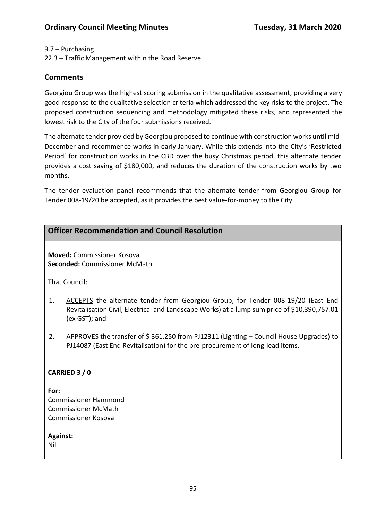### 9.7 – Purchasing

22.3 – Traffic Management within the Road Reserve

# **Comments**

Georgiou Group was the highest scoring submission in the qualitative assessment, providing a very good response to the qualitative selection criteria which addressed the key risks to the project. The proposed construction sequencing and methodology mitigated these risks, and represented the lowest risk to the City of the four submissions received.

The alternate tender provided by Georgiou proposed to continue with construction works until mid-December and recommence works in early January. While this extends into the City's 'Restricted Period' for construction works in the CBD over the busy Christmas period, this alternate tender provides a cost saving of \$180,000, and reduces the duration of the construction works by two months.

The tender evaluation panel recommends that the alternate tender from Georgiou Group for Tender 008-19/20 be accepted, as it provides the best value-for-money to the City.

|                 | <b>Officer Recommendation and Council Resolution</b>                                                                                                                                              |
|-----------------|---------------------------------------------------------------------------------------------------------------------------------------------------------------------------------------------------|
|                 | <b>Moved: Commissioner Kosova</b><br><b>Seconded: Commissioner McMath</b>                                                                                                                         |
|                 | That Council:                                                                                                                                                                                     |
| 1.              | ACCEPTS the alternate tender from Georgiou Group, for Tender 008-19/20 (East End<br>Revitalisation Civil, Electrical and Landscape Works) at a lump sum price of \$10,390,757.01<br>(ex GST); and |
| 2.              | APPROVES the transfer of \$361,250 from PJ12311 (Lighting – Council House Upgrades) to<br>PJ14087 (East End Revitalisation) for the pre-procurement of long-lead items.                           |
|                 | CARRIED 3 / 0                                                                                                                                                                                     |
| For:            | <b>Commissioner Hammond</b><br><b>Commissioner McMath</b><br><b>Commissioner Kosova</b>                                                                                                           |
| Against:<br>Nil |                                                                                                                                                                                                   |